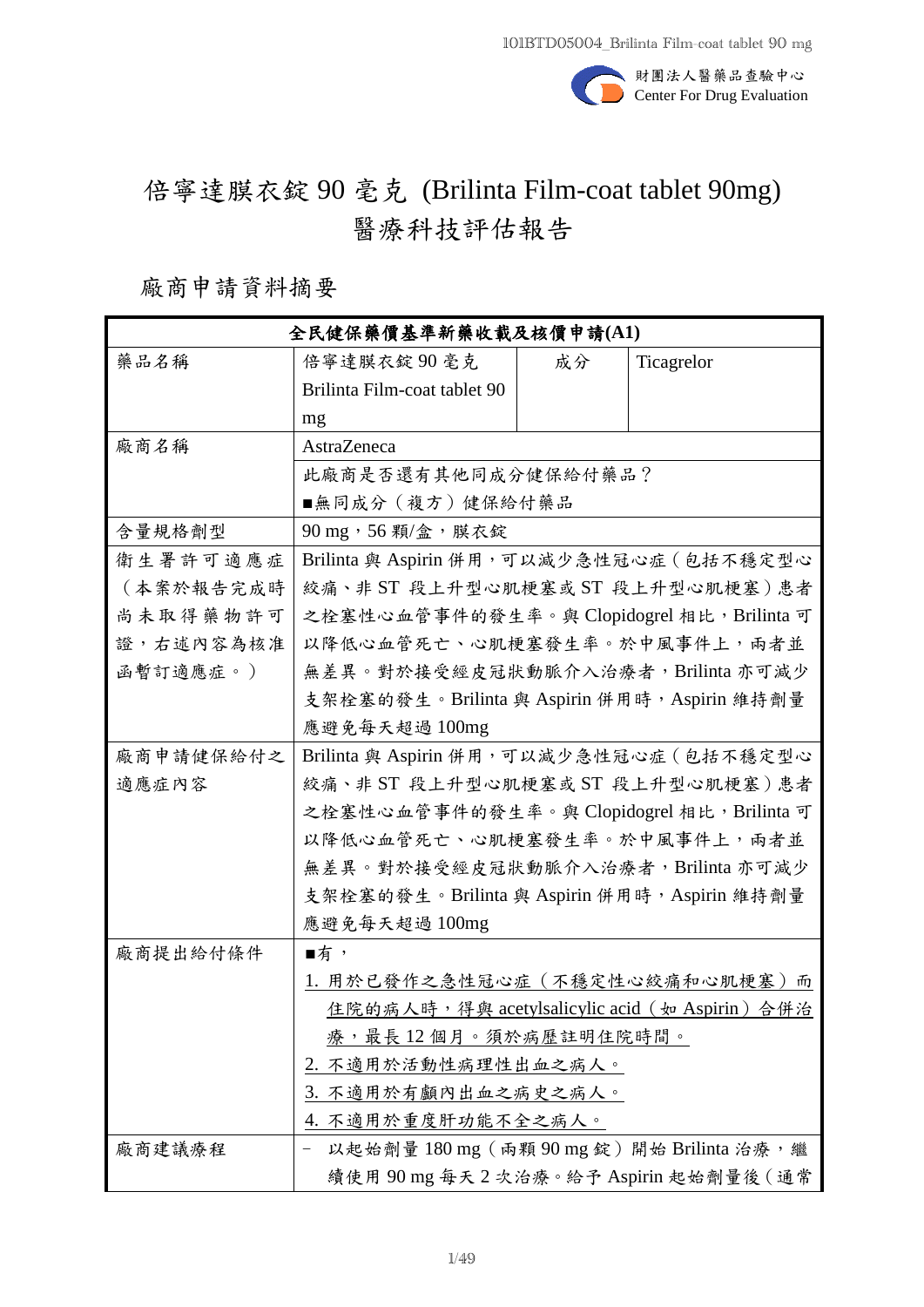

# 倍寧達膜衣錠 90 毫克 (Brilinta Film-coat tablet 90mg) 醫療科技評估報告

## 廠商申請資料摘要

| 全民健保藥價基準新藥收載及核價申請(A1) |                                                 |    |            |
|-----------------------|-------------------------------------------------|----|------------|
| 藥品名稱                  | 倍寧達膜衣錠90毫克                                      | 成分 | Ticagrelor |
|                       | Brilinta Film-coat tablet 90                    |    |            |
|                       | mg                                              |    |            |
| 廠商名稱                  | AstraZeneca                                     |    |            |
|                       | 此廠商是否還有其他同成分健保給付藥品?                             |    |            |
|                       | ■無同成分(複方)健保給付藥品                                 |    |            |
| 含量規格劑型                | 90 mg, 56 顆/盒,膜衣錠                               |    |            |
| 衛生署許可適應症              | Brilinta 與 Aspirin 併用,可以減少急性冠心症 (包括不穩定型心        |    |            |
| (本案於報告完成時             | 絞痛、非 ST 段上升型心肌梗塞或 ST 段上升型心肌梗塞)患者                |    |            |
| 尚未取得藥物許可              | 之栓塞性心血管事件的發生率。與 Clopidogrel 相比, Brilinta 可      |    |            |
| 證,右述內容為核准             | 以降低心血管死亡、心肌梗塞發生率。於中風事件上,兩者並                     |    |            |
| 函暫訂適應症。)              | 無差異。對於接受經皮冠狀動脈介入治療者, Brilinta 亦可減少              |    |            |
|                       | 支架栓塞的發生。Brilinta 與 Aspirin 併用時, Aspirin 維持劑量    |    |            |
|                       | 應避免每天超過 100mg                                   |    |            |
| 廠商申請健保給付之             | Brilinta 與 Aspirin 併用,可以減少急性冠心症 (包括不穩定型心        |    |            |
| 適應症內容                 | 絞痛、非 ST 段上升型心肌梗塞或 ST 段上升型心肌梗塞)患者                |    |            |
|                       | 之栓塞性心血管事件的發生率。與 Clopidogrel 相比, Brilinta 可      |    |            |
|                       | 以降低心血管死亡、心肌梗塞發生率。於中風事件上,兩者並                     |    |            |
|                       | 無差異。對於接受經皮冠狀動脈介入治療者, Brilinta 亦可減少              |    |            |
|                       | 支架栓塞的發生。Brilinta 與 Aspirin 併用時, Aspirin 維持劑量    |    |            |
|                       | 應避免每天超過 100mg                                   |    |            |
| 廠商提出給付條件              | ■有→                                             |    |            |
|                       | 1. 用於已發作之急性冠心症(不穩定性心絞痛和心肌梗塞)而                   |    |            |
|                       | 住院的病人時, 得與 acetylsalicylic acid (如 Aspirin) 合併治 |    |            |
|                       | 療,最長 12 個月。須於病歷註明住院時間。                          |    |            |
|                       | 2. 不適用於活動性病理性出血之病人。                             |    |            |
|                       | 3. 不適用於有顱內出血之病史之病人。                             |    |            |
|                       | 4. 不適用於重度肝功能不全之病人。                              |    |            |
| 廠商建議療程                | 以起始劑量180 mg (兩顆90 mg 錠)開始 Brilinta 治療,繼         |    |            |
|                       | 續使用 90 mg 每天 2 次治療。給予 Aspirin 起始劑量後 ( 通常        |    |            |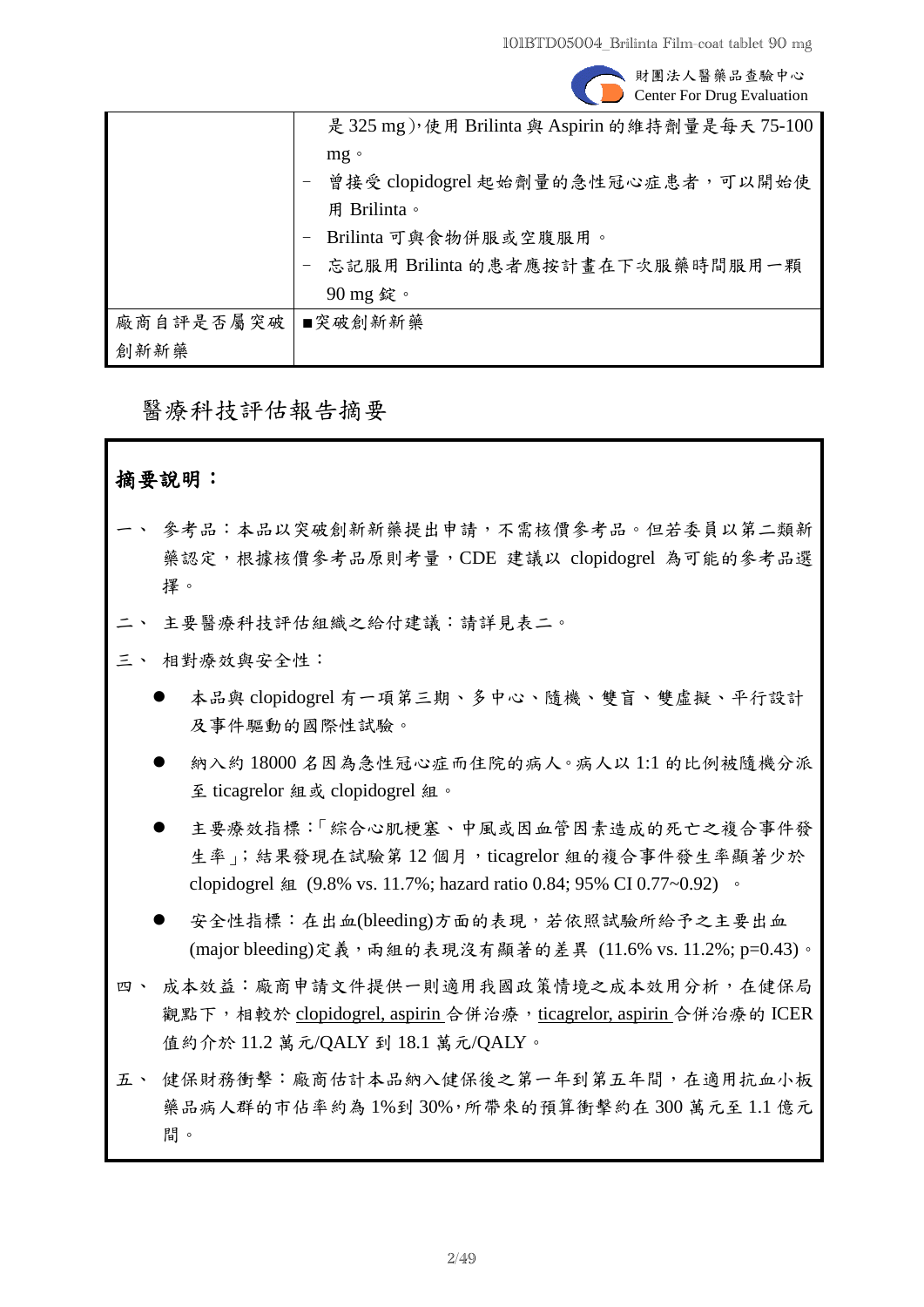

財團法人醫藥品查驗中心 Center For Drug Evaluation

|                   | 是 325 mg), 使用 Brilinta 與 Aspirin 的維持劑量是每天 75-100 |
|-------------------|--------------------------------------------------|
|                   | $mg \circ$                                       |
|                   | 曾接受 clopidogrel 起始劑量的急性冠心症患者,可以開始使               |
|                   | 用 Brilinta。                                      |
|                   | Brilinta 可與食物併服或空腹服用。                            |
|                   | 忘記服用 Brilinta 的患者應按計畫在下次服藥時間服用一顆                 |
|                   | 90 mg 錠。                                         |
| 廠商自評是否屬突破 ■突破創新新藥 |                                                  |
| 創新新藥              |                                                  |

## 醫療科技評估報告摘要

## 摘要說明:

- 參考品:本品以突破創新新藥提出申請,不需核價參考品。但若委員以第二類新 藥認定,根據核價參考品原則考量,CDE 建議以 clopidogrel 為可能的參考品選 擇。
- 主要醫療科技評估組織之給付建議:請詳見表二。
- 三、 相對療效與安全性:
	- 本品與 clopidogrel 有一項第三期、多中心、隨機、雙盲、雙虛擬、平行設計 及事件驅動的國際性試驗。
	- 納入約 18000 名因為急性冠心症而住院的病人。病人以 1:1 的比例被隨機分派 至 ticagrelor 組或 clopidogrel 組。
	- 主要療效指標:「綜合心肌梗塞、中風或因血管因素造成的死亡之複合事件發 生率」;結果發現在試驗第12個月, ticagrelor 組的複合事件發生率顯著少於 clopidogrel 組 (9.8% vs. 11.7%; hazard ratio 0.84; 95% CI 0.77~0.92) 。
	- 安全性指標: 在出血(bleeding)方面的表現,若依照試驗所給予之主要出血 (major bleeding)定義,兩組的表現沒有顯著的差異 (11.6% vs. 11.2%; p=0.43)。
- 四、 成本效益:廠商申請文件提供一則適用我國政策情境之成本效用分析,在健保局 觀點下,相較於 clopidogrel, aspirin 合併治療, ticagrelor, aspirin 合併治療的 ICER 值約介於 11.2 萬元/QALY 到 18.1 萬元/QALY。
- 五、 健保財務衝擊:廠商估計本品納入健保後之第一年到第五年間,在適用抗血小板 藥品病人群的市佔率約為 1%到 30%,所帶來的預算衝擊約在 300 萬元至 1.1 億元 間。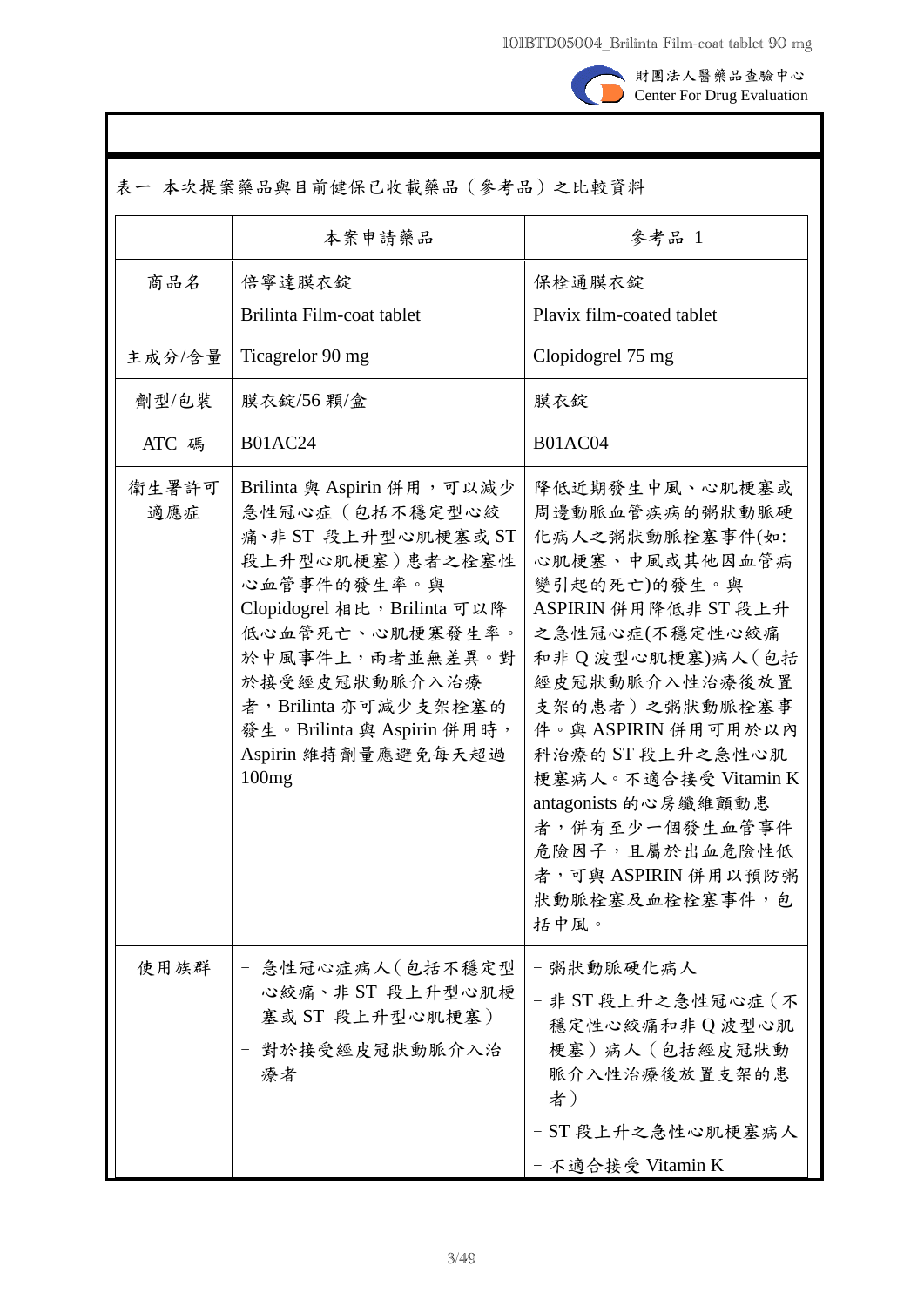

財團法人醫藥品查驗中心 Center For Drug Evaluation

| 表一 本次提案藥品與目前健保已收載藥品(參考品)之比較資料 |                                                                                                                                                                                                                                                                                     |                                                                                                                                                                                                                                                                                                                                                                        |
|-------------------------------|-------------------------------------------------------------------------------------------------------------------------------------------------------------------------------------------------------------------------------------------------------------------------------------|------------------------------------------------------------------------------------------------------------------------------------------------------------------------------------------------------------------------------------------------------------------------------------------------------------------------------------------------------------------------|
|                               | 本案申請藥品                                                                                                                                                                                                                                                                              | 參考品 1                                                                                                                                                                                                                                                                                                                                                                  |
| 商品名                           | 倍寧達膜衣錠<br>Brilinta Film-coat tablet                                                                                                                                                                                                                                                 | 保栓通膜衣錠<br>Plavix film-coated tablet                                                                                                                                                                                                                                                                                                                                    |
| 主成分/含量                        | Ticagrelor 90 mg                                                                                                                                                                                                                                                                    | Clopidogrel 75 mg                                                                                                                                                                                                                                                                                                                                                      |
| 劑型/包裝                         | 膜衣錠/56顆/盒                                                                                                                                                                                                                                                                           | 膜衣錠                                                                                                                                                                                                                                                                                                                                                                    |
| ATC 碼                         | <b>B01AC24</b>                                                                                                                                                                                                                                                                      | <b>B01AC04</b>                                                                                                                                                                                                                                                                                                                                                         |
| 衛生署許可<br>適應症                  | Brilinta 與 Aspirin 併用,可以減少<br>急性冠心症(包括不穩定型心絞<br>痛、非 ST 段上升型心肌梗塞或 ST<br>段上升型心肌梗塞)患者之栓塞性<br>心血管事件的發生率。與<br>Clopidogrel 相比, Brilinta 可以降<br>低心血管死亡、心肌梗塞發生率。<br>於中風事件上,兩者並無差異。對<br>於接受經皮冠狀動脈介入治療<br>者, Brilinta 亦可減少支架栓塞的<br>發生。Brilinta 與 Aspirin 併用時,<br>Aspirin 維持劑量應避免每天超過<br>100mg | 降低近期發生中風、心肌梗塞或<br>周邊動脈血管疾病的粥狀動脈硬<br>化病人之粥狀動脈栓塞事件(如:<br>心肌梗塞、中風或其他因血管病<br>變引起的死亡)的發生。與<br>ASPIRIN 併用降低非 ST 段上升<br>之急性冠心症(不穩定性心絞痛<br>和非Q波型心肌梗塞)病人(包括<br>經皮冠狀動脈介入性治療後放置<br>支架的患者)之粥狀動脈栓塞事<br>件。與 ASPIRIN 併用可用於以內<br>科治療的 ST 段上升之急性心肌<br>梗塞病人。不適合接受 Vitamin K<br>antagonists 的心房纖維顫動患<br>者,併有至少一個發生血管事件<br>危險因子,且屬於出血危險性低<br>者,可與 ASPIRIN 併用以預防粥<br>狀動脈栓塞及血栓栓塞事件,包<br>括中風。 |
| 使用族群                          | 急性冠心症病人(包括不穩定型<br>心絞痛、非 ST 段上升型心肌梗<br>塞或 ST 段上升型心肌梗塞)<br>對於接受經皮冠狀動脈介入治<br>療者                                                                                                                                                                                                        | 粥狀動脈硬化病人<br>- 非 ST 段上升之急性冠心症 (不<br>穩定性心絞痛和非Q波型心肌<br>梗塞)病人 (包括經皮冠狀動<br>脈介入性治療後放置支架的患<br>者)<br>- ST 段上升之急性心肌梗塞病人<br>- 不適合接受 Vitamin K                                                                                                                                                                                                                                    |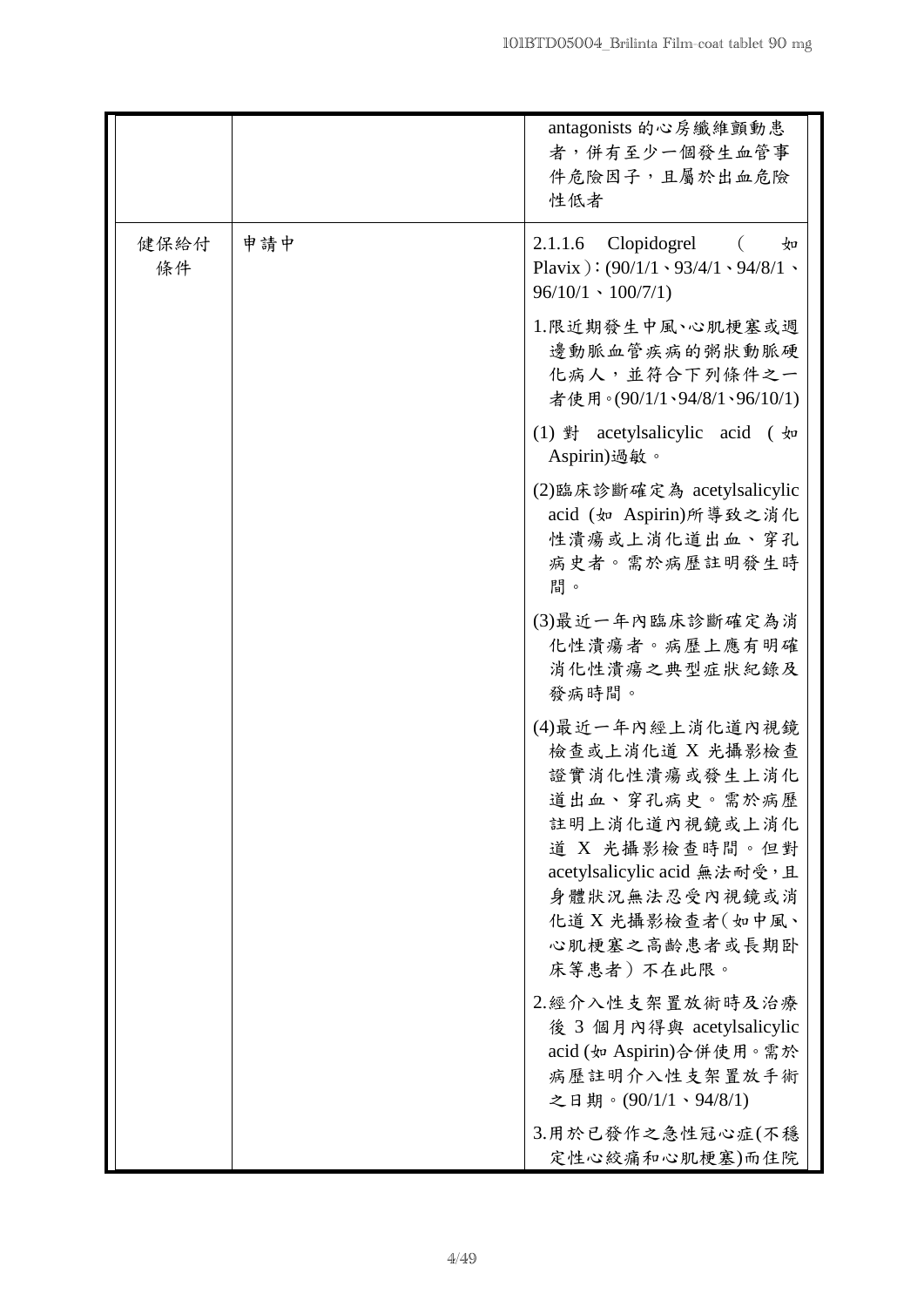|            |     | antagonists 的心房纖維顫動患<br>者,併有至少一個發生血管事<br>件危險因子,且屬於出血危險<br>性低者                                                                                                                                               |
|------------|-----|-------------------------------------------------------------------------------------------------------------------------------------------------------------------------------------------------------------|
| 健保給付<br>條件 | 申請中 | $2.1.1.6$ Clopidogrel $($<br>$\frac{1}{2}$<br>Plavix ): $(90/1/1 \cdot 93/4/1 \cdot 94/8/1 \cdot$<br>$96/10/1 \cdot 100/7/1$                                                                                |
|            |     | 1.限近期發生中風、心肌梗塞或週<br>邊動脈血管疾病的粥狀動脈硬<br>化病人,並符合下列條件之一<br>者使用。(90/1/1、94/8/1、96/10/1)                                                                                                                           |
|            |     | (1) 對 acetylsalicylic acid (如<br>Aspirin)過敏。                                                                                                                                                                |
|            |     | (2)臨床診斷確定為 acetylsalicylic<br>acid (如 Aspirin)所導致之消化<br>性潰瘍或上消化道出血、穿孔<br>病史者。需於病歷註明發生時<br>間。                                                                                                                |
|            |     | (3)最近一年內臨床診斷確定為消<br>化性潰瘍者。病歷上應有明確<br>消化性潰瘍之典型症狀紀錄及<br>發病時間。                                                                                                                                                 |
|            |     | (4)最近一年內經上消化道內視鏡<br>檢查或上消化道 X 光攝影檢查<br>證實消化性潰瘍或發生上消化<br>道出血、穿孔病史。需於病歷<br>註明上消化道內視鏡或上消化<br>道 X 光攝影檢查時間。但對<br>acetylsalicylic acid 無法耐受,且<br>身體狀況無法忍受內視鏡或消<br>化道 X 光攝影檢查者(如中風、<br>心肌梗塞之高齡患者或長期卧<br>床等患者)不在此限。 |
|            |     | 2.經介入性支架置放術時及治療<br>後 3 個月內得與 acetylsalicylic<br>acid (如 Aspirin)合併使用。需於<br>病歷註明介入性支架置放手術<br>之日期。(90/1/1、94/8/1)                                                                                             |
|            |     | 3.用於已發作之急性冠心症(不穩<br>定性心絞痛和心肌梗塞)而住院                                                                                                                                                                          |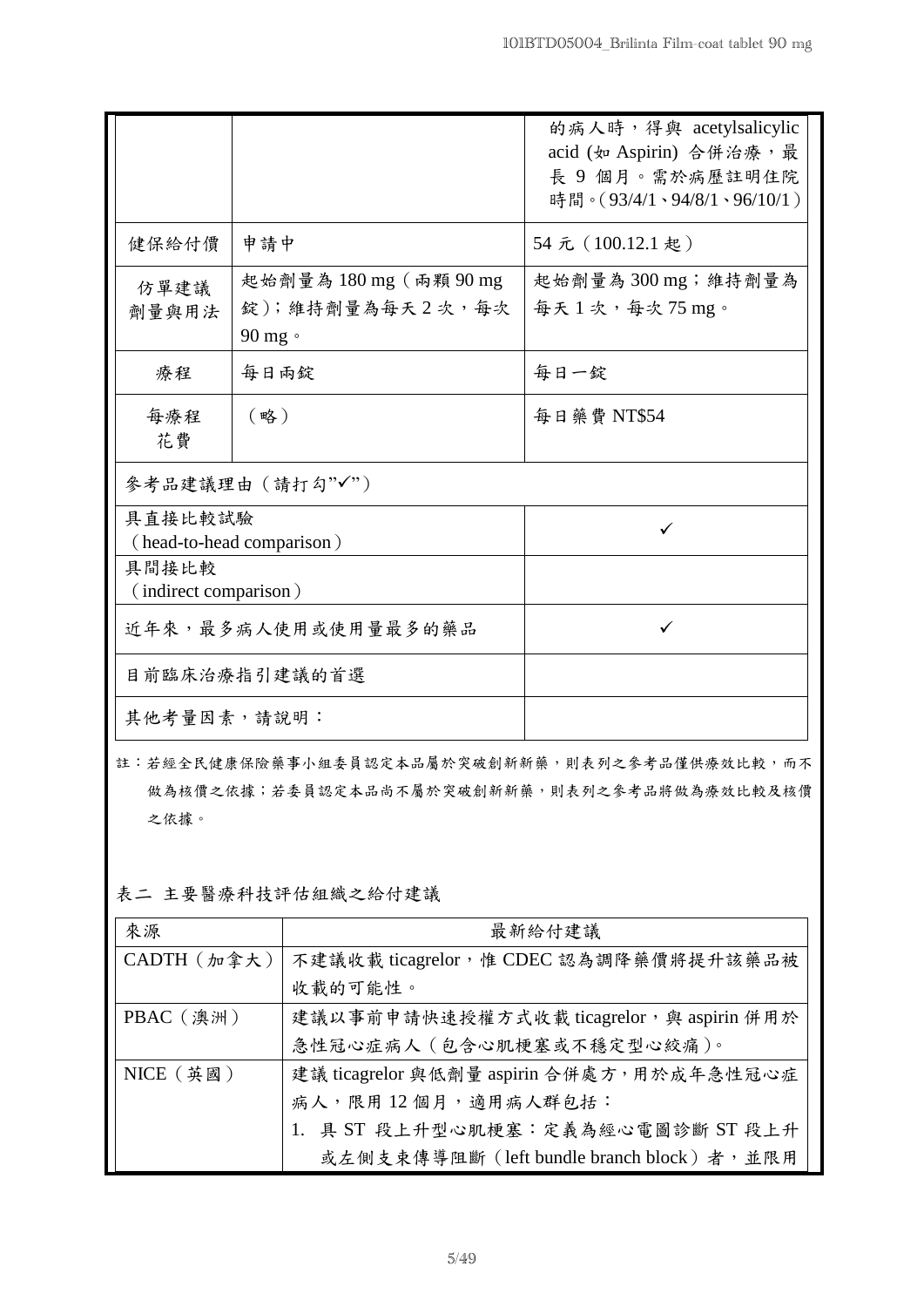|                                      |                                                                | 的病人時, 得與 acetylsalicylic<br>acid (如 Aspirin) 合併治療,最<br>長 9 個月。需於病歷註明住院<br>時間。(93/4/1、94/8/1、96/10/1) |
|--------------------------------------|----------------------------------------------------------------|------------------------------------------------------------------------------------------------------|
| 健保給付價                                | 申請中                                                            | 54元 (100.12.1 起)                                                                                     |
| 仿單建議<br>劑量與用法                        | 起始劑量為 180 mg (兩顆 90 mg<br>錠);維持劑量為每天2次,每次<br>$90$ mg $\degree$ | 起始劑量為 300 mg;維持劑量為<br> 每天 1 次,每次 75 mg。                                                              |
| 療程                                   | 每日兩錠                                                           | 每日一錠                                                                                                 |
| 每療程<br>花費                            | (略)                                                            | 每日藥費 NT\$54                                                                                          |
|                                      | 參考品建議理由 (請打勾"√")                                               |                                                                                                      |
| 具直接比較試驗<br>(head-to-head comparison) |                                                                | ✓                                                                                                    |
| 具間接比較<br>(indirect comparison)       |                                                                |                                                                                                      |
| 近年來,最多病人使用或使用量最多的藥品                  |                                                                | ✓                                                                                                    |
| 目前臨床治療指引建議的首選                        |                                                                |                                                                                                      |
| 其他考量因素,請說明:                          |                                                                |                                                                                                      |

- 註:若經全民健康保險藥事小組委員認定本品屬於突破創新新藥,則表列之參考品僅供療效比較,而不 做為核價之依據;若委員認定本品尚不屬於突破創新新藥,則表列之參考品將做為療效比較及核價 之依據。
- 表二 主要醫療科技評估組織之給付建議

| 來源                 | 最新給付建議                                    |
|--------------------|-------------------------------------------|
| $CADTH$ $(m$ 拿 大 ) | 不建議收載 ticagrelor, 惟 CDEC 認為調降藥價將提升該藥品被    |
|                    | 收載的可能性。                                   |
| PBAC (澳洲)          | 建議以事前申請快速授權方式收載 ticagrelor, 與 aspirin 併用於 |
|                    | 急性冠心症病人 (包含心肌梗塞或不穩定型心絞痛)。                 |
| $NICE$ (英國)        | 建議 ticagrelor 與低劑量 aspirin 合併處方,用於成年急性冠心症 |
|                    | 病人,限用12個月,適用病人群包括:                        |
|                    | 具 ST 段上升型心肌梗塞:定義為經心電圖診斷 ST 段上升            |
|                    | 或左側支束傳導阻斷 (left bundle branch block)者,並限用 |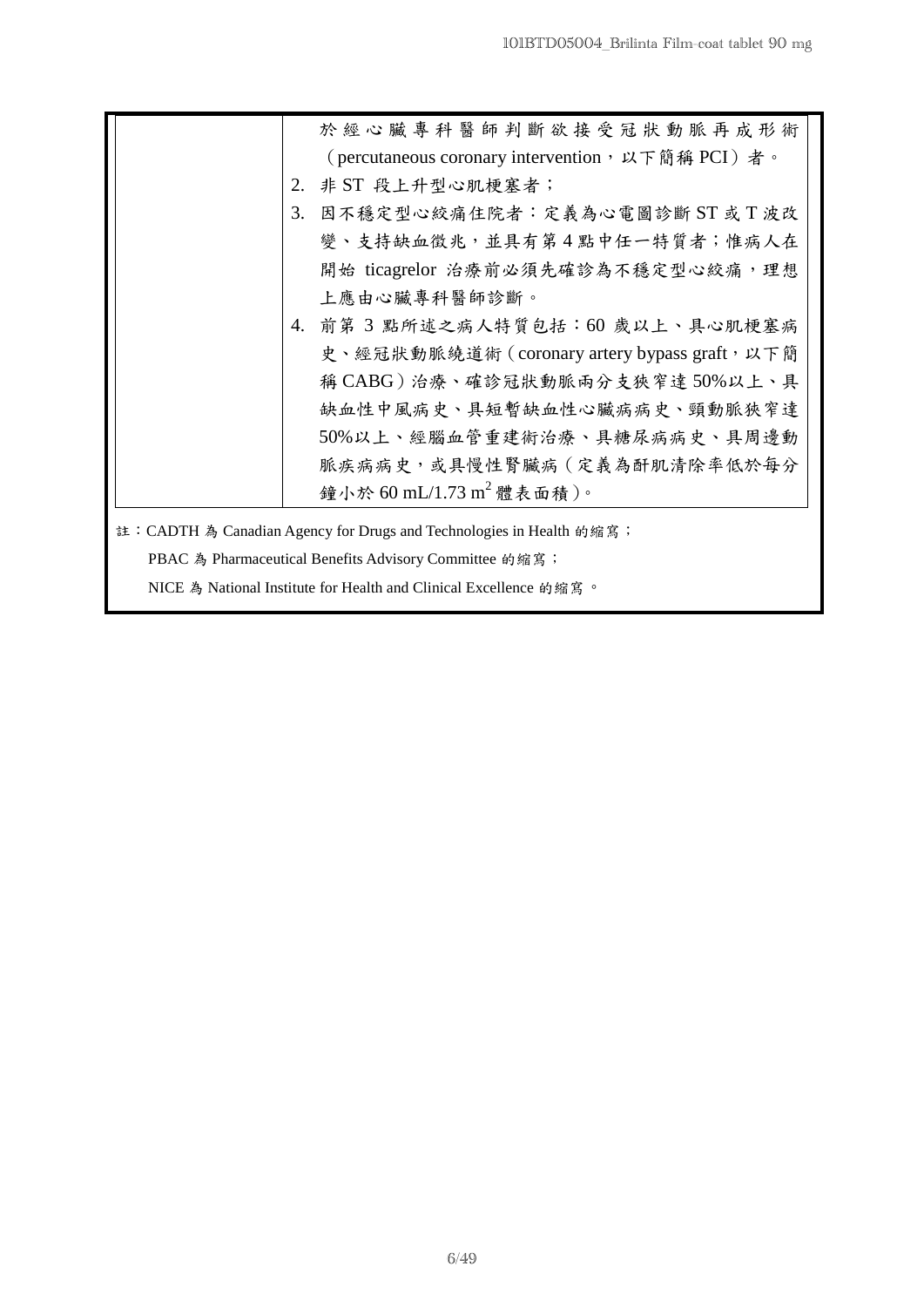| 於經心臟專科醫師判斷欲接受冠狀動脈再成形術                                                                                                                                  |
|--------------------------------------------------------------------------------------------------------------------------------------------------------|
| (percutaneous coronary intervention, 以下簡稱 PCI)者。                                                                                                       |
| 2. 非 ST 段上升型心肌梗塞者;                                                                                                                                     |
| 因不穩定型心絞痛住院者:定義為心電圖診斷 ST 或 T 波改<br>3.                                                                                                                   |
| 變、支持缺血徵兆,並具有第4點中任一特質者;惟病人在                                                                                                                             |
| 開始 ticagrelor 治療前必須先確診為不穩定型心絞痛, 理想                                                                                                                     |
| 上應由心臟專科醫師診斷。                                                                                                                                           |
| 前第3點所述之病人特質包括:60歲以上、具心肌梗塞病<br>4.                                                                                                                       |
| 史、經冠狀動脈繞道術 (coronary artery bypass graft, 以下簡                                                                                                          |
| 稱 CABG)治療、確診冠狀動脈兩分支狹窄達 50%以上、具                                                                                                                         |
| 缺血性中風病史、具短暫缺血性心臟病病史、頸動脈狹窄達                                                                                                                             |
| 50%以上、經腦血管重建術治療、具糖尿病病史、具周邊動                                                                                                                            |
| 脈疾病病史,或具慢性腎臟病(定義為酐肌清除率低於每分                                                                                                                             |
| 鐘小於 60 mL/1.73 m <sup>2</sup> 體表面積)。                                                                                                                   |
| 註: CADTH 為 Canadian Agency for Drugs and Technologies in Health 的缩寫;<br>$\mathbf{D} \mathbf{D} \mathbf{A} \mathbf{C} \mathbf{A} \mathbf{D} \mathbf{I}$ |

PBAC 為 Pharmaceutical Benefits Advisory Committee 的缩寫;

NICE 為 National Institute for Health and Clinical Excellence 的縮寫。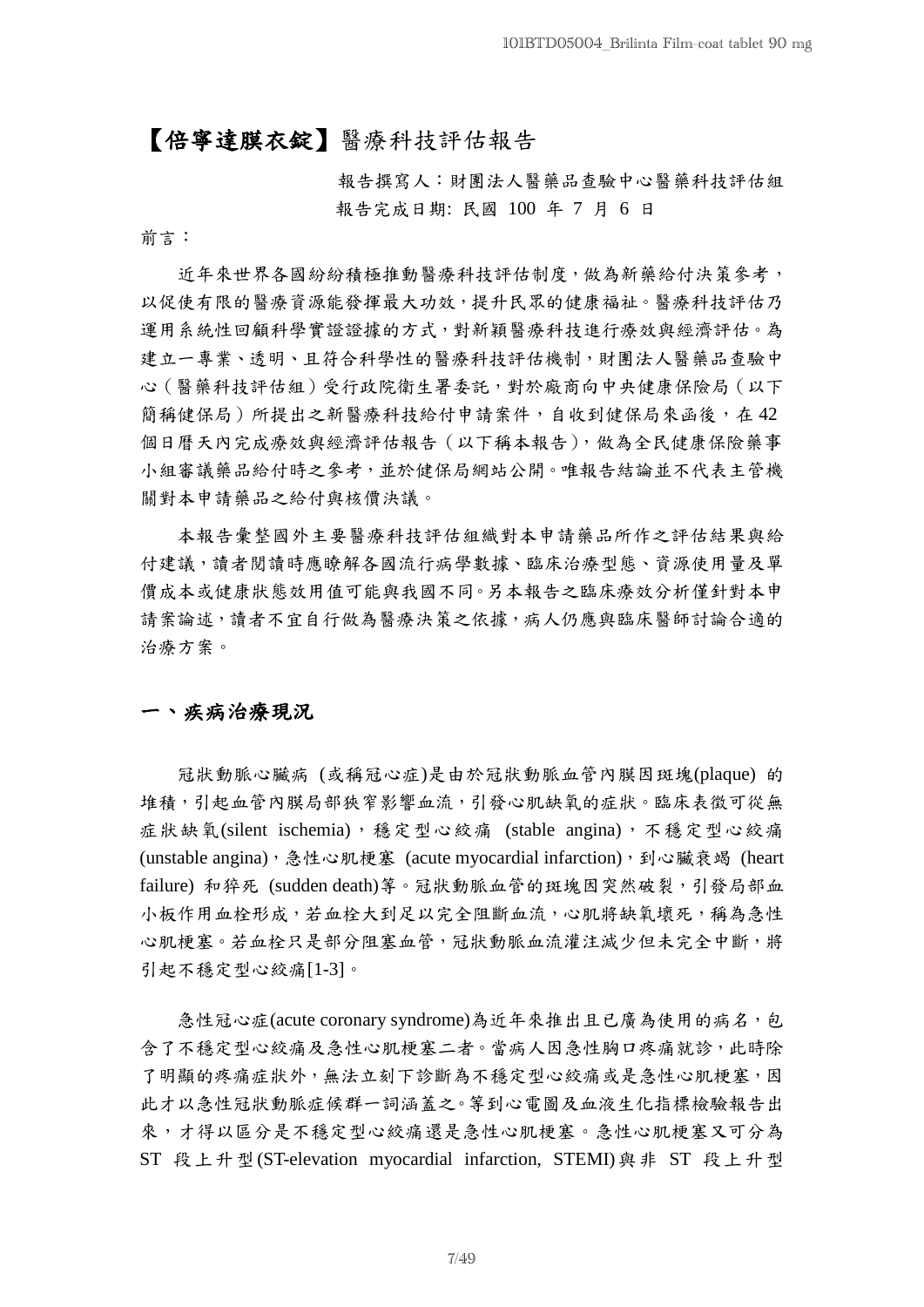## 【倍寧達膜衣錠】醫療科技評估報告

報告撰寫人:財團法人醫藥品查驗中心醫藥科技評估組 報告完成日期: 民國 100 年 7 月 6 日

前言:

近年來世界各國紛紛積極推動醫療科技評估制度,做為新藥給付決策參考, 以促使有限的醫療資源能發揮最大功效,提升民眾的健康福祉。醫療科技評估乃 運用系統性回顧科學實證證據的方式,對新穎醫療科技進行療效與經濟評估。為 建立一專業、透明、且符合科學性的醫療科技評估機制,財團法人醫藥品查驗中 心(醫藥科技評估組)受行政院衛生署委託,對於廠商向中央健康保險局(以下 簡稱健保局)所提出之新醫療科技給付申請案件,自收到健保局來函後,在42 個日曆天內完成療效與經濟評估報告(以下稱本報告),做為全民健康保險藥事 小組審議藥品給付時之參考,並於健保局網站公開。唯報告結論並不代表主管機 關對本申請藥品之給付與核價決議。

本報告彙整國外主要醫療科技評估組織對本申請藥品所作之評估結果與給 付建議,讀者閱讀時應瞭解各國流行病學數據、臨床治療型態、資源使用量及單 價成本或健康狀態效用值可能與我國不同。另本報告之臨床療效分析僅針對本申 請案論述,讀者不宜自行做為醫療決策之依據,病人仍應與臨床醫師討論合適的 治療方案。

## 一、疾病治療現況

冠狀動脈心臟病 (或稱冠心症)是由於冠狀動脈血管內膜因斑塊(plaque) 的 堆積,引起血管內膜局部狹窄影響血流,引發心肌缺氧的症狀。臨床表徵可從無 症狀缺氧(silent ischemia),穩定型心絞痛 (stable angina),不穩定型心絞痛 (unstable angina),急性心肌梗塞 (acute myocardial infarction),到心臟衰竭 (heart failure) 和猝死 (sudden death)等。冠狀動脈血管的斑塊因突然破裂,引發局部血 小板作用血栓形成,若血栓大到足以完全阻斷血流,心肌將缺氧壞死,稱為急性 心肌梗塞。若血栓只是部分阻塞血管,冠狀動脈血流灌注減少但未完全中斷,將 引起不穩定型心絞痛[1-3]。

急性冠心症(acute coronary syndrome)為近年來推出且已廣為使用的病名,包 含了不穩定型心絞痛及急性心肌梗塞二者。當病人因急性胸口疼痛就診,此時除 了明顯的疼痛症狀外,無法立刻下診斷為不穩定型心絞痛或是急性心肌梗塞,因 此才以急性冠狀動脈症候群一詞涵蓋之。等到心電圖及血液生化指標檢驗報告出 來,才得以區分是不穩定型心絞痛還是急性心肌梗塞。急性心肌梗塞又可分為 ST 段上升型(ST-elevation myocardial infarction, STEMI)與非 ST 段上升型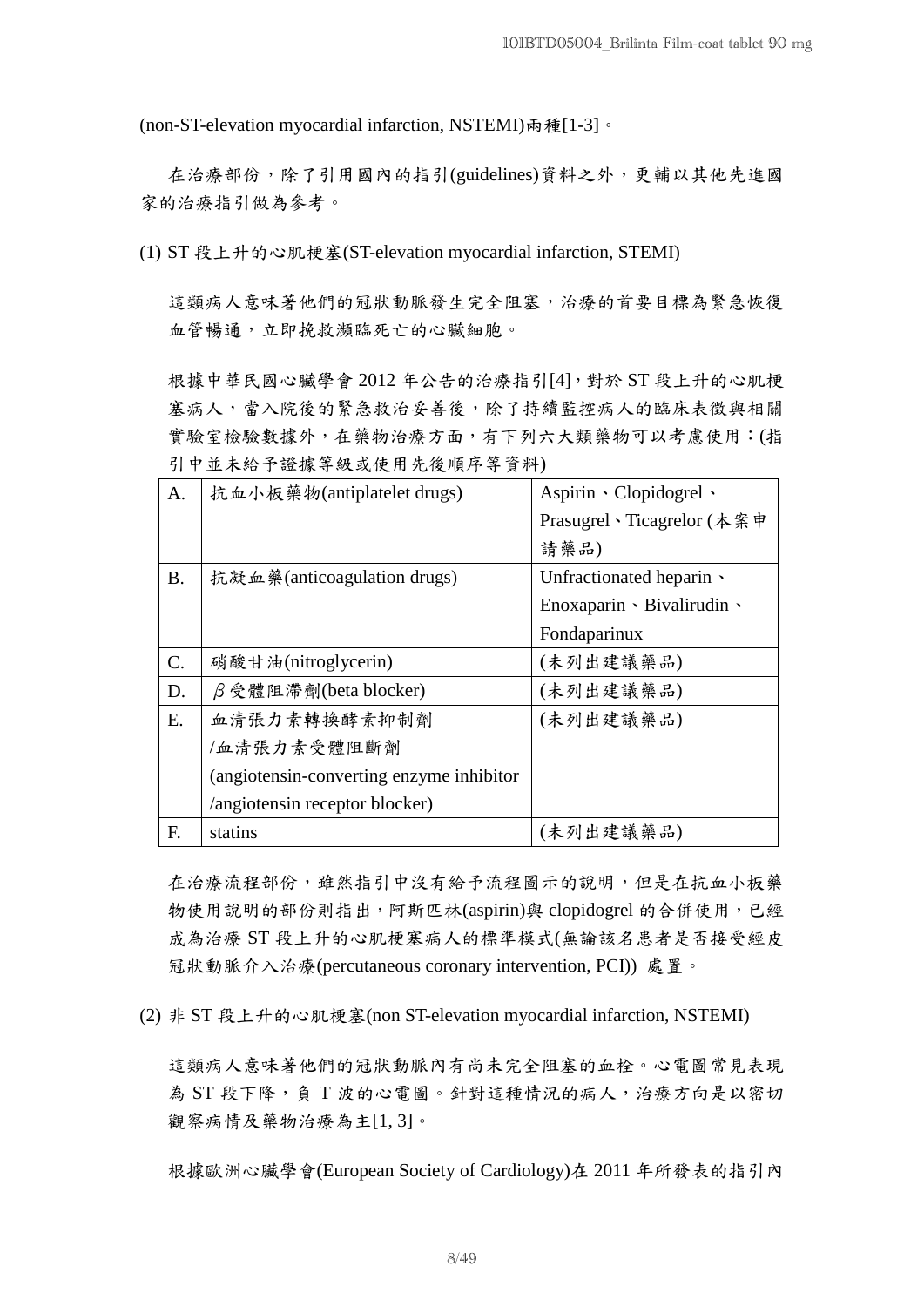(non-ST-elevation myocardial infarction, NSTEMI)兩種[1-3]。

在治療部份,除了引用國內的指引(guidelines)資料之外,更輔以其他先進國 家的治療指引做為參考。

(1) ST 段上升的心肌梗塞(ST-elevation myocardial infarction, STEMI)

這類病人意味著他們的冠狀動脈發生完全阻塞,治療的首要目標為緊急恢復 血管暢通,立即挽救瀕臨死亡的心臟細胞。

根據中華民國心臟學會 2012 年公告的治療指引[4],對於 ST 段上升的心肌梗 塞病人,當入院後的緊急救治妥善後,除了持續監控病人的臨床表徵與相關 實驗室檢驗數據外,在藥物治療方面,有下列六大類藥物可以考慮使用:(指 引中並未給予證據等級或使用先後順序等資料)

| A.        | 抗血小板藥物(antiplatelet drugs)                | Aspirin $\cdot$ Clopidogrel $\cdot$ |
|-----------|-------------------------------------------|-------------------------------------|
|           |                                           | Prasugrel、Ticagrelor (本案申           |
|           |                                           | 請藥品)                                |
| <b>B.</b> | 抗凝血藥(anticoagulation drugs)               | Unfractionated heparin $\cdot$      |
|           |                                           | Enoxaparin · Bivalirudin ·          |
|           |                                           | Fondaparinux                        |
| C.        | 硝酸甘油(nitroglycerin)                       | (未列出建議藥品)                           |
| D.        | $\beta$ 受 體 阻 滯 劑(beta blocker)           | (未列出建議藥品)                           |
| Ε.        | 血清張力素轉換酵素抑制劑                              | (未列出建議藥品)                           |
|           | /血清張力素受體阻斷劑                               |                                     |
|           | (angiotensin-converting enzyme inhibitor) |                                     |
|           | /angiotensin receptor blocker)            |                                     |
| F.        | statins                                   | (未列出建議藥品)                           |

在治療流程部份,雖然指引中沒有給予流程圖示的說明,但是在抗血小板藥 物使用說明的部份則指出,阿斯匹林(aspirin)與 clopidogrel 的合併使用,已經 成為治療 ST 段上升的心肌梗塞病人的標準模式(無論該名患者是否接受經皮 冠狀動脈介入治療(percutaneous coronary intervention, PCI)) 處置。

(2) 非 ST 段上升的心肌梗塞(non ST-elevation myocardial infarction, NSTEMI)

這類病人意味著他們的冠狀動脈內有尚未完全阻塞的血栓。心電圖常見表現 為 ST 段下降,負 T 波的心電圖。針對這種情況的病人,治療方向是以密切 觀察病情及藥物治療為主[1,3]。

根據歐洲心臟學會(European Society of Cardiology)在 2011 年所發表的指引內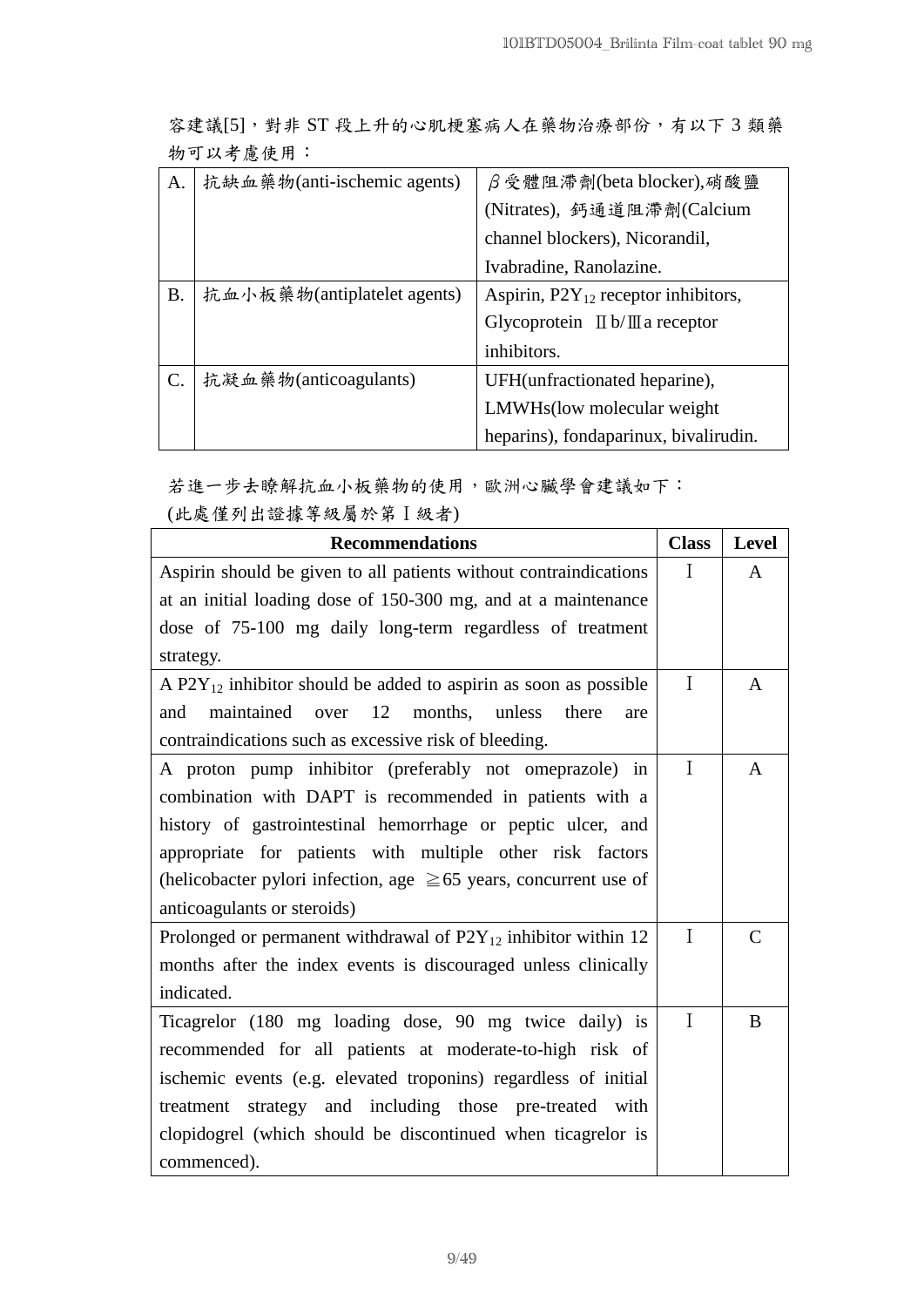容建議[5],對非 ST 段上升的心肌梗塞病人在藥物治療部份,有以下 3 類藥 物可以考慮使用:

| А.        | 抗缺血藥物(anti-ischemic agents) | $\beta$ 受體阻滯劑(beta blocker),硝酸鹽                      |
|-----------|-----------------------------|------------------------------------------------------|
|           |                             | (Nitrates), 鈣通道阻滯劑(Calcium                           |
|           |                             | channel blockers), Nicorandil,                       |
|           |                             | Ivabradine, Ranolazine.                              |
| <b>B.</b> | 抗血小板藥物(antiplatelet agents) | Aspirin, $P2Y_{12}$ receptor inhibitors,             |
|           |                             | Glycoprotein $\mathbb{I}$ b/ $\mathbb{I}$ a receptor |
|           |                             | inhibitors.                                          |
|           | 抗凝血藥物(anticoagulants)       | UFH(unfractionated heparine),                        |
|           |                             | LMWHs(low molecular weight)                          |
|           |                             | heparins), fondaparinux, bivalirudin.                |

若進一步去瞭解抗血小板藥物的使用,歐洲心臟學會建議如下: (此處僅列出證據等級屬於第Ι級者)

| <b>Recommendations</b>                                                 | <b>Class</b> | Level         |
|------------------------------------------------------------------------|--------------|---------------|
| Aspirin should be given to all patients without contraindications      | $\mathbf{I}$ | A             |
| at an initial loading dose of 150-300 mg, and at a maintenance         |              |               |
| dose of 75-100 mg daily long-term regardless of treatment              |              |               |
| strategy.                                                              |              |               |
| A $P2Y_{12}$ inhibitor should be added to aspirin as soon as possible  | I            | A             |
| maintained<br>12<br>months,<br>over<br>unless<br>there<br>and<br>are   |              |               |
| contraindications such as excessive risk of bleeding.                  |              |               |
| A proton pump inhibitor (preferably not omeprazole) in                 | I            | A             |
| combination with DAPT is recommended in patients with a                |              |               |
| history of gastrointestinal hemorrhage or peptic ulcer, and            |              |               |
| appropriate for patients with multiple other risk factors              |              |               |
| (helicobacter pylori infection, age $\geq 65$ years, concurrent use of |              |               |
| anticoagulants or steroids)                                            |              |               |
| Prolonged or permanent withdrawal of $P2Y_{12}$ inhibitor within 12    | I            | $\mathcal{C}$ |
| months after the index events is discouraged unless clinically         |              |               |
| indicated.                                                             |              |               |
| Ticagrelor (180 mg loading dose, 90 mg twice daily) is                 | I            | B             |
| recommended for all patients at moderate-to-high risk of               |              |               |
| ischemic events (e.g. elevated troponins) regardless of initial        |              |               |
| treatment strategy and including those pre-treated with                |              |               |
| clopidogrel (which should be discontinued when ticagrelor is           |              |               |
| commenced).                                                            |              |               |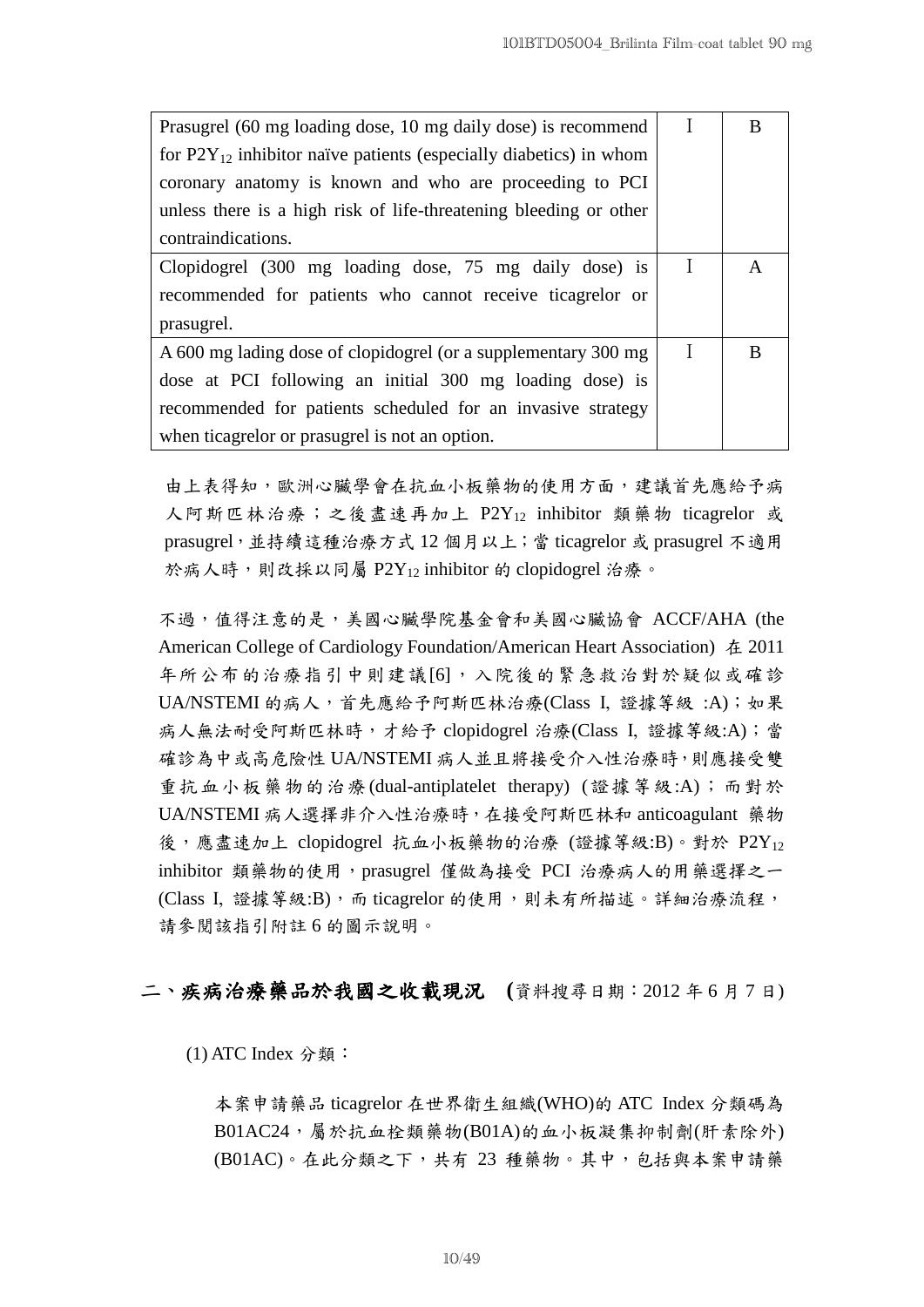| Prasugrel (60 mg loading dose, 10 mg daily dose) is recommend          |   | В |
|------------------------------------------------------------------------|---|---|
| for $P2Y_{12}$ inhibitor naïve patients (especially diabetics) in whom |   |   |
| coronary anatomy is known and who are proceeding to PCI                |   |   |
| unless there is a high risk of life-threatening bleeding or other      |   |   |
| contraindications.                                                     |   |   |
| Clopidogrel (300 mg loading dose, 75 mg daily dose) is                 | I | A |
| recommended for patients who cannot receive ticagrelor or              |   |   |
| prasugrel.                                                             |   |   |
| A 600 mg lading dose of clopidogrel (or a supplementary 300 mg         |   | B |
| dose at PCI following an initial 300 mg loading dose) is               |   |   |
| recommended for patients scheduled for an invasive strategy            |   |   |
| when ticagrelor or prasugrel is not an option.                         |   |   |

由上表得知,歐洲心臟學會在抗血小板藥物的使用方面,建議首先應給予病 人阿斯匹林治療;之後盡速再加上 P2Y<sub>12</sub> inhibitor 類藥物 ticagrelor 或 prasugrel, 並持續這種治療方式 12 個月以上;當 ticagrelor 或 prasugrel 不適用 於病人時,則改採以同屬 P2Y12 inhibitor 的 clopidogrel 治療。

不過,值得注意的是,美國心臟學院基金會和美國心臟協會 ACCF/AHA (the American College of Cardiology Foundation/American Heart Association) 在 2011 年所公布的治療指引中則建議[6],入院後的緊急救治對於疑似或確診 UA/NSTEMI 的病人,首先應給予阿斯匹林治療(Class I, 證據等級:A);如果 病人無法耐受阿斯匹林時,才給予 clopidogrel 治療(Class Ι, 證據等級:A);當 確診為中或高危險性 UA/NSTEMI 病人並且將接受介入性治療時,則應接受雙 重抗血小板藥物的治療(dual-antiplatelet therapy) (證據等級:A);而對於 UA/NSTEMI 病人選擇非介入性治療時,在接受阿斯匹林和 anticoagulant 藥物 後,應盡速加上 clopidogrel 抗血小板藥物的治療 (證據等級:B)。對於  $P2Y_{12}$ inhibitor 類藥物的使用, prasugrel 僅做為接受 PCI 治療病人的用藥選擇之一 (Class I, 證據等級:B), 而 ticagrelor 的使用,則未有所描述。詳細治療流程, 請參閱該指引附註 6 的圖示說明。

## 二、疾病治療藥品於我國之收載現況 **(**資料搜尋日期:2012 年 6 月 7 日)

 $(1)$  ATC Index 分類:

本案申請藥品 ticagrelor 在世界衛生組織(WHO)的 ATC Index 分類碼為  $B01AC24$ , 屬於抗血栓類藥物 $(B01A)$ 的血小板凝集抑制劑 $(F \overline{\ast})$ 除外 (B01AC)。在此分類之下,共有 23 種藥物。其中,包括與本案申請藥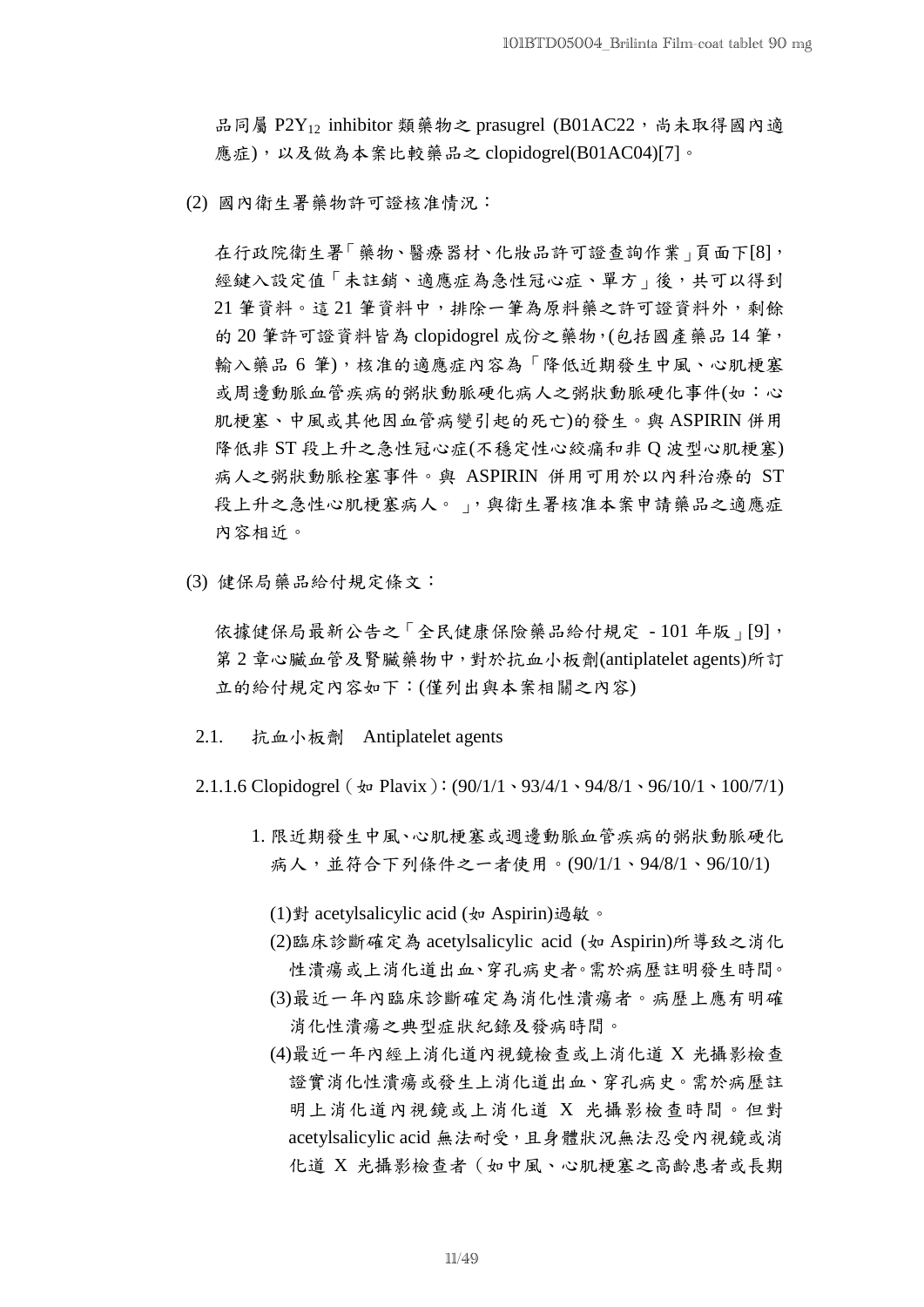品同屬 P2Y<sub>12</sub> inhibitor 類藥物之 prasugrel (B01AC22,尚未取得國內適 應症),以及做為本案比較藥品之 clopidogrel(B01AC04)[7]。

(2) 國內衛生署藥物許可證核准情況:

在行政院衛生署「藥物、醫療器材、化妝品許可證查詢作業」頁面下[8], 經鍵入設定值「未註銷、適應症為急性冠心症、單方」後,共可以得到 21 筆資料。這 21 筆資料中,排除一筆為原料藥之許可證資料外,剩餘 的 20 筆許可證資料皆為 clopidogrel 成份之藥物,(包括國產藥品 14 筆, 輸入藥品 6 筆),核准的適應症內容為「降低近期發生中風、心肌梗塞 或周邊動脈血管疾病的粥狀動脈硬化病人之粥狀動脈硬化事件(如:心 肌梗塞、中風或其他因血管病變引起的死亡)的發生。與 ASPIRIN 併用 降低非 ST 段上升之急性冠心症(不穩定性心絞痛和非 Q 波型心肌梗塞) 病人之粥狀動脈栓塞事件。與 ASPIRIN 併用可用於以內科治療的 ST 段上升之急性心肌梗塞病人。 」,與衛生署核准本案申請藥品之適應症 內容相近。

(3) 健保局藥品給付規定條文:

依據健保局最新公告之「全民健康保險藥品給付規定 - 101 年版 | [9], 第 2 章心臟血管及腎臟藥物中,對於抗血小板劑(antiplatelet agents)所訂 立的給付規定內容如下:(僅列出與本案相關之內容)

- 2.1. 抗血小板劑 Antiplatelet agents
- 2.1.1.6 Clopidogrel ( $\angle$  Plavix): (90/1/1、93/4/1、94/8/1、96/10/1、100/7/1)
	- 1. 限近期發生中風、心肌梗塞或週邊動脈血管疾病的粥狀動脈硬化 病人,並符合下列條件之一者使用。(90/1/1、94/8/1、96/10/1)

(1)對 acetylsalicylic acid (如 Aspirin)過敏。

- (2)臨床診斷確定為 acetylsalicylic acid (如 Aspirin)所導致之消化 性潰瘍或上消化道出血、穿孔病史者。需於病歷註明發生時間。
- (3)最近一年內臨床診斷確定為消化性潰瘍者。病歷上應有明確 消化性潰瘍之典型症狀紀錄及發病時間。
- (4)最近一年內經上消化道內視鏡檢查或上消化道 X 光攝影檢查 證實消化性潰瘍或發生上消化道出血、穿孔病史。需於病歷註 明上消化道內視鏡或上消化道 X 光攝影檢查時間。但對 acetylsalicylic acid 無法耐受,且身體狀況無法忍受內視鏡或消 化道 X 光攝影檢查者(如中風、心肌梗塞之高齡患者或長期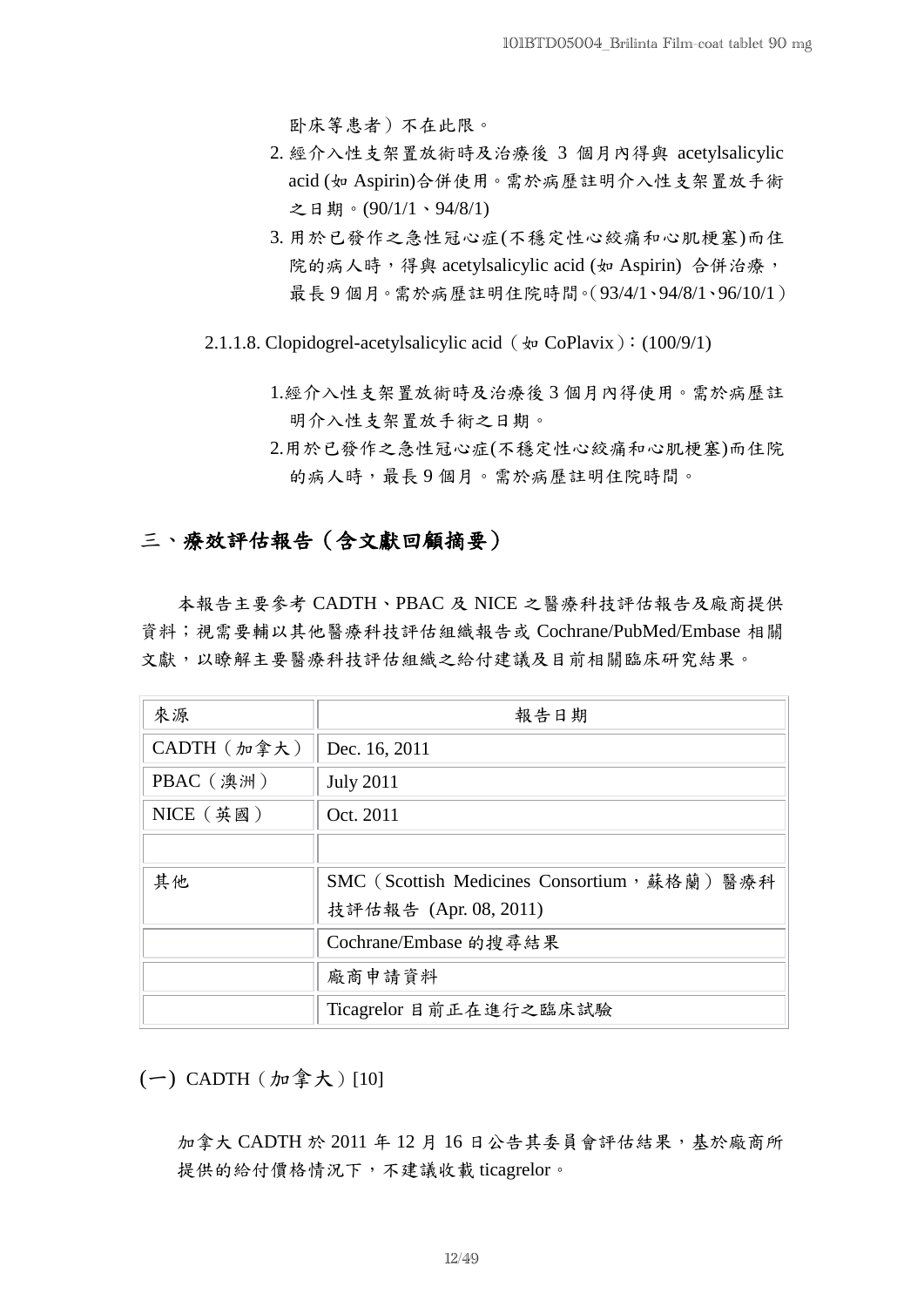卧床等患者)不在此限。

- 2. 經介入性支架置放術時及治療後 3 個月內得與 acetylsalicylic acid (如 Aspirin)合併使用。需於病歷註明介入性支架置放手術 之日期。(90/1/1、94/8/1)
- 3. 用於已發作之急性冠心症(不穩定性心絞痛和心肌梗塞)而住 院的病人時,得與 acetylsalicylic acid (如 Aspirin) 合併治療, 最長 9 個月。需於病歷註明住院時間。(93/4/1、94/8/1、96/10/1)
- 2.1.1.8. Clopidogrel-acetylsalicylic acid ( $\text{&}$  CoPlavix): (100/9/1)
	- 1.經介入性支架置放術時及治療後 3 個月內得使用。需於病歷註 明介入性支架置放手術之日期。
	- 2.用於已發作之急性冠心症(不穩定性心絞痛和心肌梗塞)而住院 的病人時,最長9個月。需於病歷註明住院時間。

## 三、療效評估報告(含文獻回顧摘要)

本報告主要參考 CADTH、PBAC 及 NICE 之醫療科技評估報告及廠商提供 資料;視需要輔以其他醫療科技評估組織報告或 Cochrane/PubMed/Embase 相關 文獻,以瞭解主要醫療科技評估組織之給付建議及目前相關臨床研究結果。

| 來源          | 報告日期                                         |  |
|-------------|----------------------------------------------|--|
| CADTH (加拿大) | Dec. 16, 2011                                |  |
| PBAC (澳洲)   | <b>July 2011</b>                             |  |
| $NICE$ (英國) | Oct. 2011                                    |  |
|             |                                              |  |
| 其他          | SMC (Scottish Medicines Consortium, 蘇格蘭) 醫療科 |  |
|             | 技評估報告 (Apr. 08, 2011)                        |  |
|             | Cochrane/Embase 的搜尋結果                        |  |
|             | 廠商申請資料                                       |  |
|             | Ticagrelor 目前正在進行之臨床試驗                       |  |

(一) CADTH(加拿大)[10]

加拿大 CADTH 於 2011 年 12 月 16 日公告其委員會評估結果, 基於廠商所 提供的給付價格情況下,不建議收載 ticagrelor。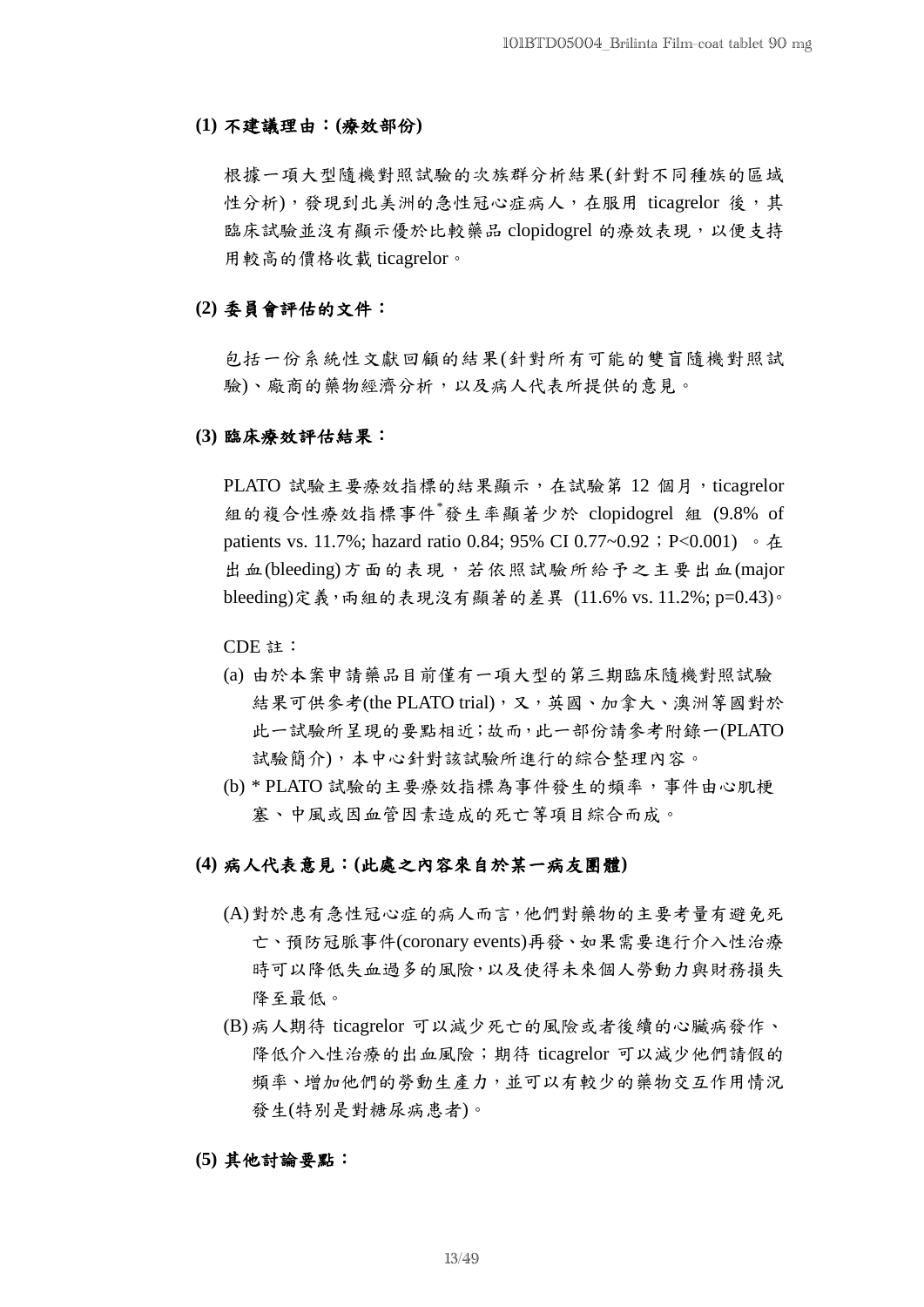#### **(1)** 不建議理由:**(**療效部份**)**

根據一項大型隨機對照試驗的次族群分析結果(針對不同種族的區域 性分析),發現到北美洲的急性冠心症病人,在服用 ticagrelor 後,其 臨床試驗並沒有顯示優於比較藥品 clopidogrel 的療效表現,以便支持 用較高的價格收載 ticagrelor。

#### **(2)** 委員會評估的文件:

包括一份系統性文獻回顧的結果(針對所有可能的雙盲隨機對照試 驗)、廠商的藥物經濟分析,以及病人代表所提供的意見。

#### **(3)** 臨床療效評估結果:

PLATO 試驗主要療效指標的結果顯示,在試驗第 12 個月, ticagrelor 組的複合性療效指標事件\*發生率顯著少於 clopidogrel 組 (9.8% of patients vs. 11.7%; hazard ratio 0.84; 95% CI 0.77~0.92; P<0.001) 。在 出血(bleeding)方面的表現,若依照試驗所給予之主要出血(major bleeding)定義,兩組的表現沒有顯著的差異 (11.6% vs. 11.2%; p=0.43)。

CDE 註:

- (a) 由於本案申請藥品目前僅有一項大型的第三期臨床隨機對照試驗 結果可供參考(the PLATO trial),又,英國、加拿大、澳洲等國對於 此一試驗所呈現的要點相近;故而,此一部份請參考附錄一(PLATO 試驗簡介),本中心針對該試驗所進行的綜合整理內容。
- (b) \* PLATO 試驗的主要療效指標為事件發生的頻率,事件由心肌梗 塞、中風或因血管因素造成的死亡等項目綜合而成。

### **(4)** 病人代表意見:**(**此處之內容來自於某一病友團體**)**

- (A)對於患有急性冠心症的病人而言,他們對藥物的主要考量有避免死 亡、預防冠脈事件(coronary events)再發、如果需要進行介入性治療 時可以降低失血過多的風險,以及使得未來個人勞動力與財務損失 降至最低。
- (B) 病人期待 ticagrelor 可以減少死亡的風險或者後續的心臟病發作、 降低介入性治療的出血風險;期待 ticagrelor 可以減少他們請假的 頻率、增加他們的勞動生產力,並可以有較少的藥物交互作用情況 發生(特別是對糖尿病患者)。

## **(5)** 其他討論要點: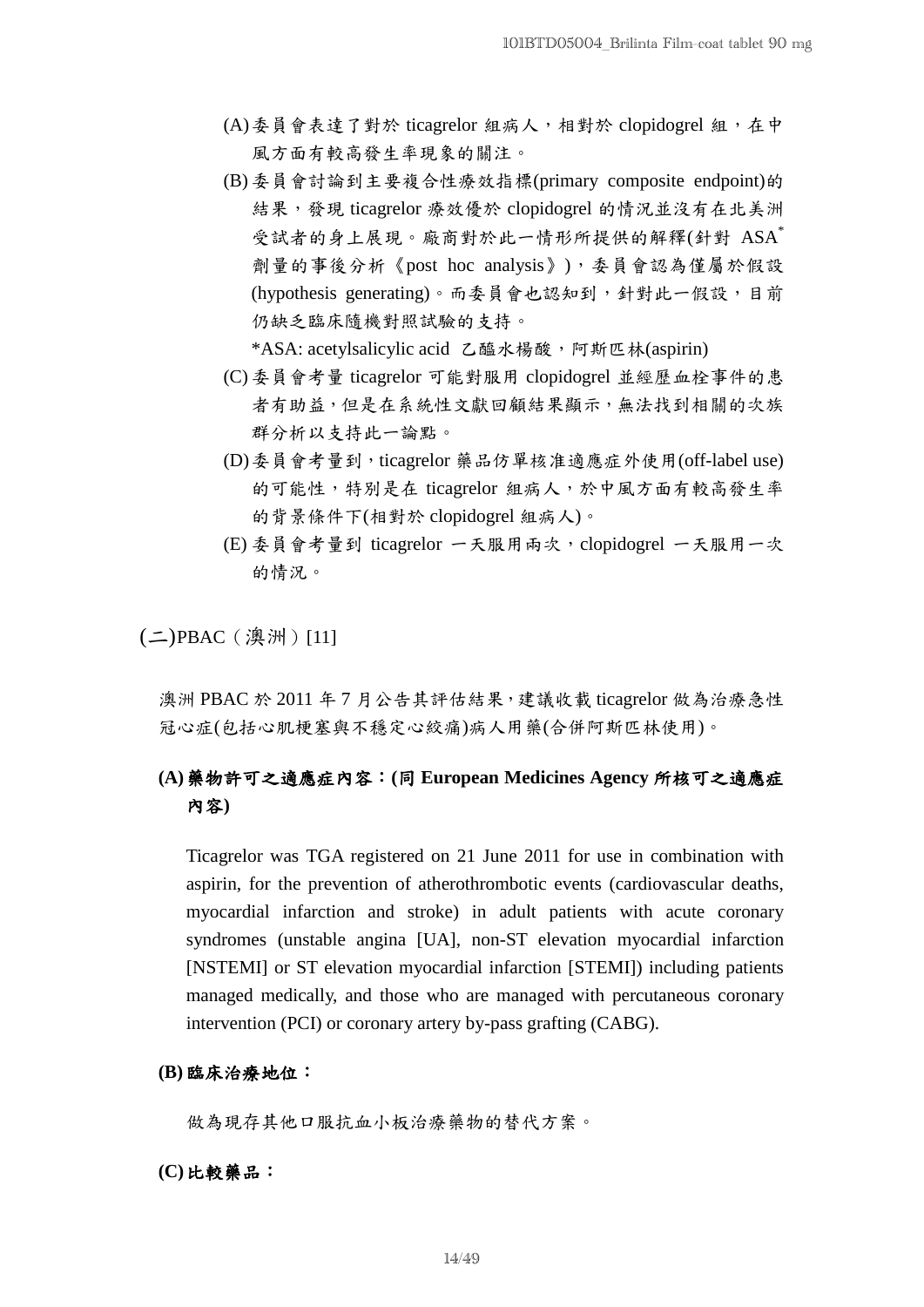- (A)委員會表達了對於 ticagrelor 組病人,相對於 clopidogrel 組,在中 風方面有較高發生率現象的關注。
- (B) 委員會討論到主要複合性療效指標(primary composite endpoint)的 結果,發現 ticagrelor 療效優於 clopidogrel 的情況並沒有在北美洲 受試者的身上展現。廠商對於此一情形所提供的解釋(針對 ASA<sup>\*</sup> 劑量的事後分析《post hoc analysis》),委員會認為僅屬於假設 (hypothesis generating)。而委員會也認知到,針對此一假設,目前 仍缺乏臨床隨機對照試驗的支持。

\*ASA: acetylsalicylic acid 乙醯水楊酸, 阿斯匹林(aspirin)

- (C) 委員會考量 ticagrelor 可能對服用 clopidogrel 並經歷血栓事件的患 者有助益,但是在系統性文獻回顧結果顯示,無法找到相關的次族 群分析以支持此一論點。
- (D)委員會考量到,ticagrelor 藥品仿單核准適應症外使用(off-label use) 的可能性,特別是在 ticagrelor 組病人,於中風方面有較高發生率 的背景條件下(相對於 clopidogrel 組病人)。
- (E) 委員會考量到 ticagrelor 一天服用兩次,clopidogrel 一天服用一次 的情況。

(二)PBAC(澳洲)[11]

澳洲 PBAC 於 2011 年 7 月公告其評估結果,建議收載 ticagrelor 做為治療急性 冠心症(包括心肌梗塞與不穩定心絞痛)病人用藥(合併阿斯匹林使用)。

## **(A)**藥物許可之適應症內容:**(**同 **European Medicines Agency** 所核可之適應症 內容**)**

Ticagrelor was TGA registered on 21 June 2011 for use in combination with aspirin, for the prevention of atherothrombotic events (cardiovascular deaths, myocardial infarction and stroke) in adult patients with acute coronary syndromes (unstable angina [UA], non-ST elevation myocardial infarction [NSTEMI] or ST elevation myocardial infarction [STEMI]) including patients managed medically, and those who are managed with percutaneous coronary intervention (PCI) or coronary artery by-pass grafting (CABG).

## **(B)** 臨床治療地位:

做為現存其他口服抗血小板治療藥物的替代方案。

#### **(C)**比較藥品: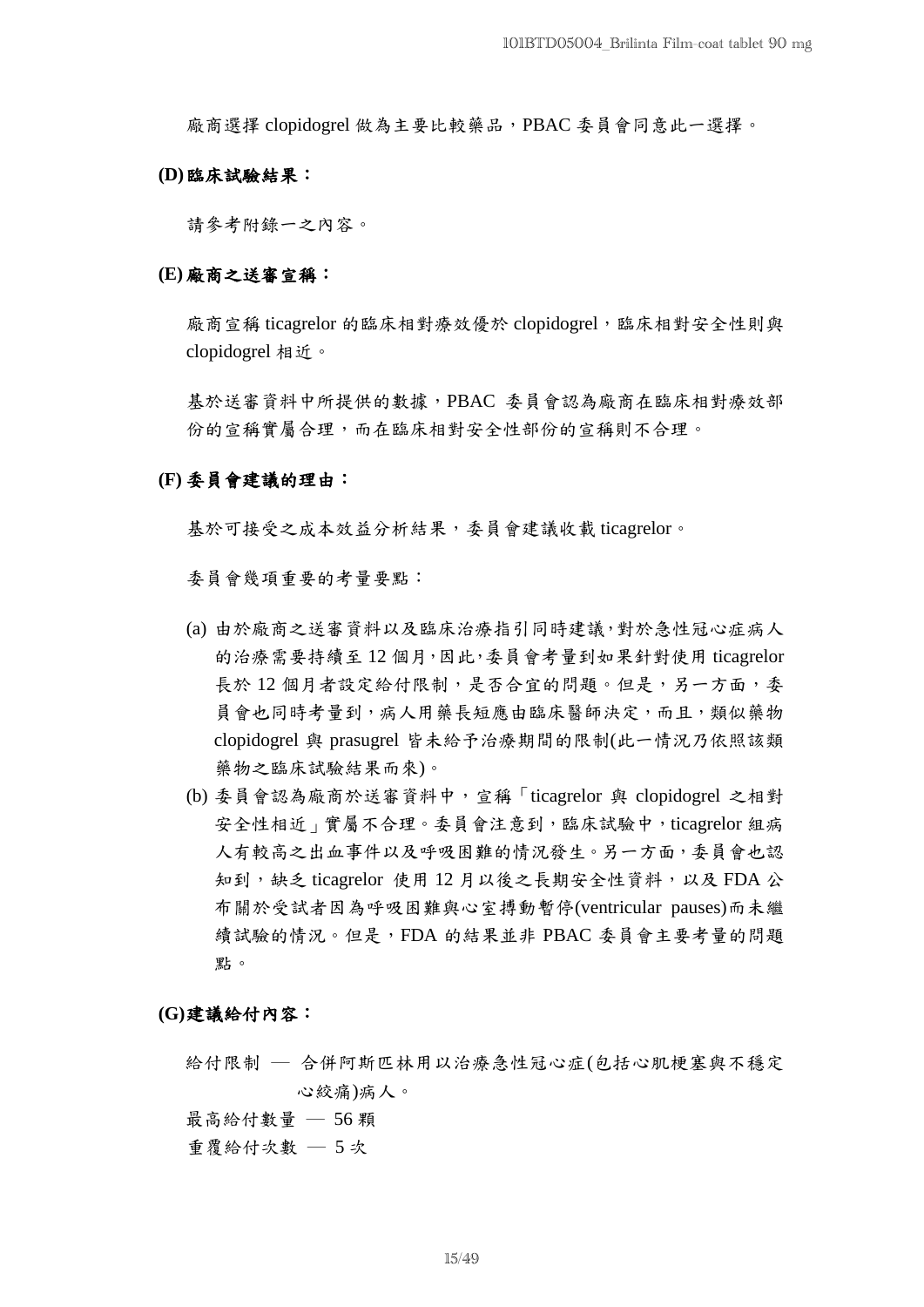廠商選擇 clopidogrel 做為主要比較藥品,PBAC 委員會同意此一選擇。

### **(D)**臨床試驗結果:

請參考附錄一之內容。

#### **(E)** 廠商之送審宣稱:

廠商宣稱 ticagrelor 的臨床相對療效優於 clopidogrel,臨床相對安全性則與 clopidogrel 相近。

基於送審資料中所提供的數據,PBAC 委員會認為廠商在臨床相對療效部 份的宣稱實屬合理,而在臨床相對安全性部份的宣稱則不合理。

#### **(F)** 委員會建議的理由:

基於可接受之成本效益分析結果,委員會建議收載 ticagrelor。

委員會幾項重要的考量要點:

- (a) 由於廠商之送審資料以及臨床治療指引同時建議,對於急性冠心症病人 的治療需要持續至 12 個月,因此,委員會考量到如果針對使用 ticagrelor 長於12個月者設定給付限制,是否合宜的問題。但是,另一方面,委 員會也同時考量到,病人用藥長短應由臨床醫師決定,而且,類似藥物 clopidogrel 與 prasugrel 皆未給予治療期間的限制(此一情況乃依照該類 藥物之臨床試驗結果而來)。
- (b) 委員會認為廠商於送審資料中,宣稱「ticagrelor 與 clopidogrel 之相對 安全性相近」實屬不合理。委員會注意到,臨床試驗中,ticagrelor 組病 人有較高之出血事件以及呼吸困難的情況發生。另一方面,委員會也認 知到, 缺乏 ticagrelor 使用 12 月以後之長期安全性資料, 以及 FDA 公 布關於受試者因為呼吸困難與心室搏動暫停(ventricular pauses)而未繼 續試驗的情況。但是,FDA 的結果並非 PBAC 委員會主要考量的問題 點。

**(G)**建議給付內容:

給付限制 ─ 合併阿斯匹林用以治療急性冠心症(包括心肌梗塞與不穩定 心絞痛)病人。

最高給付數量 ─ 56 顆

重覆給付次數 ─ 5 次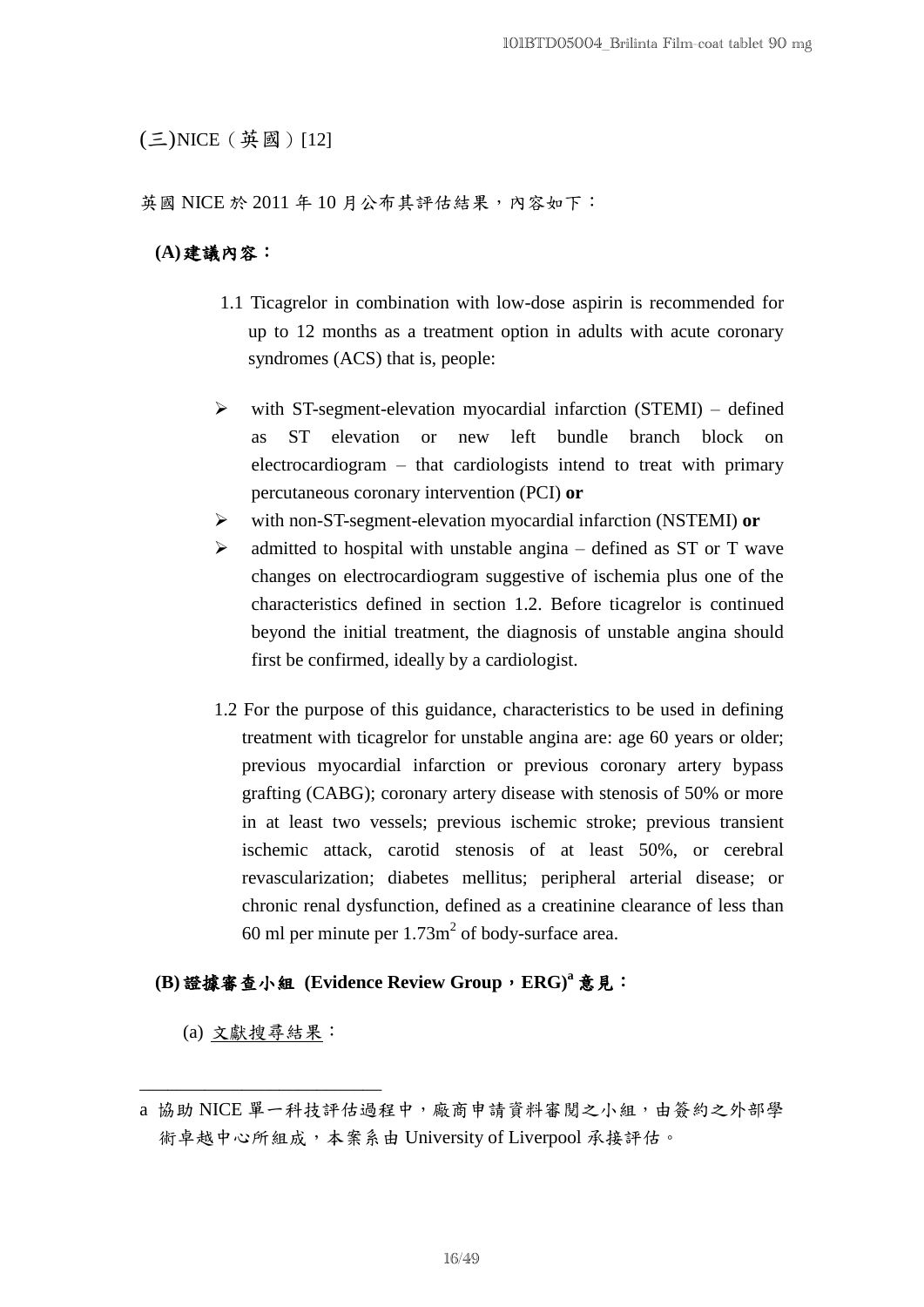## (三)NICE(英國)[12]

英國 NICE 於 2011年10月公布其評估結果,內容如下:

## **(A)**建議內容:

- 1.1 Ticagrelor in combination with low-dose aspirin is recommended for up to 12 months as a treatment option in adults with acute coronary syndromes (ACS) that is, people:
- $\triangleright$  with ST-segment-elevation myocardial infarction (STEMI) defined as ST elevation or new left bundle branch block on electrocardiogram – that cardiologists intend to treat with primary percutaneous coronary intervention (PCI) **or**
- with non-ST-segment-elevation myocardial infarction (NSTEMI) **or**
- $\triangleright$  admitted to hospital with unstable angina defined as ST or T wave changes on electrocardiogram suggestive of ischemia plus one of the characteristics defined in section 1.2. Before ticagrelor is continued beyond the initial treatment, the diagnosis of unstable angina should first be confirmed, ideally by a cardiologist.
- 1.2 For the purpose of this guidance, characteristics to be used in defining treatment with ticagrelor for unstable angina are: age 60 years or older; previous myocardial infarction or previous coronary artery bypass grafting (CABG); coronary artery disease with stenosis of 50% or more in at least two vessels; previous ischemic stroke; previous transient ischemic attack, carotid stenosis of at least 50%, or cerebral revascularization; diabetes mellitus; peripheral arterial disease; or chronic renal dysfunction, defined as a creatinine clearance of less than 60 ml per minute per  $1.73$ m<sup>2</sup> of body-surface area.

## **(B)**證據審查小組 **(Evidence Review Group**,**ERG) <sup>a</sup>** 意見:

(a) 文獻搜尋結果:

\_\_\_\_\_\_\_\_\_\_\_\_\_\_\_\_\_\_\_\_\_\_\_\_\_\_

a 協助 NICE 單一科技評估過程中,廠商申請資料審閱之小組,由簽約之外部學 術卓越中心所組成,本案系由 University of Liverpool 承接評估。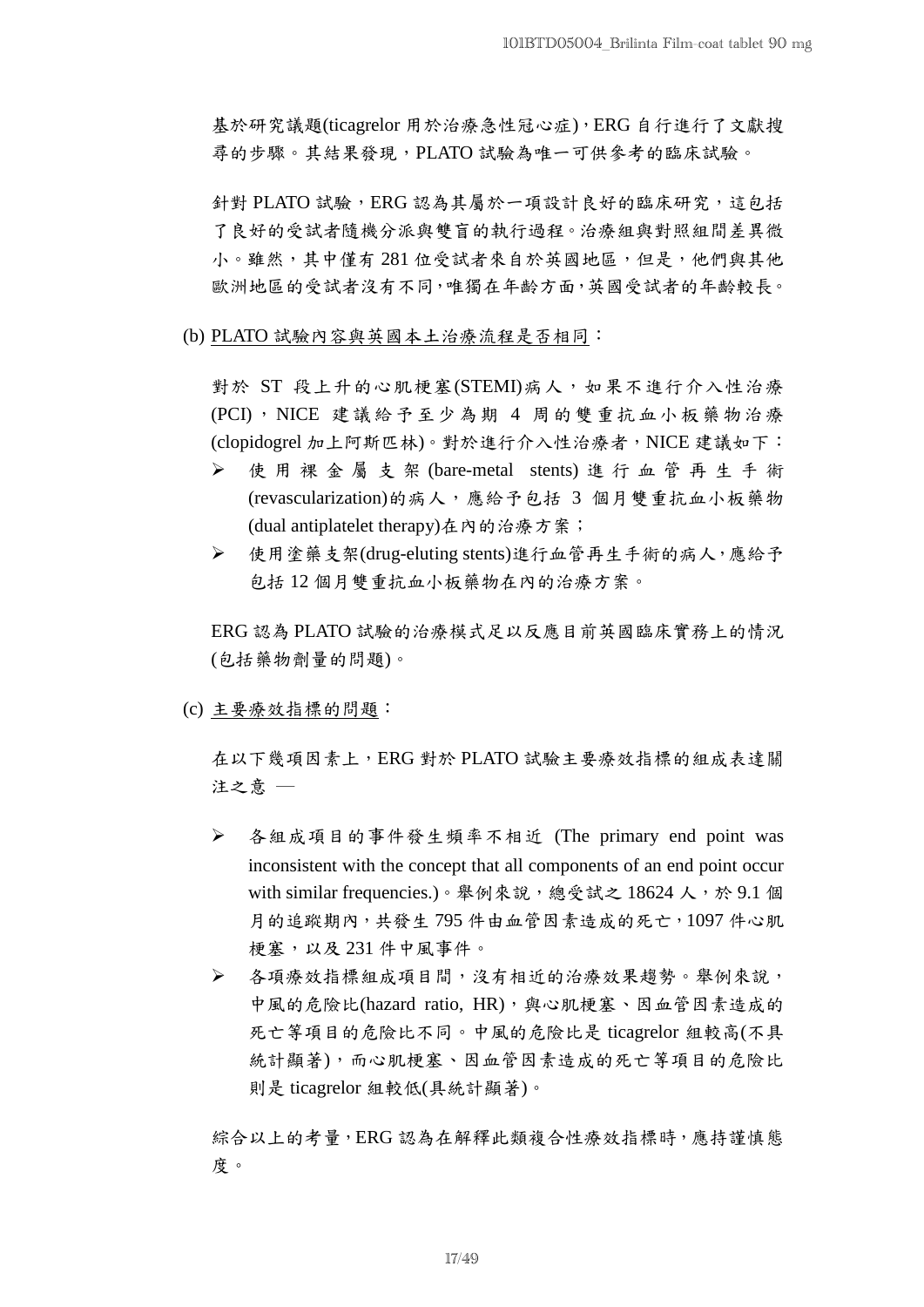基於研究議題(ticagrelor 用於治療急性冠心症),ERG 自行進行了文獻搜 尋的步驟。其結果發現,PLATO 試驗為唯一可供參考的臨床試驗。

針對 PLATO 試驗,ERG 認為其屬於一項設計良好的臨床研究,這包括 了良好的受試者隨機分派與雙盲的執行過程。治療組與對照組間差異微 小。雖然,其中僅有281位受試者來自於英國地區,但是,他們與其他 歐洲地區的受試者沒有不同,唯獨在年齡方面,英國受試者的年齡較長。

(b) PLATO 試驗內容與英國本土治療流程是否相同:

對於 ST 段上升的心肌梗塞(STEMI)病人,如果不進行介入性治療 (PCI), NICE 建議給予至少為期 4 周的雙重抗血小板藥物治療 (clopidogrel 加上阿斯匹林)。對於進行介入性治療者,NICE 建議如下:

- 使用裸金屬支架 (bare-metal stents) 進行血管再生手術 (revascularization)的病人,應給予包括 3 個月雙重抗血小板藥物 (dual antiplatelet therapy)在內的治療方案;
- 使用塗藥支架(drug-eluting stents)進行血管再生手術的病人,應給予 包括 12 個月雙重抗血小板藥物在內的治療方案。

ERG 認為 PLATO 試驗的治療模式足以反應目前英國臨床實務上的情況 (包括藥物劑量的問題)。

(c) 主要療效指標的問題:

在以下幾項因素上,ERG 對於 PLATO 試驗主要療效指標的組成表達關 注之意 ─

- 各組成項目的事件發生頻率不相近 (The primary end point was inconsistent with the concept that all components of an end point occur with similar frequencies.)。舉例來說,總受試之18624人,於 9.1 個 月的追蹤期內,共發生795件由血管因素造成的死亡,1097件心肌 梗塞,以及 231 件中風事件。
- 各項療效指標組成項目間,沒有相近的治療效果趨勢。舉例來說, 中風的危險比(hazard ratio, HR),與心肌梗塞、因血管因素造成的 死亡等項目的危險比不同。中風的危險比是 ticagrelor 組較高(不具 統計顯著),而心肌梗塞、因血管因素造成的死亡等項目的危險比 則是 ticagrelor 組較低(具統計顯著)。

綜合以上的考量,ERG認為在解釋此類複合性療效指標時,應持謹慎態 度。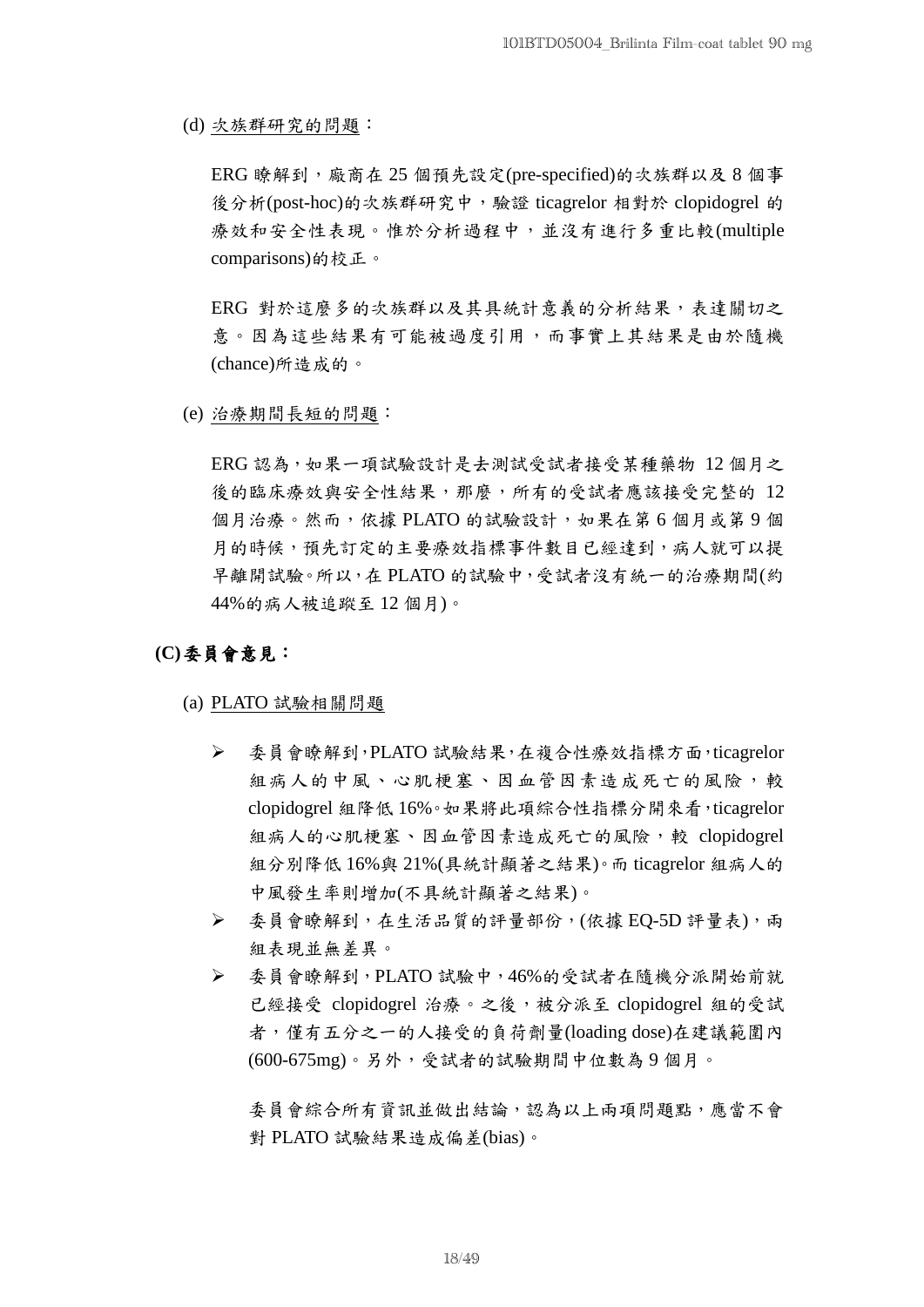(d) 次族群研究的問題:

ERG 瞭解到,廠商在 25 個預先設定(pre-specified)的次族群以及 8 個事 後分析(post-hoc)的次族群研究中,驗證 ticagrelor 相對於 clopidogrel 的 療效和安全性表現。惟於分析過程中,並沒有進行多重比較(multiple comparisons)的校正。

ERG 對於這麼多的次族群以及其具統計意義的分析結果,表達關切之 意。因為這些結果有可能被過度引用,而事實上其結果是由於隨機 (chance)所造成的。

(e) 治療期間長短的問題:

ERG 認為,如果一項試驗設計是去測試受試者接受某種藥物 12 個月之 後的臨床療效與安全性結果,那麼,所有的受試者應該接受完整的 12 個月治療。然而,依據 PLATO 的試驗設計,如果在第 6 個月或第 9 個 月的時候,預先訂定的主要療效指標事件數目已經達到,病人就可以提 早離開試驗。所以,在 PLATO 的試驗中,受試者沒有統一的治療期間(約 44%的病人被追蹤至 12 個月)。

## **(C)**委員會意見:

- (a) PLATO 試驗相關問題
	- 委員會瞭解到,PLATO 試驗結果,在複合性療效指標方面,ticagrelor 組病人的中風、心肌梗塞、因血管因素造成死亡的風險,較 clopidogrel 組降低 16%。如果將此項綜合性指標分開來看,ticagrelor 組病人的心肌梗塞、因血管因素造成死亡的風險,較 clopidogrel 組分別降低 16%與 21%(具統計顯著之結果)。而 ticagrelor 組病人的 中風發生率則增加(不具統計顯著之結果)。
	- > 委員會瞭解到,在生活品質的評量部份,(依據 EQ-5D 評量表),兩 組表現並無差異。
	- 委員會瞭解到,PLATO 試驗中,46%的受試者在隨機分派開始前就 已經接受 clopidogrel 治療。之後,被分派至 clopidogrel 組的受試 者,僅有五分之一的人接受的負荷劑量(loading dose)在建議範圍內 (600-675mg)。另外,受試者的試驗期間中位數為 9 個月。

委員會綜合所有資訊並做出結論,認為以上兩項問題點,應當不會 對 PLATO 試驗結果造成偏差(bias)。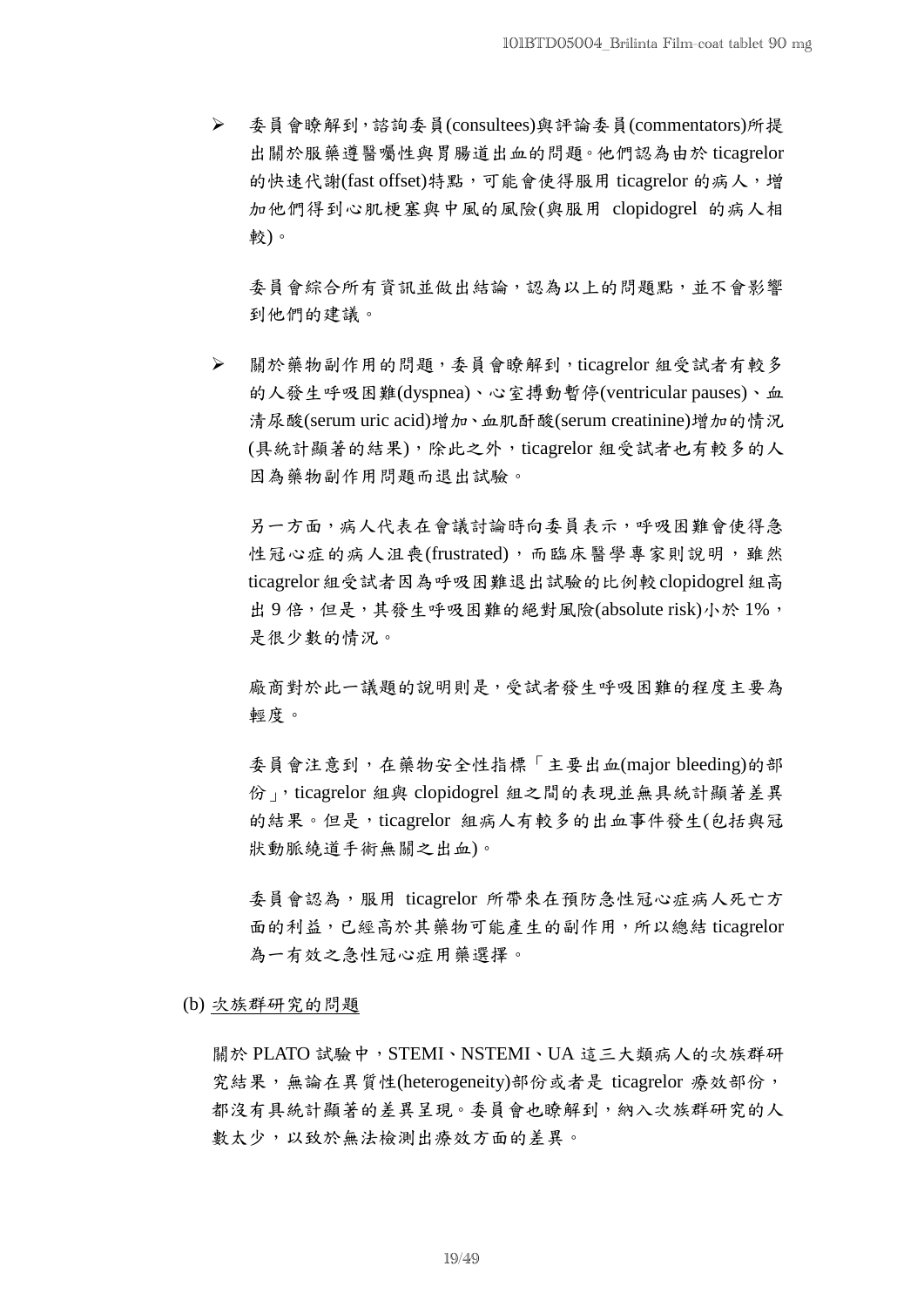委員會瞭解到,諮詢委員(consultees)與評論委員(commentators)所提 出關於服藥遵醫囑性與胃腸道出血的問題。他們認為由於 ticagrelor 的快速代謝(fast offset)特點,可能會使得服用 ticagrelor 的病人,增 加他們得到心肌梗塞與中風的風險(與服用 clopidogrel 的病人相 較)。

委員會綜合所有資訊並做出結論,認為以上的問題點,並不會影響 到他們的建議。

 關於藥物副作用的問題,委員會瞭解到,ticagrelor 組受試者有較多 的人發生呼吸困難(dyspnea)、心室搏動暫停(ventricular pauses)、血 清尿酸(serum uric acid)增加、血肌酐酸(serum creatinine)增加的情況 (具統計顯著的結果),除此之外,ticagrelor 組受試者也有較多的人 因為藥物副作用問題而退出試驗。

另一方面,病人代表在會議討論時向委員表示,呼吸困難會使得急 性冠心症的病人沮喪(frustrated),而臨床醫學專家則說明,雖然 ticagrelor 組受試者因為呼吸困難退出試驗的比例較 clopidogrel 組高 出9倍,但是,其發生呼吸困難的絕對風險(absolute risk)小於 1%, 是很少數的情況。

廠商對於此一議題的說明則是,受試者發生呼吸困難的程度主要為 輕度。

委員會注意到,在藥物安全性指標「主要出血(major bleeding)的部 份」,ticagrelor 組與 clopidogrel 組之間的表現並無具統計顯著差異 的結果。但是,ticagrelor 組病人有較多的出血事件發生(包括與冠 狀動脈繞道手術無關之出血)。

委員會認為,服用 ticagrelor 所帶來在預防急性冠心症病人死亡方 面的利益,已經高於其藥物可能產生的副作用,所以總結 ticagrelor 為一有效之急性冠心症用藥選擇。

(b) 次族群研究的問題

關於 PLATO 試驗中, STEMI、NSTEMI、UA 這三大類病人的次族群研 究結果,無論在異質性(heterogeneity)部份或者是 ticagrelor 療效部份, 都沒有具統計顯著的差異呈現。委員會也瞭解到,納入次族群研究的人 數太少,以致於無法檢測出療效方面的差異。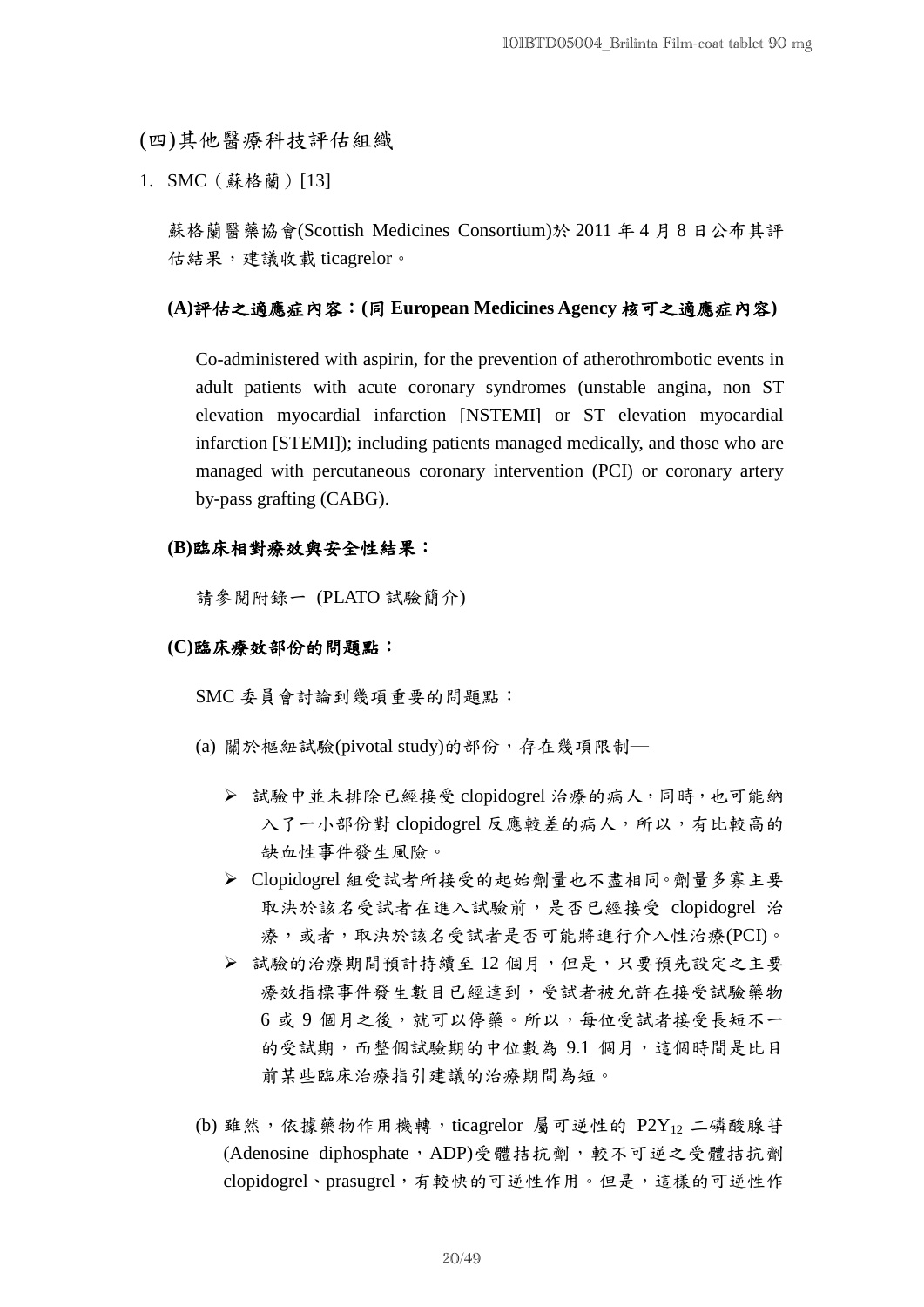(四)其他醫療科技評估組織

1. SMC (蘇格蘭)[13]

蘇格蘭醫藥協會(Scottish Medicines Consortium)於 2011 年 4 月 8 日公布其評 估結果,建議收載 ticagrelor。

### **(A)**評估之適應症內容:**(**同 **European Medicines Agency** 核可之適應症內容**)**

 Co-administered with aspirin, for the prevention of atherothrombotic events in adult patients with acute coronary syndromes (unstable angina, non ST elevation myocardial infarction [NSTEMI] or ST elevation myocardial infarction [STEMI]); including patients managed medically, and those who are managed with percutaneous coronary intervention (PCI) or coronary artery by-pass grafting (CABG).

### **(B)**臨床相對療效與安全性結果:

請參閱附錄一 (PLATO 試驗簡介)

#### **(C)**臨床療效部份的問題點:

SMC 委員會討論到幾項重要的問題點:

- (a) 關於樞紐試驗(pivotal study)的部份,存在幾項限制–
	- 試驗中並未排除已經接受 clopidogrel 治療的病人,同時,也可能納 入了一小部份對 clopidogrel 反應較差的病人,所以,有比較高的 缺血性事件發生風險。
	- Clopidogrel 組受試者所接受的起始劑量也不盡相同。劑量多寡主要 取決於該名受試者在進入試驗前,是否已經接受 clopidogrel 治 療,或者,取決於該名受試者是否可能將進行介入性治療(PCI)。
	- ▶ 試驗的治療期間預計持續至12個月,但是,只要預先設定之主要 療效指標事件發生數目已經達到,受試者被允許在接受試驗藥物 6 或 9 個月之後,就可以停藥。所以,每位受試者接受長短不一 的受試期,而整個試驗期的中位數為 9.1 個月,這個時間是比目 前某些臨床治療指引建議的治療期間為短。
- (b) 雖然,依據藥物作用機轉, ticagrelor 屬可逆性的 P2Y12 二磷酸腺苷 (Adenosine diphosphate, ADP)受體拮抗劑,較不可逆之受體拮抗劑 clopidogrel、prasugrel,有較快的可逆性作用。但是,這樣的可逆性作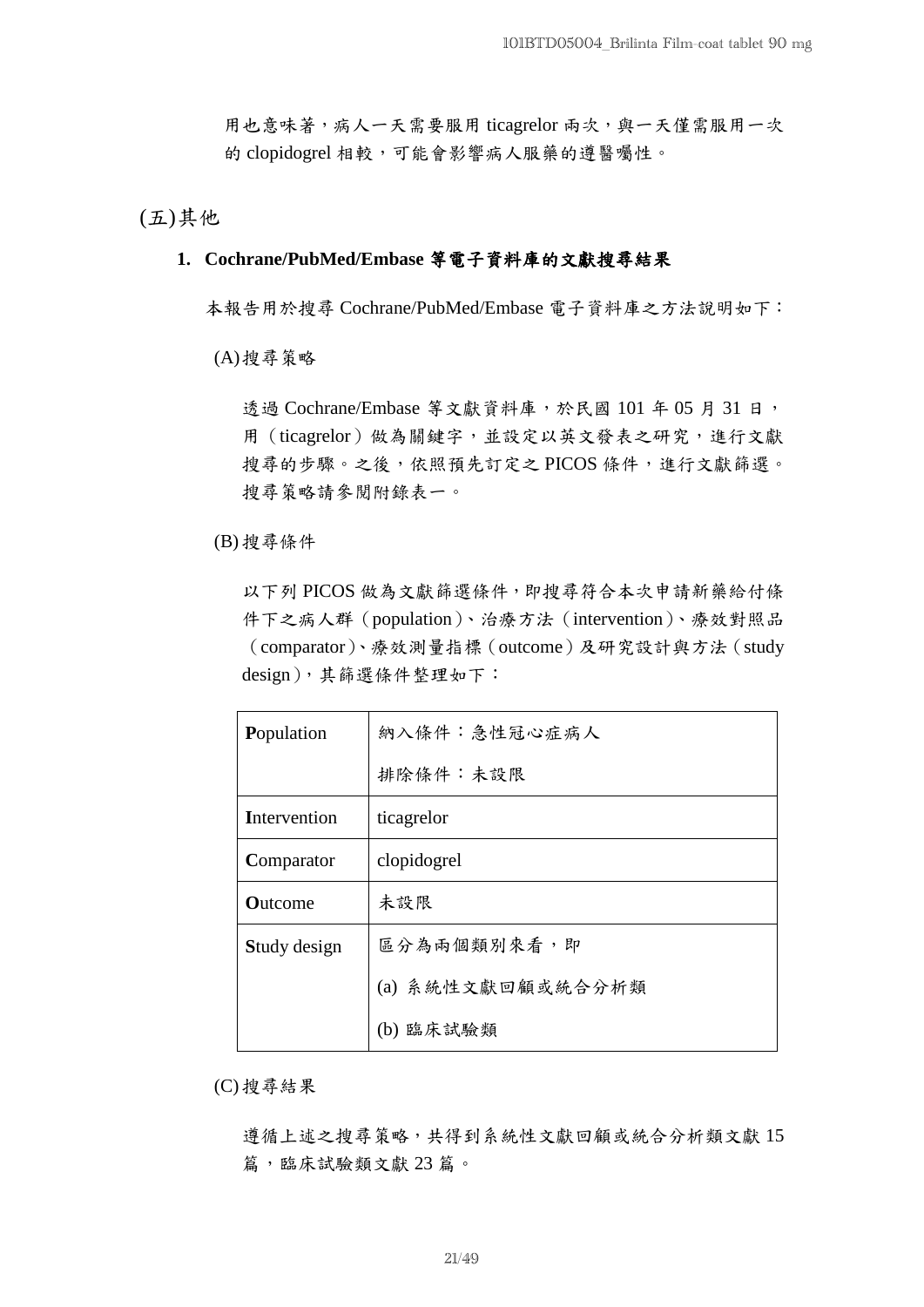用也意味著,病人一天需要服用 ticagrelor 兩次,與一天僅需服用一次 的 clopidogrel 相較,可能會影響病人服藥的遵醫囑性。

(五)其他

## **1. Cochrane/PubMed/Embase** 等電子資料庫的文獻搜尋結果

本報告用於搜尋 Cochrane/PubMed/Embase 電子資料庫之方法說明如下:

(A)搜尋策略

透過 Cochrane/Embase 等文獻資料庫,於民國 101 年 05 月 31 日, 用(ticagrelor)做為關鍵字,並設定以英文發表之研究,進行文獻 搜尋的步驟。之後,依照預先訂定之PICOS條件,進行文獻篩選。 搜尋策略請參閱附錄表一。

(B) 搜尋條件

以下列 PICOS 做為文獻篩選條件,即搜尋符合本次申請新藥給付條 件下之病人群(population)、治療方法(intervention)、療效對照品 (comparator)、療效測量指標(outcome)及研究設計與方法(study design),其篩選條件整理如下:

| Population     | 納入條件:急性冠心症病人      |  |  |
|----------------|-------------------|--|--|
|                | 排除條件:未設限          |  |  |
| Intervention   | ticagrelor        |  |  |
| Comparator     | clopidogrel       |  |  |
| <b>Outcome</b> | 未設限               |  |  |
| Study design   | 區分為兩個類別來看,即       |  |  |
|                | (a) 系統性文獻回顧或統合分析類 |  |  |
|                | (b) 臨床試驗類         |  |  |

(C) 搜尋結果

遵循上述之搜尋策略,共得到系統性文獻回顧或統合分析類文獻 15 篇,臨床試驗類文獻 23 篇。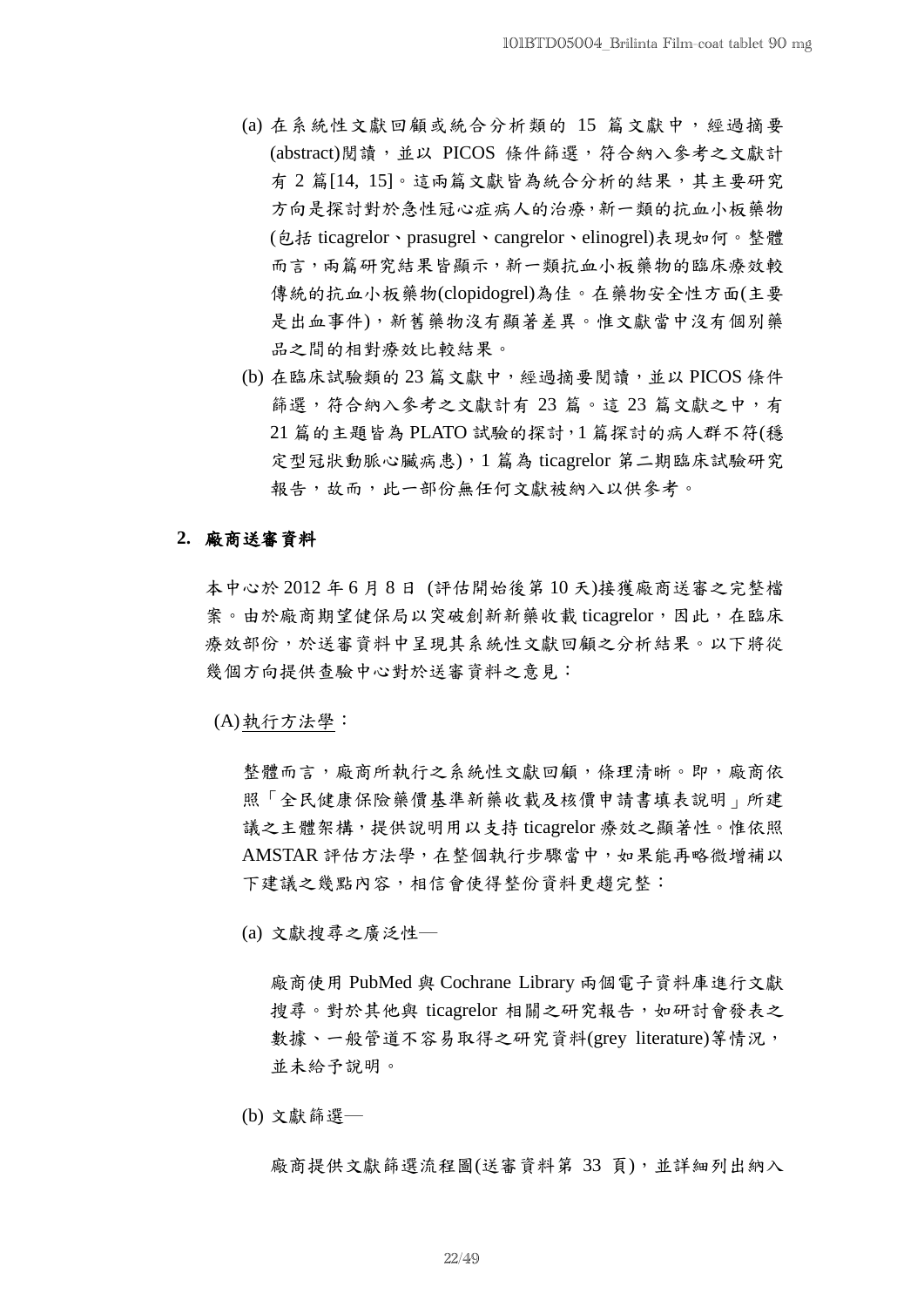- (a) 在系統性文獻回顧或統合分析類的 15 篇文獻中,經過摘要 (abstract)閱讀,並以 PICOS 條件篩選,符合納入參考之文獻計 有 2 篇[14, 15]。這兩篇文獻皆為統合分析的結果,其主要研究 方向是探討對於急性冠心症病人的治療,新一類的抗血小板藥物 (包括 ticagrelor、prasugrel、cangrelor、elinogrel)表現如何。整體 而言,兩篇研究結果皆顯示,新一類抗血小板藥物的臨床療效較 傳統的抗血小板藥物(clopidogrel)為佳。在藥物安全性方面(主要 是出血事件),新舊藥物沒有顯著差異。惟文獻當中沒有個別藥 品之間的相對療效比較結果。
- (b) 在臨床試驗類的 23 篇文獻中,經過摘要閱讀,並以 PICOS 條件 篩選,符合納入參考之文獻計有 23 篇。這 23 篇文獻之中,有 21 篇的主題皆為 PLATO 試驗的探討,1 篇探討的病人群不符(穩 定型冠狀動脈心臟病患),1 篇為 ticagrelor 第二期臨床試驗研究 報告,故而,此一部份無任何文獻被納入以供參考。

## **2.** 廠商送審資料

本中心於 2012 年 6 月 8 日 (評估開始後第 10 天)接獲廠商送審之完整檔 案。由於廠商期望健保局以突破創新新藥收載 ticagrelor,因此,在臨床 療效部份,於送審資料中呈現其系統性文獻回顧之分析結果。以下將從 幾個方向提供查驗中心對於送審資料之意見:

(A)執行方法學:

整體而言,廠商所執行之系統性文獻回顧,條理清晰。即,廠商依 照「全民健康保險藥價基準新藥收載及核價申請書填表說明」所建 議之主體架構,提供說明用以支持 ticagrelor 療效之顯著性。惟依照 AMSTAR 評估方法學,在整個執行步驟當中,如果能再略微增補以 下建議之幾點內容,相信會使得整份資料更趨完整:

(a) 文獻搜尋之廣泛性─

廠商使用 PubMed 與 Cochrane Library 兩個電子資料庫進行文獻 搜尋。對於其他與 ticagrelor 相關之研究報告,如研討會發表之 數據、一般管道不容易取得之研究資料(grey literature)等情況, 並未給予說明。

(b) 文獻篩選─

廠商提供文獻篩選流程圖(送審資料第 33 頁),並詳細列出納入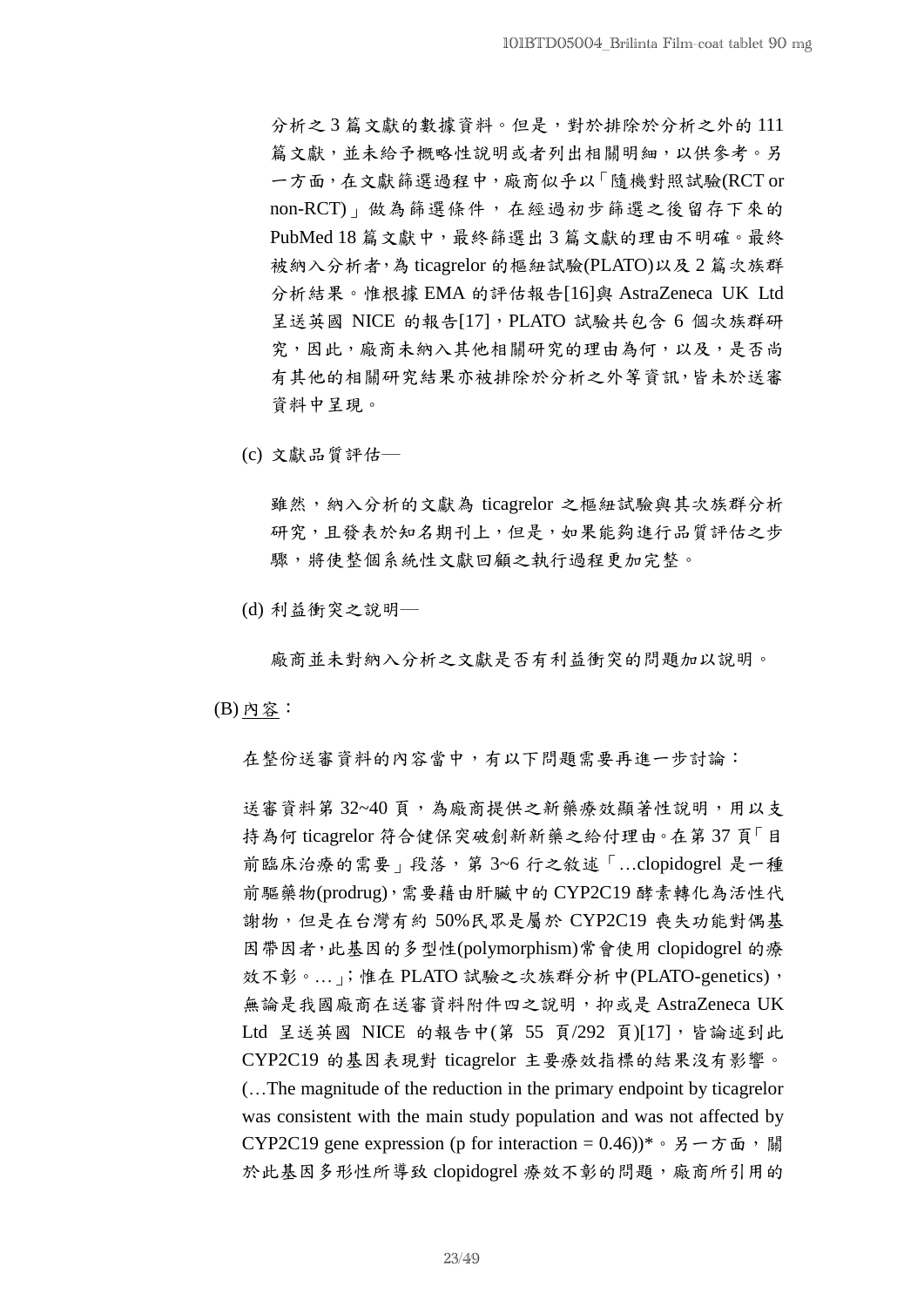分析之3篇文獻的數據資料。但是,對於排除於分析之外的 111 篇文獻,並未給予概略性說明或者列出相關明細,以供參考。另 一方面,在文獻篩選過程中,廠商似乎以「隨機對照試驗(RCT or non-RCT)」做為篩選條件,在經過初步篩選之後留存下來的 PubMed 18 篇文獻中,最終篩選出 3 篇文獻的理由不明確。最終 被納入分析者,為 ticagrelor 的樞紐試驗(PLATO)以及 2 篇次族群 分析結果。惟根據 EMA 的評估報告[16]與 AstraZeneca UK Ltd 呈送英國 NICE 的報告[17], PLATO 試驗共包含 6 個次族群研 究,因此,廠商未納入其他相關研究的理由為何,以及,是否尚 有其他的相關研究結果亦被排除於分析之外等資訊,皆未於送審 資料中呈現。

(c) 文獻品質評估─

雖然,納入分析的文獻為 ticagrelor 之樞紐試驗與其次族群分析 研究,且發表於知名期刊上,但是,如果能夠進行品質評估之步 驟,將使整個系統性文獻回顧之執行過程更加完整。

(d) 利益衝突之說明─

廠商並未對納入分析之文獻是否有利益衝突的問題加以說明。

(B) 內容:

在整份送審資料的內容當中,有以下問題需要再進一步討論:

送審資料第 32~40 頁,為廠商提供之新藥療效顯著性說明,用以支 持為何 ticagrelor 符合健保突破創新新藥之給付理由。在第 37 頁「目 前臨床治療的需要」段落,第 3~6 行之敘述「…clopidogrel 是一種 前驅藥物(prodrug),需要藉由肝臟中的 CYP2C19 酵素轉化為活性代 謝物,但是在台灣有約 50%民眾是屬於 CYP2C19 喪失功能對偶基 因帶因者,此基因的多型性(polymorphism)常會使用 clopidogrel 的療 效不彰。……; 惟在 PLATO 試驗之次族群分析中(PLATO-genetics), 無論是我國廠商在送審資料附件四之說明,抑或是 AstraZeneca UK Ltd 呈送英國 NICE 的報告中(第 55 頁/292 頁)[17],皆論述到此 CYP2C19 的基因表現對 ticagrelor 主要療效指標的結果沒有影響。 (…The magnitude of the reduction in the primary endpoint by ticagrelor was consistent with the main study population and was not affected by CYP2C19 gene expression (p for interaction =  $0.46$ ))\* 。另一方面,關 於此基因多形性所導致 clopidogrel 療效不彰的問題,廠商所引用的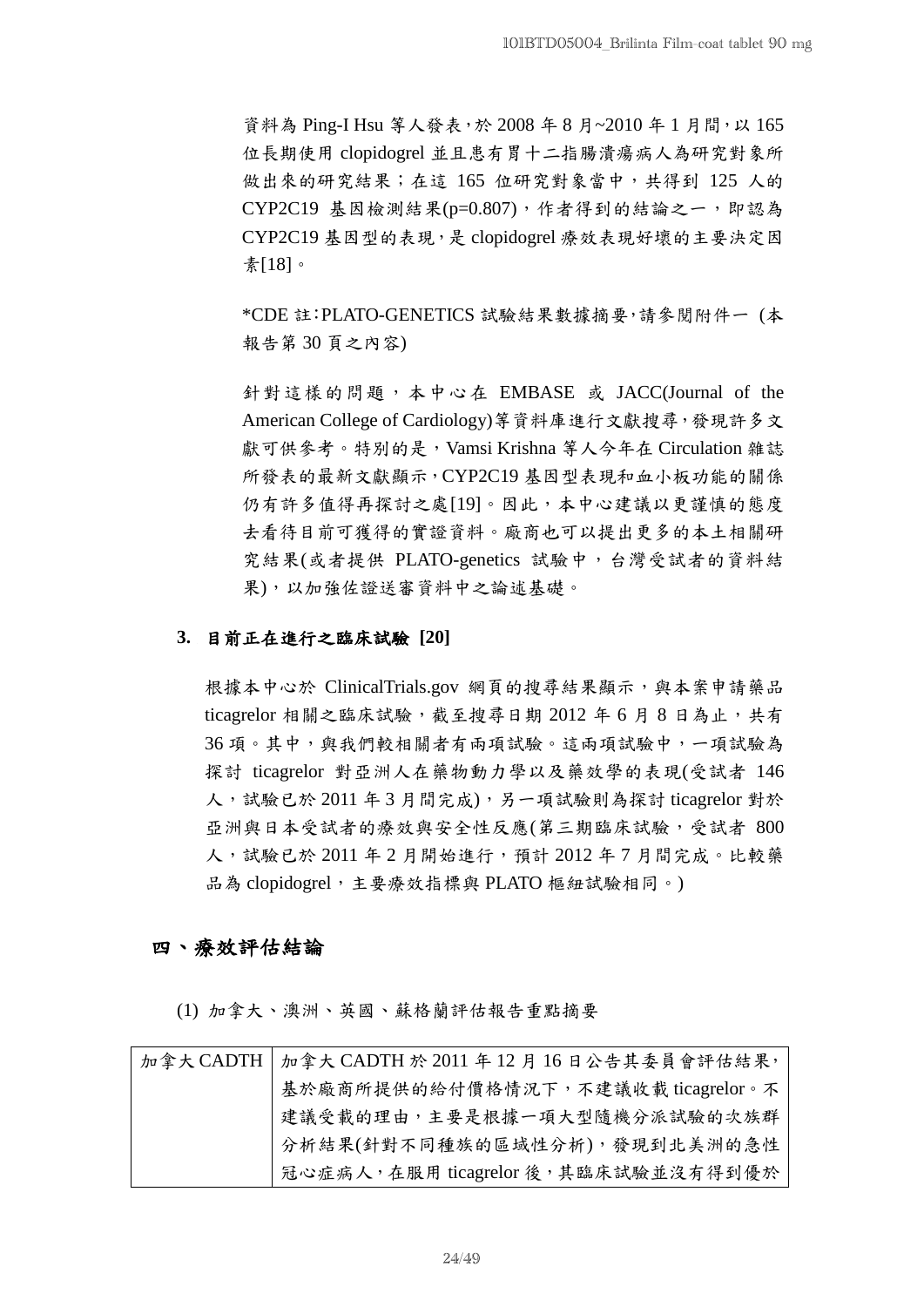資料為 Ping-I Hsu 等人發表,於 2008年8月~2010年1月間,以165 位長期使用 clopidogrel 並且患有胃十二指腸潰瘍病人為研究對象所 做出來的研究結果;在這 165 位研究對象當中,共得到 125 人的 CYP2C19 基因檢測結果(p=0.807),作者得到的結論之一,即認為 CYP2C19 基因型的表現,是 clopidogrel 療效表現好壞的主要決定因 素[18]。

\*CDE 註:PLATO-GENETICS 試驗結果數據摘要,請參閱附件一 (本 報告第 30 頁之內容)

針對這樣的問題,本中心在 EMBASE 或 JACC(Journal of the American College of Cardiology)等資料庫進行文獻搜尋,發現許多文 獻可供參考。特別的是, Vamsi Krishna 等人今年在 Circulation 雜誌 所發表的最新文獻顯示,CYP2C19 基因型表現和血小板功能的關係 仍有許多值得再探討之處[19]。因此,本中心建議以更謹慎的態度 去看待目前可獲得的實證資料。廠商也可以提出更多的本土相關研 究結果(或者提供 PLATO-genetics 試驗中,台灣受試者的資料結 果),以加強佐證送審資料中之論述基礎。

## **3.** 目前正在進行之臨床試驗 **[20]**

根據本中心於 ClinicalTrials.gov 網頁的搜尋結果顯示,與本案申請藥品 ticagrelor 相關之臨床試驗,截至搜尋日期 2012 年6月8日為止,共有 36 項。其中,與我們較相關者有兩項試驗。這兩項試驗中,一項試驗為 探討 ticagrelor 對亞洲人在藥物動力學以及藥效學的表現(受試者 146 人,試驗已於 2011年3月間完成),另一項試驗則為探討 ticagrelor 對於 亞洲與日本受試者的療效與安全性反應(第三期臨床試驗,受試者 800 人,試驗已於 2011 年 2 月開始進行,預計 2012 年 7 月間完成。比較藥 品為 clopidogrel,主要療效指標與 PLATO 樞紐試驗相同。)

## 四、療效評估結論

(1) 加拿大、澳洲、英國、蘇格蘭評估報告重點摘要

| 加拿大 CADTH   加拿大 CADTH 於 2011 年 12 月 16 日公告其委員會評估結果, |
|-----------------------------------------------------|
| 基於廠商所提供的給付價格情況下,不建議收載 ticagrelor。不                  |
| 建議受載的理由,主要是根據一項大型隨機分派試驗的次族群                         |
| 分析結果(針對不同種族的區域性分析),發現到北美洲的急性                        |
| 冠心症病人, 在服用 ticagrelor 後, 其臨床試驗並沒有得到優於               |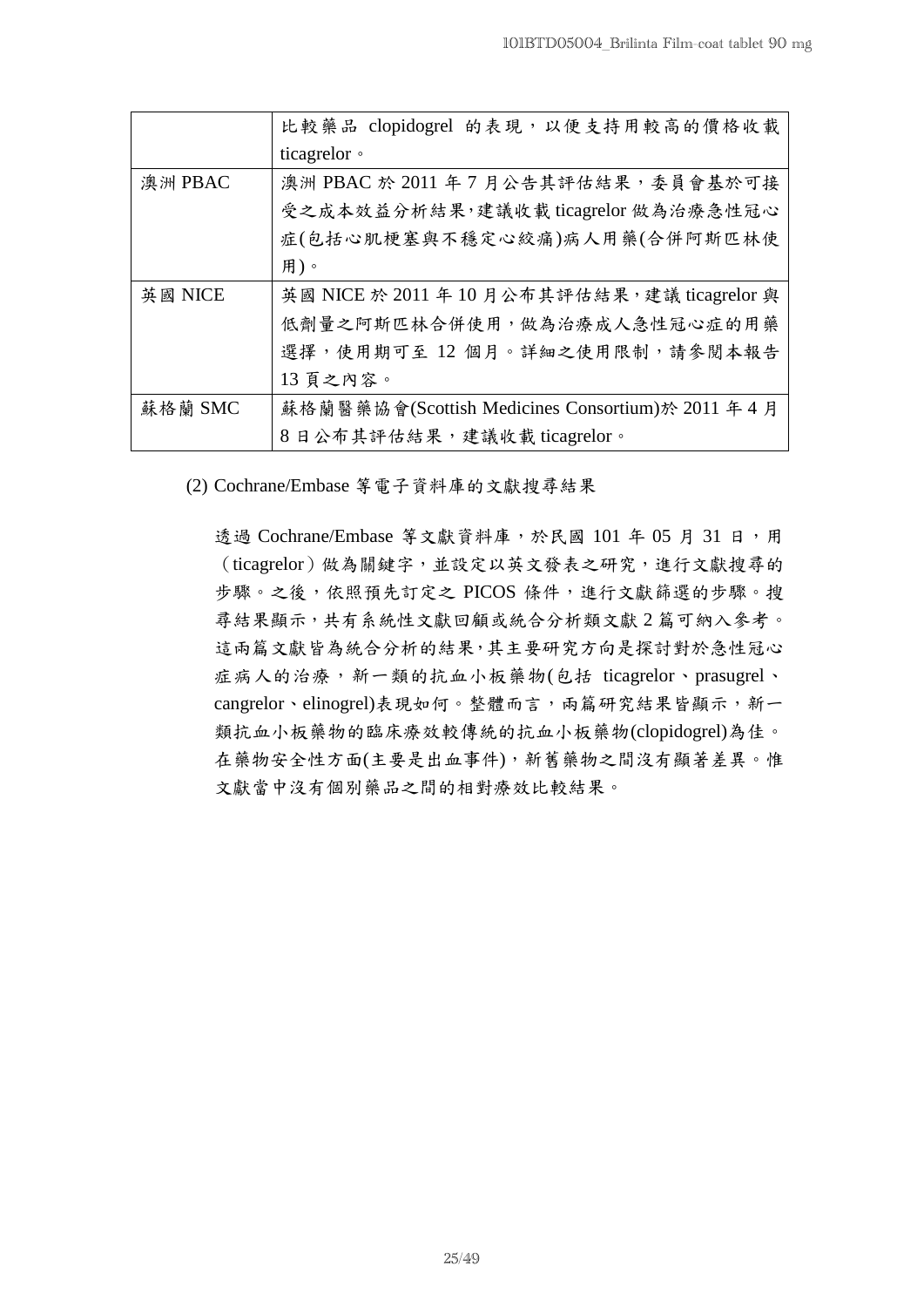|         | 比較藥品 clopidogrel 的表現, 以便支持用較高的價格收載                 |
|---------|----------------------------------------------------|
|         | ticagrelor •                                       |
| 澳洲 PBAC | 澳洲 PBAC 於 2011 年 7 月公告其評估結果, 委員會基於可接               |
|         | 受之成本效益分析結果,建議收載 ticagrelor 做為治療急性冠心                |
|         | 症(包括心肌梗塞與不穩定心絞痛)病人用藥(合併阿斯匹林使                       |
|         | 用)。                                                |
| 英國 NICE | 英國 NICE 於 2011 年 10 月公布其評估結果, 建議 ticagrelor 與      |
|         | 低劑量之阿斯匹林合併使用,做為治療成人急性冠心症的用藥                        |
|         | 選擇,使用期可至12個月。詳細之使用限制,請參閱本報告                        |
|         | 13 頁之內容。                                           |
| 蘇格蘭 SMC | 蘇格蘭醫藥協會(Scottish Medicines Consortium)於 2011 年 4 月 |
|         | 8日公布其評估結果,建議收載 ticagrelor。                         |

(2) Cochrane/Embase 等電子資料庫的文獻搜尋結果

透過 Cochrane/Embase 等文獻資料庫,於民國 101 年 05 月 31 日,用 (ticagrelor)做為關鍵字,並設定以英文發表之研究,進行文獻搜尋的 步驟。之後,依照預先訂定之 PICOS 條件,進行文獻篩選的步驟。搜 尋結果顯示,共有系統性文獻回顧或統合分析類文獻 2 篇可納入參考。 這兩篇文獻皆為統合分析的結果,其主要研究方向是探討對於急性冠心 症病人的治療, 新一類的抗血小板藥物(包括 ticagrelor、prasugrel、 cangrelor、elinogrel)表現如何。整體而言,兩篇研究結果皆顯示,新一 類抗血小板藥物的臨床療效較傳統的抗血小板藥物(clopidogrel)為佳。 在藥物安全性方面(主要是出血事件),新舊藥物之間沒有顯著差異。惟 文獻當中沒有個別藥品之間的相對療效比較結果。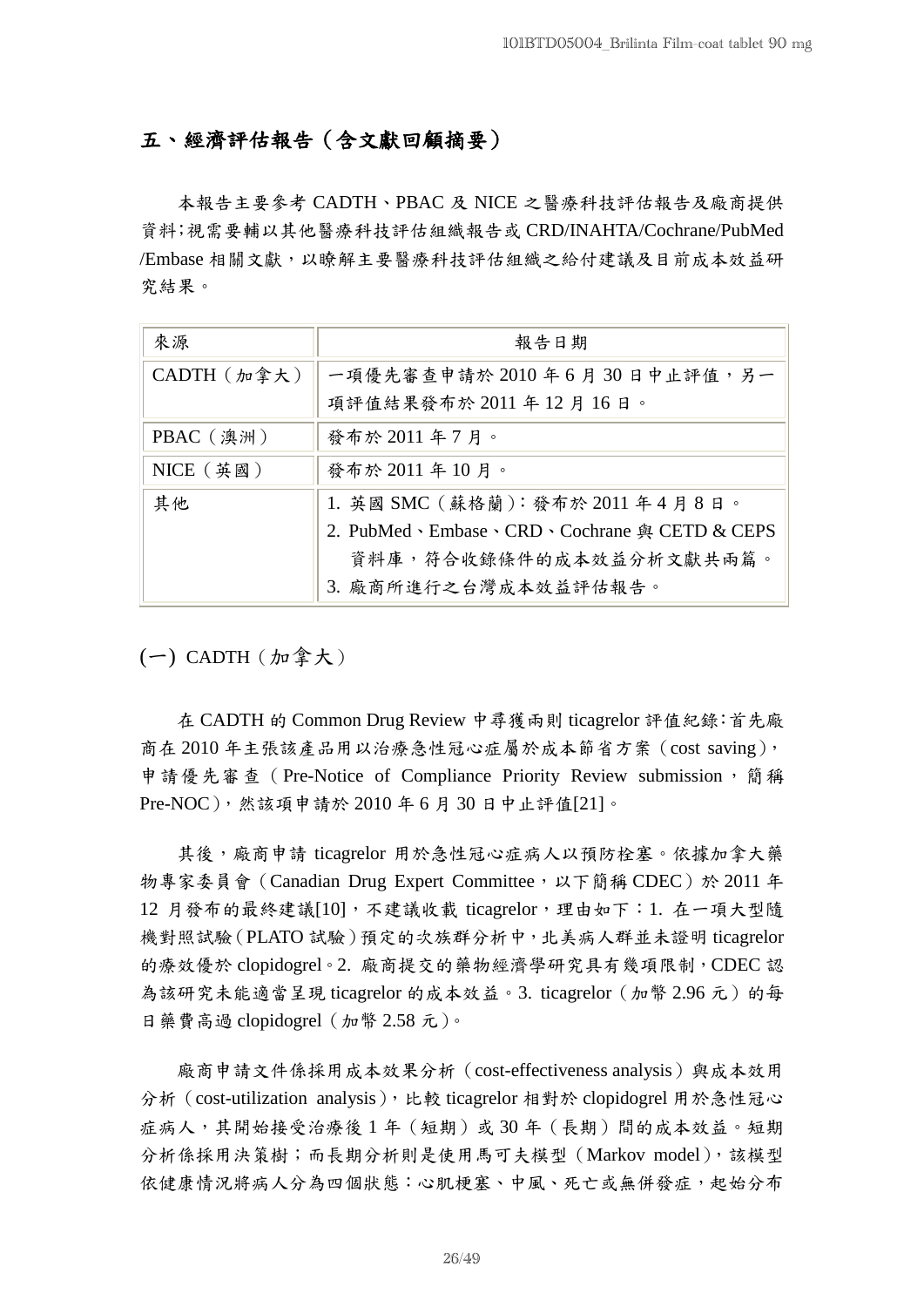## 五、經濟評估報告(含文獻回顧摘要)

本報告主要參考 CADTH、PBAC 及 NICE 之醫療科技評估報告及廠商提供 資料;視需要輔以其他醫療科技評估組織報告或 CRD/INAHTA/Cochrane/PubMed /Embase 相關文獻,以瞭解主要醫療科技評估組織之給付建議及目前成本效益研 究結果。

| 來源                 | 報告日期                                        |
|--------------------|---------------------------------------------|
| $CADTH$ $(m$ 拿 大 ) | 一項優先審查申請於 2010年6月30日中止評值,另一                 |
|                    | 項評值結果發布於 2011 年 12 月 16 日。                  |
| PBAC (澳洲)          | 發布於 2011 年 7 月。                             |
| $NICE$ (英國)        | 發布於 2011 年 10 月。                            |
| 其他                 | 1. 英國 SMC (蘇格蘭): 發布於 2011 年4月8日。            |
|                    | 2. PubMed、Embase、CRD、Cochrane 與 CETD & CEPS |
|                    | 資料庫, 符合收錄條件的成本效益分析文獻共兩篇。                    |
|                    | 3. 廠商所進行之台灣成本效益評估報告。                        |

 $(-)$  CADTH  $(m$ 拿大)

在 CADTH 的 Common Drug Review 中尋獲兩則 ticagrelor 評值紀錄:首先廠 商在 2010 年主張該產品用以治療急性冠心症屬於成本節省方案(cost saving), 申請優先審查 (Pre-Notice of Compliance Priority Review submission,簡稱 Pre-NOC),然該項申請於 2010 年 6 月 30 日中止評值[21]。

其後,廠商申請 ticagrelor 用於急性冠心症病人以預防栓塞。依據加拿大藥 物專家委員會 (Canadian Drug Expert Committee,以下簡稱 CDEC)於 2011 年 12 月發布的最終建議[10],不建議收載 ticagrelor,理由如下:1. 在一項大型隨 機對照試驗(PLATO 試驗)預定的次族群分析中,北美病人群並未證明 ticagrelor 的療效優於 clopidogrel。2. 廠商提交的藥物經濟學研究具有幾項限制,CDEC 認 為該研究未能適當呈現 ticagrelor 的成本效益。3. ticagrelor(加幣 2.96 元)的每 日藥費高過 clopidogrel(加幣 2.58 元)。

廠商申請文件係採用成本效果分析(cost-effectiveness analysis)與成本效用 分析(cost-utilization analysis),比較 ticagrelor 相對於 clopidogrel 用於急性冠心 症病人,其開始接受治療後1年(短期)或30年(長期)間的成本效益。短期 分析係採用決策樹;而長期分析則是使用馬可夫模型(Markov model),該模型 依健康情況將病人分為四個狀態:心肌梗塞、中風、死亡或無併發症,起始分布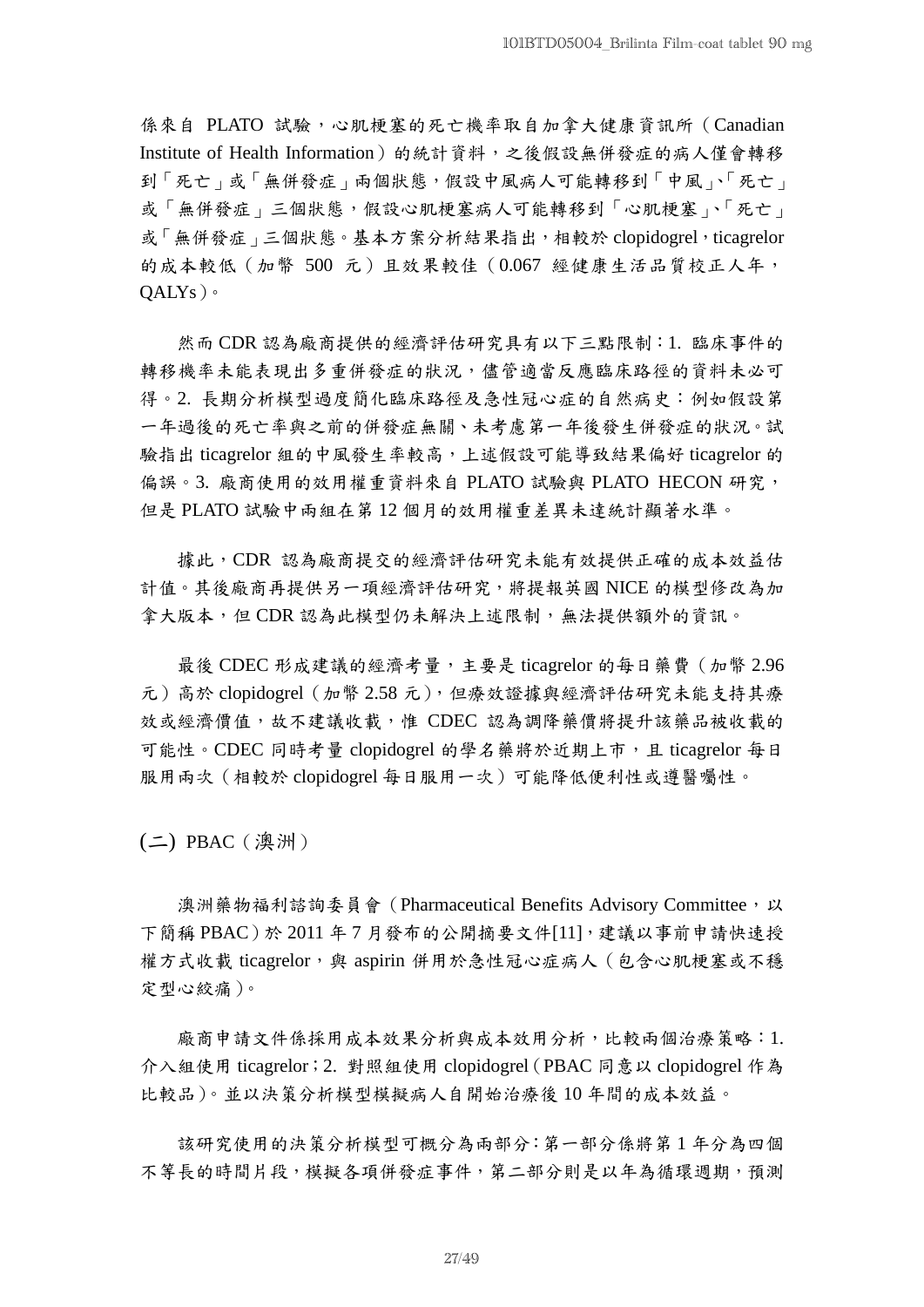係來自 PLATO 試驗,心肌梗塞的死亡機率取自加拿大健康資訊所 (Canadian Institute of Health Information)的統計資料,之後假設無併發症的病人僅會轉移 到「死亡」或「無併發症」兩個狀態,假設中風病人可能轉移到「中風」、「死亡」 或「無併發症」三個狀態,假設心肌梗塞病人可能轉移到「心肌梗塞」、「死亡」 或「無併發症」三個狀態。基本方案分析結果指出,相較於 clopidogrel, ticagrelor 的成本較低(加幣 500 元)且效果較佳(0.067 經健康生活品質校正人年,  $OALYs$ )。

然而 CDR 認為廠商提供的經濟評估研究具有以下三點限制:1. 臨床事件的 轉移機率未能表現出多重併發症的狀況,儘管適當反應臨床路徑的資料未必可 得。2. 長期分析模型過度簡化臨床路徑及急性冠心症的自然病史:例如假設第 一年過後的死亡率與之前的併發症無關、未考慮第一年後發生併發症的狀況。試 驗指出 ticagrelor 組的中風發生率較高,上述假設可能導致結果偏好 ticagrelor 的 偏誤。3. 廠商使用的效用權重資料來自 PLATO 試驗與 PLATO HECON 研究, 但是 PLATO 試驗中兩組在第 12 個月的效用權重差異未達統計顯著水準。

據此,CDR 認為廠商提交的經濟評估研究未能有效提供正確的成本效益估 計值。其後廠商再提供另一項經濟評估研究,將提報英國 NICE 的模型修改為加 拿大版本,但 CDR認為此模型仍未解決上述限制,無法提供額外的資訊。

最後 CDEC 形成建議的經濟考量,主要是 ticagrelor 的每日藥費 ( 加幣 2.96 元)高於 clopidogrel(加幣 2.58 元),但療效證據與經濟評估研究未能支持其療 效或經濟價值,故不建議收載,惟 CDEC 認為調降藥價將提升該藥品被收載的 可能性。CDEC 同時考量 clopidogrel 的學名藥將於近期上市,且 ticagrelor 每日 服用兩次(相較於 clopidogrel 每日服用一次)可能降低便利性或遵醫囑性。

(二) PBAC(澳洲)

澳洲藥物福利諮詢委員會 (Pharmaceutical Benefits Advisory Committee, 以 下簡稱 PBAC)於 2011 年 7 月發布的公開摘要文件[11], 建議以事前申請快速授 權方式收載 ticagrelor,與 aspirin 併用於急性冠心症病人 (包含心肌梗塞或不穩 定型心絞痛)。

廠商申請文件係採用成本效果分析與成本效用分析,比較兩個治療策略:1. 介入組使用 ticagrelor;2. 對照組使用 clopidogrel(PBAC 同意以 clopidogrel 作為 比較品)。並以決策分析模型模擬病人自開始治療後 10 年間的成本效益。

該研究使用的決策分析模型可概分為兩部分:第一部分係將第 1 年分為四個 不等長的時間片段,模擬各項併發症事件,第二部分則是以年為循環週期,預測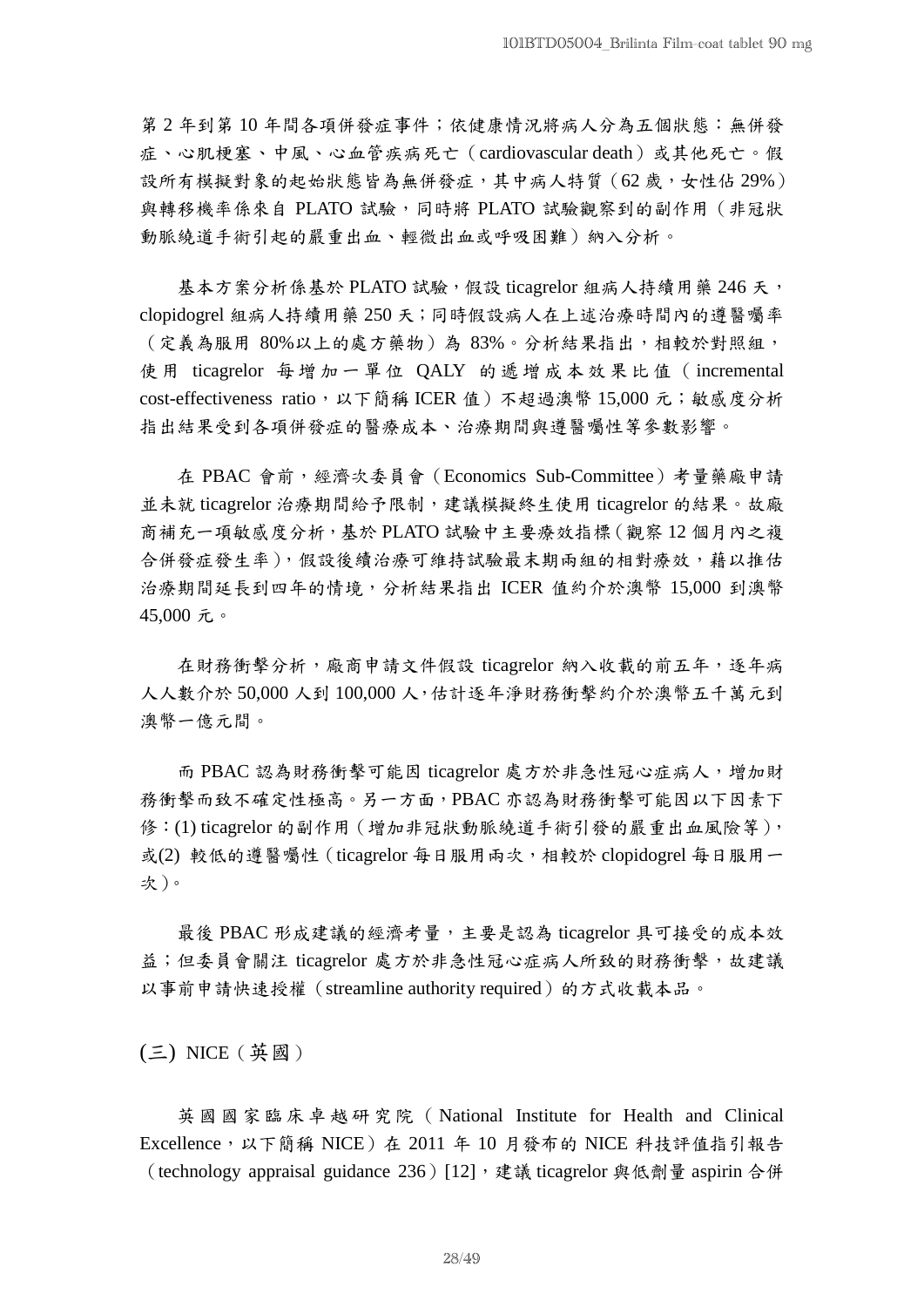第 2 年到第 10 年間各項併發症事件;依健康情況將病人分為五個狀態:無併發 症、心肌梗塞、中風、心血管疾病死亡(cardiovascular death)或其他死亡。假 設所有模擬對象的起始狀態皆為無併發症,其中病人特質(62歲,女性佔 29%) 與轉移機率係來自 PLATO 試驗,同時將 PLATO 試驗觀察到的副作用(非冠狀 動脈繞道手術引起的嚴重出血、輕微出血或呼吸困難)納入分析。

基本方案分析係基於 PLATO 試驗,假設 ticagrelor 組病人持續用藥 246 天, clopidogrel 組病人持續用藥 250 天;同時假設病人在上述治療時間內的遵醫囑率 (定義為服用 80%以上的處方藥物)為 83%。分析結果指出,相較於對照組, 使用 ticagrelor 每增加一單位 QALY 的遞增成本效果比值 (incremental cost-effectiveness ratio,以下簡稱 ICER 值)不超過澳幣 15,000 元;敏感度分析 指出結果受到各項併發症的醫療成本、治療期間與遵醫囑性等參數影響。

在 PBAC 會前,經濟次委員會(Economics Sub-Committee)考量藥廠申請 並未就 ticagrelor 治療期間給予限制,建議模擬終生使用 ticagrelor 的結果。故廠 商補充一項敏感度分析,基於 PLATO 試驗中主要療效指標(觀察 12 個月內之複 合併發症發生率),假設後續治療可維持試驗最末期兩組的相對療效,藉以推估 治療期間延長到四年的情境,分析結果指出 ICER 值約介於澳幣 15,000 到澳幣 45,000 元。

在財務衝擊分析,廠商申請文件假設 ticagrelor 納入收載的前五年,逐年病 人人數介於 50,000 人到 100,000 人,估計逐年淨財務衝擊約介於澳幣五千萬元到 澳幣一億元間。

而 PBAC 認為財務衝擊可能因 ticagrelor 處方於非急性冠心症病人,增加財 務衝擊而致不確定性極高。另一方面,PBAC 亦認為財務衝擊可能因以下因素下 修: (1) ticagrelor 的副作用 (增加非冠狀動脈繞道手術引發的嚴重出血風險等), 或(2) 較低的遵醫囑性 (ticagrelor 每日服用兩次,相較於 clopidogrel 每日服用一 次)。

最後 PBAC 形成建議的經濟考量,主要是認為 ticagrelor 具可接受的成本效 益;但委員會關注 ticagrelor 處方於非急性冠心症病人所致的財務衝擊,故建議 以事前申請快速授權(streamline authority required)的方式收載本品。

(三) NICE(英國)

英 國 國 家 臨 床 卓 越 研 究 院 ( National Institute for Health and Clinical Excellence, 以下簡稱 NICE) 在 2011 年 10 月發布的 NICE 科技評值指引報告 (technology appraisal guidance 236)[12], 建議 ticagrelor 與低劑量 aspirin 合併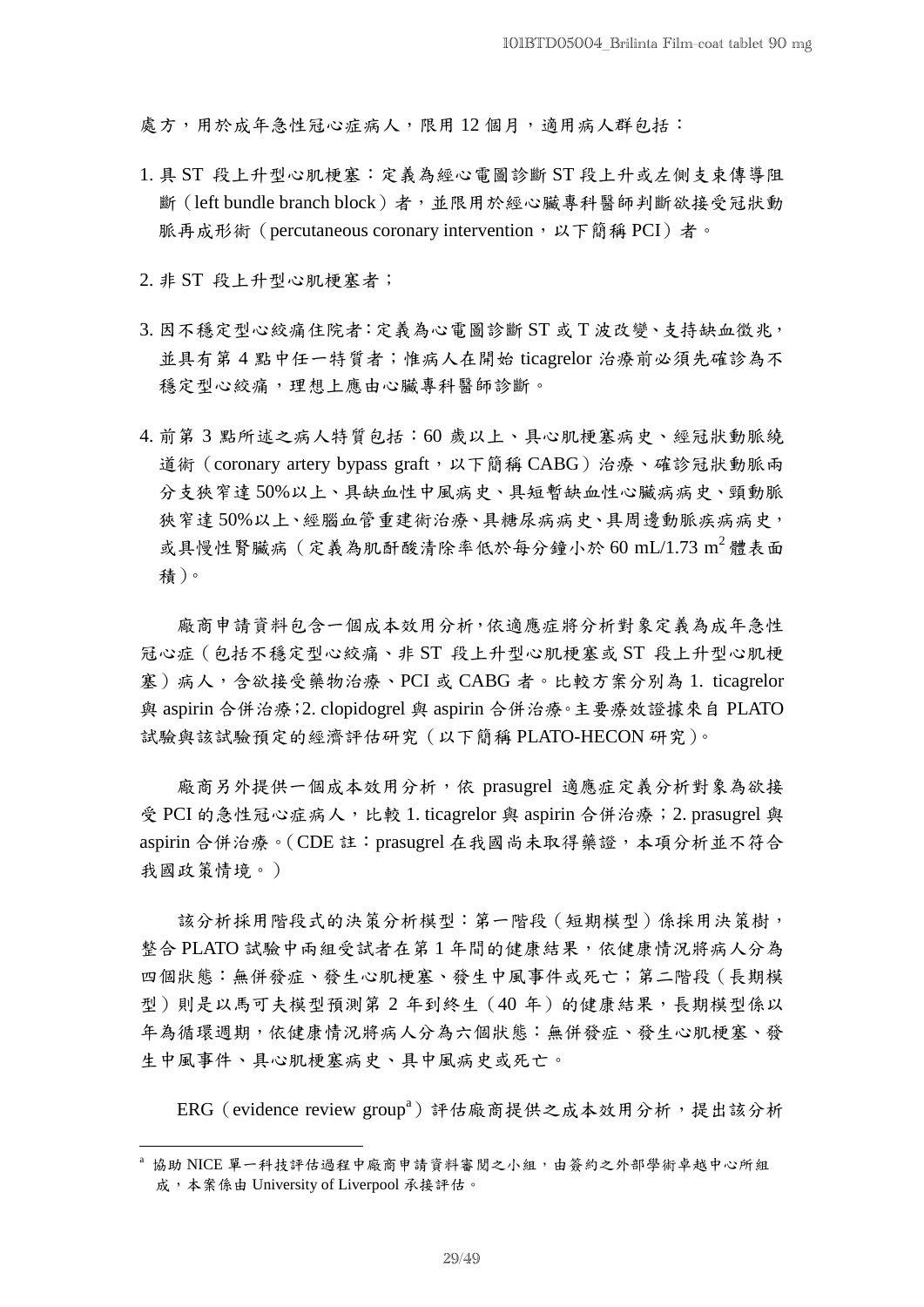處方,用於成年急性冠心症病人,限用12個月,適用病人群包括:

- 1. 具 ST 段上升型心肌梗塞:定義為經心電圖診斷 ST 段上升或左側支束傳導阻 斷(left bundle branch block)者,並限用於經心臟專科醫師判斷欲接受冠狀動 脈再成形術 (percutaneous coronary intervention, 以下簡稱 PCI)者。
- 2. 非 ST 段上升型心肌梗塞者;

1

- 3. 因不穩定型心絞痛住院者:定義為心電圖診斷 ST 或 T 波改變、支持缺血徵兆, 並具有第 4 點中任一特質者;惟病人在開始 ticagrelor 治療前必須先確診為不 穩定型心絞痛,理想上應由心臟專科醫師診斷。
- 4. 前第 3 點所述之病人特質包括:60 歲以上、具心肌梗塞病史、經冠狀動脈繞 道術 (coronary artery bypass graft,以下簡稱 CABG) 治療、確診冠狀動脈兩 分支狹窄達 50%以上、具缺血性中風病史、具短暫缺血性心臟病病史、頸動脈 狹窄達 50%以上、經腦血管重建術治療、具糖尿病病史、具周邊動脈疾病病史, 或具慢性腎臟病(定義為肌酐酸清除率低於每分鐘小於 60 mL/1.73 m<sup>2</sup> 體表面 積)。

廠商申請資料包含一個成本效用分析,依適應症將分析對象定義為成年急性 冠心症(包括不穩定型心絞痛、非 ST 段上升型心肌梗塞或 ST 段上升型心肌梗 塞)病人,含欲接受藥物治療、PCI 或 CABG 者。比較方案分別為 1. ticagrelor 與 aspirin 合併治療;2. clopidogrel 與 aspirin 合併治療。主要療效證據來自 PLATO 試驗與該試驗預定的經濟評估研究(以下簡稱 PLATO-HECON 研究)。

廠商另外提供一個成本效用分析,依 prasugrel 適應症定義分析對象為欲接 受 PCI 的急性冠心症病人,比較 1. ticagrelor 與 aspirin 合併治療; 2. prasugrel 與 aspirin 合併治療。(CDE 註:prasugrel 在我國尚未取得藥證,本項分析並不符合 我國政策情境。)

該分析採用階段式的決策分析模型:第一階段(短期模型)係採用決策樹, 整合 PLATO 試驗中兩組受試者在第 1 年間的健康結果,依健康情況將病人分為 四個狀態:無併發症、發生心肌梗塞、發生中風事件或死亡;第二階段(長期模 型)則是以馬可夫模型預測第 2 年到終生 (40 年) 的健康結果,長期模型係以 年為循環週期,依健康情況將病人分為六個狀態:無併發症、發生心肌梗塞、發 生中風事件、具心肌梗塞病史、具中風病史或死亡。

ERG (evidence review group<sup>a</sup>) 評估廠商提供之成本效用分析,提出該分析

<sup>a</sup> 協助 NICE 單一科技評估過程中廠商申請資料審閱之小組,由簽約之外部學術卓越中心所組 成,本案係由 University of Liverpool 承接評估。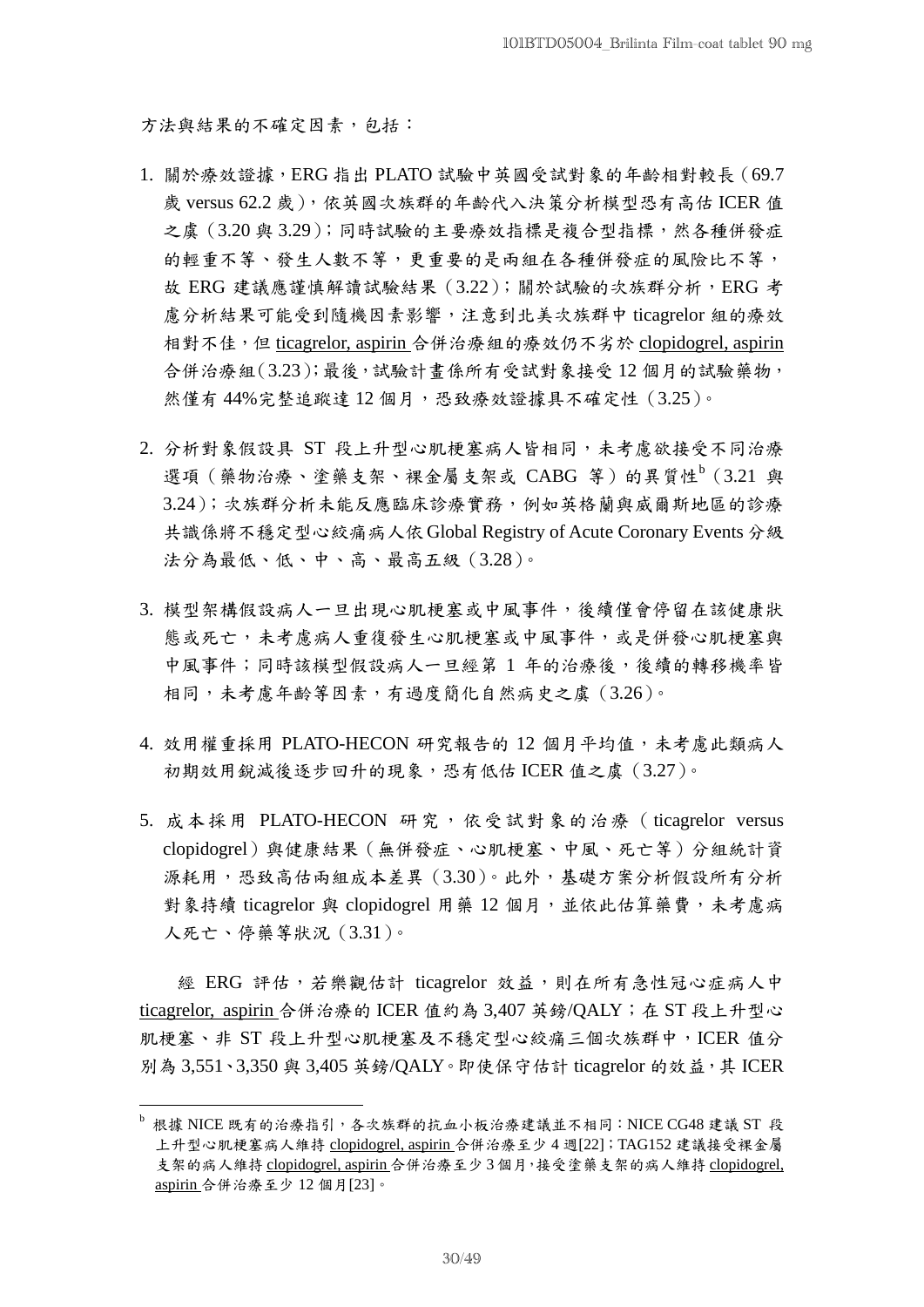方法與結果的不確定因素,包括:

- 1. 關於療效證據,ERG 指出 PLATO 試驗中英國受試對象的年齡相對較長(69.7 歲 versus 62.2 歲),依英國次族群的年齡代入決策分析模型恐有高估 ICER 值 之虞(3.20 與 3.29);同時試驗的主要療效指標是複合型指標,然各種併發症 的輕重不等、發生人數不等,更重要的是兩組在各種併發症的風險比不等, 故 ERG 建議應謹慎解讀試驗結果 (3.22);關於試驗的次族群分析, ERG 考 慮分析結果可能受到隨機因素影響,注意到北美次族群中 ticagrelor 組的療效 相對不佳,但 ticagrelor, aspirin 合併治療組的療效仍不劣於 clopidogrel, aspirin 合併治療組(3.23);最後,試驗計畫係所有受試對象接受 12 個月的試驗藥物, 然僅有44%完整追蹤達12個月,恐致療效證據具不確定性(3.25)。
- 2. 分析對象假設具 ST 段上升型心肌梗塞病人皆相同,未考慮欲接受不同治療 選項(藥物治療、塗藥支架、裸金屬支架或 CABG 等)的異質性<sup>b</sup> (3.21 與 3.24);次族群分析未能反應臨床診療實務,例如英格蘭與威爾斯地區的診療 共識係將不穩定型心絞痛病人依 Global Registry of Acute Coronary Events 分級 法分為最低、低、中、高、最高五級(3.28)。
- 3. 模型架構假設病人一旦出現心肌梗塞或中風事件,後續僅會停留在該健康狀 態或死亡,未考慮病人重復發生心肌梗塞或中風事件,或是併發心肌梗塞與 中風事件;同時該模型假設病人一旦經第 1 年的治療後,後續的轉移機率皆 相同,未考慮年齡等因素,有過度簡化自然病史之虞(3.26)。
- 4. 效用權重採用 PLATO-HECON 研究報告的 12 個月平均值,未考慮此類病人 初期效用銳減後逐步回升的現象,恐有低估 ICER 值之虞(3.27)。
- 5. 成本採用 PLATO-HECON 研究,依受試對象的治療 (ticagrelor versus clopidogrel)與健康結果(無併發症、心肌梗塞、中風、死亡等)分組統計資 源耗用,恐致高估兩組成本差異(3.30)。此外,基礎方案分析假設所有分析 對象持續 ticagrelor 與 clopidogrel 用藥 12 個月,並依此估算藥費,未考慮病 人死亡、停藥等狀況(3.31)。

經 ERG 評估,若樂觀估計 ticagrelor 效益,則在所有急性冠心症病人中 ticagrelor, aspirin 合併治療的 ICER 值約為 3,407 英鎊/QALY; 在 ST 段上升型心 肌梗塞、非 ST 段上升型心肌梗塞及不穩定型心絞痛三個次族群中,ICER 值分 別為 3,551、3,350 與 3,405 英鎊/OALY。即使保守估計 ticagrelor 的效益, 其 ICER

1

 $^{\rm b}$  根據 NICE 既有的治療指引,各次族群的抗血小板治療建議並不相同:NICE CG48 建議 ST 段 上升型心肌梗塞病人維持 clopidogrel, aspirin 合併治療至少 4 週[22];TAG152 建議接受裸金屬 支架的病人維持 clopidogrel, aspirin 合併治療至少 3 個月,接受塗藥支架的病人維持 clopidogrel, aspirin 合併治療至少 12 個月[23]。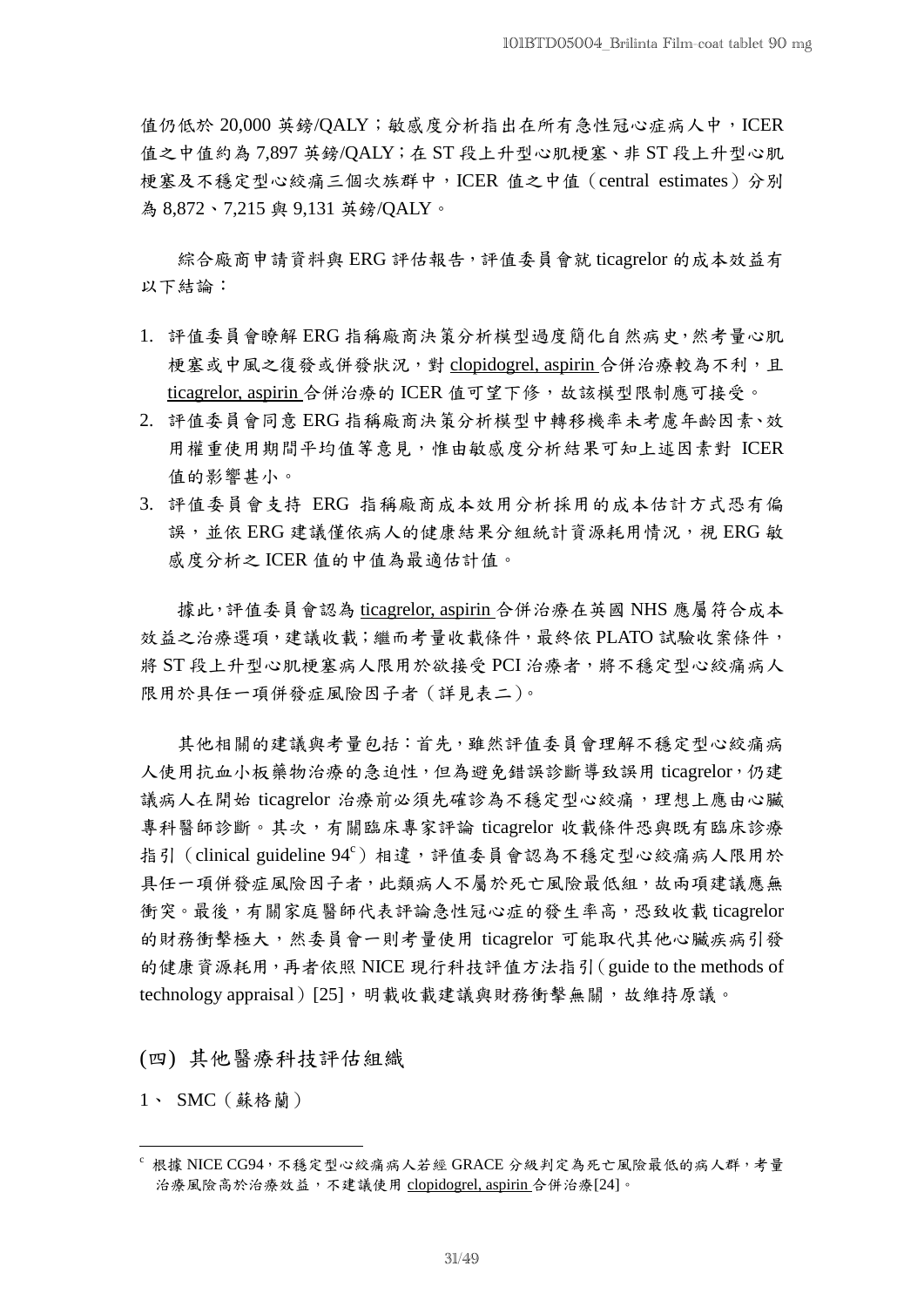值仍低於 20,000 英鎊/OALY;敏感度分析指出在所有急性冠心症病人中, ICER 值之中值約為 7,897 英鎊/QALY;在 ST 段上升型心肌梗塞、非 ST 段上升型心肌 梗塞及不穩定型心絞痛三個次族群中,ICER 值之中值(central estimates)分別 為 8,872、7,215 與 9,131 英鎊/QALY。

綜合廠商申請資料與 ERG 評估報告,評值委員會就 ticagrelor 的成本效益有 以下結論:

- 1. 評值委員會瞭解 ERG 指稱廠商決策分析模型過度簡化自然病史,然考量心肌 梗塞或中風之復發或併發狀況,對 clopidogrel, aspirin 合併治療較為不利,且 ticagrelor, aspirin 合併治療的 ICER 值可望下修,故該模型限制應可接受。
- 2. 評值委員會同意 ERG 指稱廠商決策分析模型中轉移機率未考慮年齡因素、效 用權重使用期間平均值等意見,惟由敏感度分析結果可知上述因素對 ICER 值的影響甚小。
- 3. 評值委員會支持 ERG 指稱廠商成本效用分析採用的成本估計方式恐有偏 誤, 並依 ERG 建議僅依病人的健康結果分組統計資源耗用情況,視 ERG 敏 感度分析之 ICER 值的中值為最適估計值。

據此,評值委員會認為 ticagrelor, aspirin 合併治療在英國 NHS 應屬符合成本 效益之治療選項,建議收載;繼而考量收載條件,最終依 PLATO 試驗收案條件, 將 ST 段上升型心肌梗塞病人限用於欲接受 PCI 治療者, 將不穩定型心絞痛病人 限用於具任一項併發症風險因子者(詳見表二)。

其他相關的建議與考量包括:首先,雖然評值委員會理解不穩定型心絞痛病 人使用抗血小板藥物治療的急迫性,但為避免錯誤診斷導致誤用 ticagrelor,仍建 議病人在開始 ticagrelor 治療前必須先確診為不穩定型心絞痛,理想上應由心臟 專科醫師診斷。其次,有關臨床專家評論 ticagrelor 收載條件恐與既有臨床診療 指引 (clinical guideline 94 $\text{C}$ ) 相違,評值委員會認為不穩定型心絞痛病人限用於 具任一項併發症風險因子者,此類病人不屬於死亡風險最低組,故兩項建議應無 衝突。最後,有關家庭醫師代表評論急性冠心症的發生率高,恐致收載 ticagrelor 的財務衝擊極大,然委員會一則考量使用 ticagrelor 可能取代其他心臟疾病引發 的健康資源耗用,再者依照 NICE 現行科技評值方法指引(guide to the methods of technology appraisal) [25],明載收載建議與財務衝擊無關,故維持原議。

(四) 其他醫療科技評估組織

1、 SMC(蘇格蘭)

1

不根據 NICE CG94, 不穩定型心絞痛病人若經 GRACE 分級判定為死亡風險最低的病人群,考量 治療風險高於治療效益,不建議使用 clopidogrel, aspirin 合併治療[24]。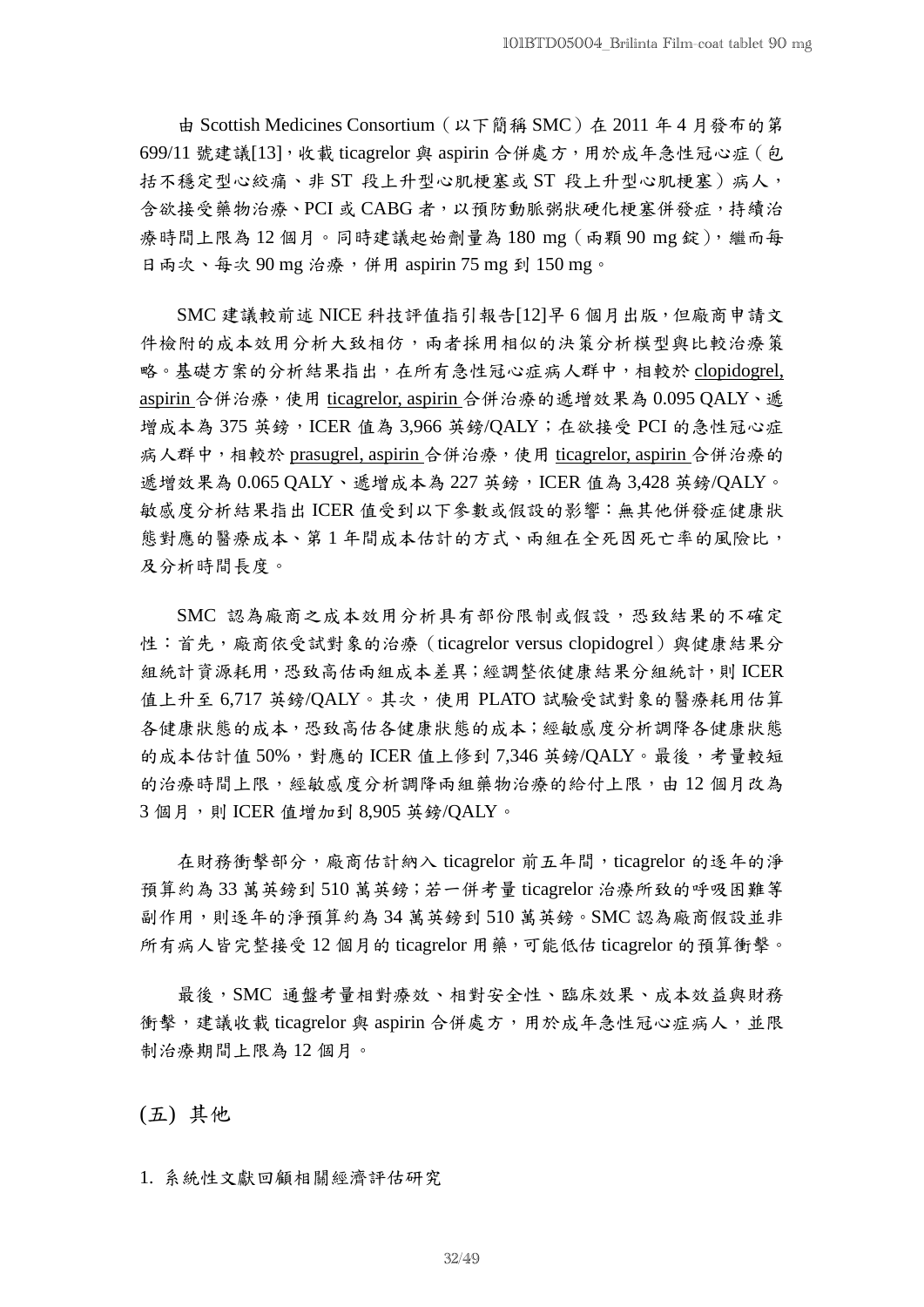由 Scottish Medicines Consortium(以下簡稱 SMC)在 2011 年 4 月發布的第 699/11 號建議[13],收載 ticagrelor 與 aspirin 合併處方,用於成年急性冠心症(包 括不穩定型心絞痛、非 ST 段上升型心肌梗塞或 ST 段上升型心肌梗塞)病人, 含欲接受藥物治療、PCI 或 CABG 者,以預防動脈粥狀硬化梗塞併發症,持續治 療時間上限為 12 個月。同時建議起始劑量為 180 mg(兩顆 90 mg 錠),繼而每 日兩次、每次 90 mg 治療,併用 aspirin 75 mg 到 150 mg。

SMC 建議較前述 NICE 科技評值指引報告[12]早 6 個月出版,但廠商申請文 件檢附的成本效用分析大致相仿,兩者採用相似的決策分析模型與比較治療策 略。基礎方案的分析結果指出,在所有急性冠心症病人群中,相較於 clopidogrel, aspirin 合併治療,使用 ticagrelor, aspirin 合併治療的遞增效果為 0.095 QALY、遞 增成本為 375 英鎊,ICER 值為 3,966 英鎊/QALY;在欲接受 PCI 的急性冠心症 病人群中,相較於 prasugrel, aspirin 合併治療,使用 ticagrelor, aspirin 合併治療的 遞增效果為 0.065 QALY、遞增成本為 227 英鎊, ICER 值為 3,428 英鎊/QALY。 敏感度分析結果指出 ICER 值受到以下參數或假設的影響:無其他併發症健康狀 態對應的醫療成本、第 1 年間成本估計的方式、兩組在全死因死亡率的風險比, 及分析時間長度。

SMC 認為廠商之成本效用分析具有部份限制或假設,恐致結果的不確定 性:首先,廠商依受試對象的治療(ticagrelor versus clopidogrel)與健康結果分 組統計資源耗用,恐致高估兩組成本差異;經調整依健康結果分組統計,則 ICER 值上升至 6,717 英鎊/QALY。其次,使用 PLATO 試驗受試對象的醫療耗用估算 各健康狀態的成本,恐致高估各健康狀態的成本;經敏感度分析調降各健康狀態 的成本估計值 50%,對應的 ICER 值上修到 7,346 英鎊/QALY。最後,考量較短 的治療時間上限,經敏感度分析調降兩組藥物治療的給付上限,由 12 個月改為 3個月,則 ICER 值增加到 8.905 英鎊/OALY。

在財務衝擊部分,廠商估計納入 ticagrelor 前五年間,ticagrelor 的逐年的淨 預算約為 33 萬英鎊到 510 萬英鎊;若一併考量 ticagrelor 治療所致的呼吸困難等 副作用,則逐年的淨預算約為 34 萬英鎊到 510 萬英鎊。SMC 認為廠商假設並非 所有病人皆完整接受 12 個月的 ticagrelor 用藥,可能低估 ticagrelor 的預算衝擊。

最後,SMC 通盤考量相對療效、相對安全性、臨床效果、成本效益與財務 衝擊,建議收載 ticagrelor 與 aspirin 合併處方,用於成年急性冠心症病人,並限 制治療期間上限為 12 個月。

(五) 其他

1. 系統性文獻回顧相關經濟評估研究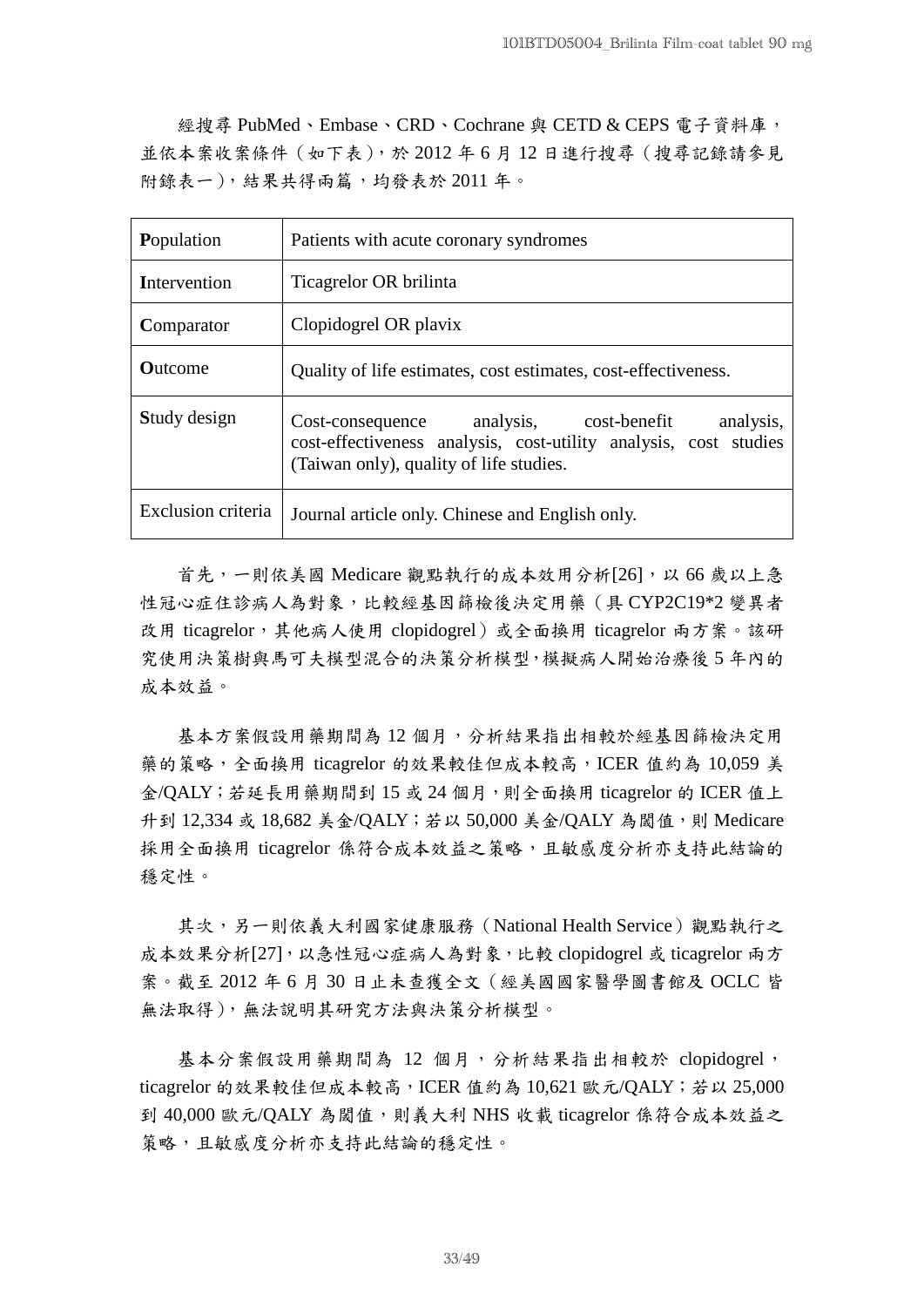經搜尋 PubMed、Embase、CRD、Cochrane 與 CETD & CEPS 電子資料庫, 並依本案收案條件(如下表),於 2012 年 6 月 12 日進行搜尋(搜尋記錄請參見 附錄表一),結果共得兩篇,均發表於 2011 年。

| Population         | Patients with acute coronary syndromes                                                                                                                              |  |  |
|--------------------|---------------------------------------------------------------------------------------------------------------------------------------------------------------------|--|--|
| Intervention       | Ticagrelor OR brilinta                                                                                                                                              |  |  |
| Comparator         | Clopidogrel OR plavix                                                                                                                                               |  |  |
| <b>Outcome</b>     | Quality of life estimates, cost estimates, cost-effectiveness.                                                                                                      |  |  |
| Study design       | Cost-consequence analysis, cost-benefit<br>analysis,<br>cost-effectiveness analysis, cost-utility analysis, cost studies<br>(Taiwan only), quality of life studies. |  |  |
| Exclusion criteria | Journal article only. Chinese and English only.                                                                                                                     |  |  |

首先,一則依美國 Medicare 觀點執行的成本效用分析[26],以 66 歲以上急 性冠心症住診病人為對象,比較經基因篩檢後決定用藥(具 CYP2C19\*2 變異者 改用 ticagrelor, 其他病人使用 clopidogrel)或全面換用 ticagrelor 兩方案。該研 究使用決策樹與馬可夫模型混合的決策分析模型,模擬病人開始治療後 5 年內的 成本效益。

基本方案假設用藥期間為 12 個月,分析結果指出相較於經基因篩檢決定用 藥的策略,全面換用 ticagrelor 的效果較佳但成本較高,ICER 值約為 10,059 美 金/QALY; 若延長用藥期間到 15 或 24 個月, 則全面換用 ticagrelor 的 ICER 值上 升到 12,334 或 18,682 美金/QALY; 若以 50,000 美金/QALY 為閾值,則 Medicare 採用全面換用 ticagrelor 係符合成本效益之策略,且敏感度分析亦支持此結論的 穩定性。

其次,另一則依義大利國家健康服務(National Health Service)觀點執行之 成本效果分析[27],以急性冠心症病人為對象,比較 clopidogrel 或 ticagrelor 兩方 案。截至 2012 年 6 月 30 日止未查獲全文(經美國國家醫學圖書館及 OCLC 皆 無法取得),無法說明其研究方法與決策分析模型。

基本分案假設用藥期間為 12 個月,分析結果指出相較於 clopidogrel, ticagrelor 的效果較佳但成本較高, ICER 值約為 10,621 歐元/QALY; 若以 25,000 到 40,000 歐元/QALY 為閾值,則義大利 NHS 收載 ticagrelor 係符合成本效益之 策略,且敏感度分析亦支持此結論的穩定性。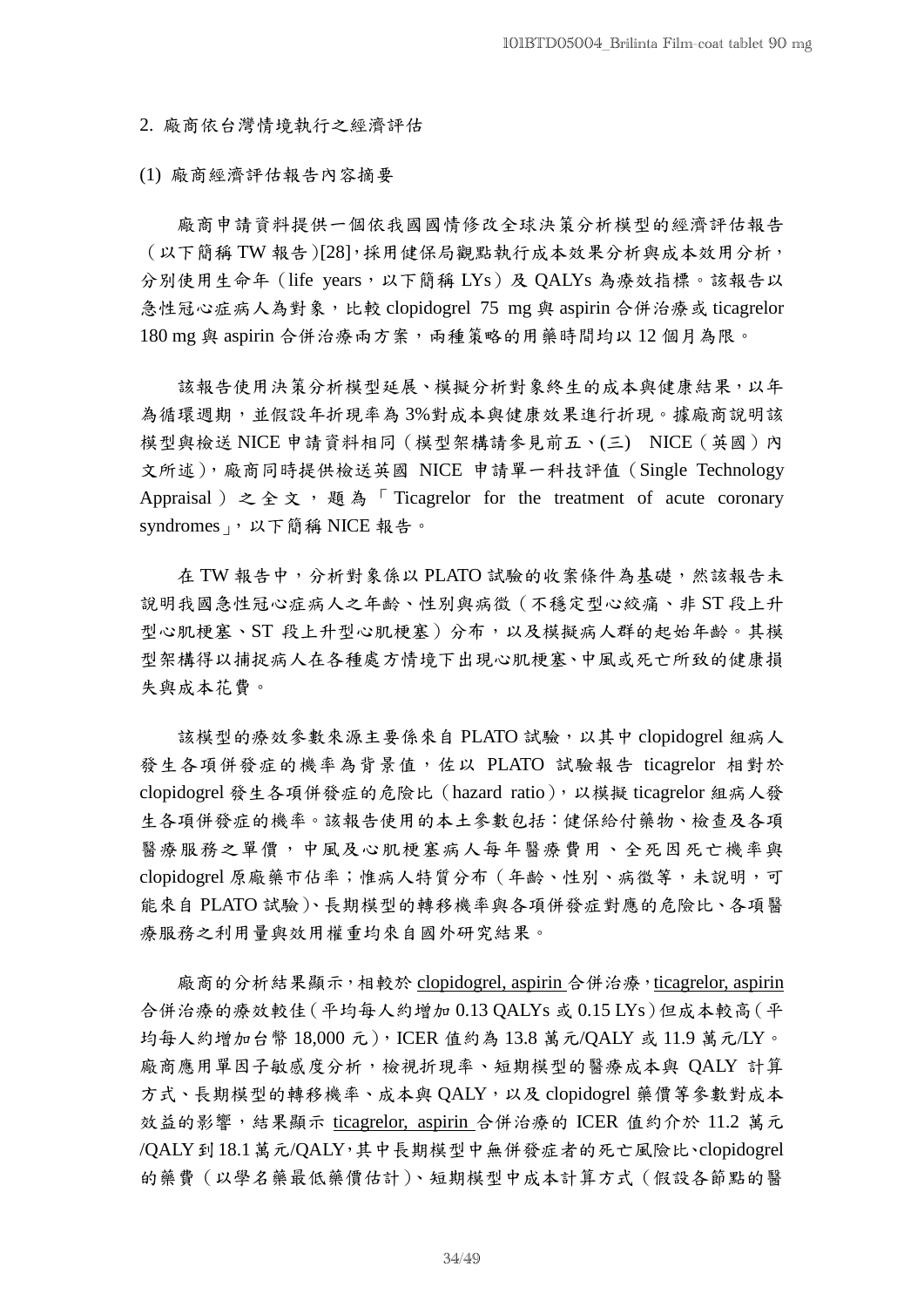2. 廠商依台灣情境執行之經濟評估

(1) 廠商經濟評估報告內容摘要

廠商申請資料提供一個依我國國情修改全球決策分析模型的經濟評估報告 (以下簡稱 TW 報告)[28],採用健保局觀點執行成本效果分析與成本效用分析, 分別使用生命年 (life years,以下簡稱 LYs)及 QALYs 為療效指標。該報告以 急性冠心症病人為對象,比較 clopidogrel 75 mg 與 aspirin 合併治療或 ticagrelor 180 mg 與 aspirin 合併治療兩方案,兩種策略的用藥時間均以12個月為限。

該報告使用決策分析模型延展、模擬分析對象終生的成本與健康結果,以年 為循環週期,並假設年折現率為 3%對成本與健康效果進行折現。據廠商說明該 模型與檢送 NICE 申請資料相同(模型架構請參見前五、(三) NICE(英國)內 文所述),廠商同時提供檢送英國 NICE 申請單一科技評值(Single Technology Appraisal ) 之全文, 題為「Ticagrelor for the treatment of acute coronary syndromes」,以下簡稱 NICE 報告。

在 TW 報告中,分析對象係以 PLATO 試驗的收案條件為基礎,然該報告未 說明我國急性冠心症病人之年齡、性別與病徵(不穩定型心絞痛、非 ST 段上升 型心肌梗塞、ST 段上升型心肌梗塞)分布,以及模擬病人群的起始年齡。其模 型架構得以捕捉病人在各種處方情境下出現心肌梗塞、中風或死亡所致的健康損 失與成本花費。

該模型的療效參數來源主要係來自 PLATO 試驗, 以其中 clopidogrel 組病人 發生各項併發症的機率為背景值,佐以 PLATO 試驗報告 ticagrelor 相對於 clopidogrel 發生各項併發症的危險比(hazard ratio),以模擬 ticagrelor 組病人發 生各項併發症的機率。該報告使用的本土參數包括:健保給付藥物、檢查及各項 醫療服務之單價,中風及心肌梗塞病人每年醫療費用、全死因死亡機率與 clopidogrel 原廠藥市佔率;惟病人特質分布(年齡、性別、病徵等,未說明,可 能來自 PLATO 試驗)、長期模型的轉移機率與各項併發症對應的危險比、各項醫 療服務之利用量與效用權重均來自國外研究結果。

廠商的分析結果顯示,相較於 clopidogrel, aspirin 合併治療,ticagrelor, aspirin 合併治療的療效較佳(平均每人約增加 0.13 QALYs 或 0.15 LYs)但成本較高(平 均每人約增加台幣 18,000 元),ICER 值約為 13.8 萬元/QALY 或 11.9 萬元/LY。 廠商應用單因子敏感度分析,檢視折現率、短期模型的醫療成本與 QALY 計算 方式、長期模型的轉移機率、成本與 QALY,以及 clopidogrel 藥價等參數對成本 效益的影響,結果顯示 ticagrelor, aspirin 合併治療的 ICER 值約介於 11.2 萬元 /QALY到18.1萬元/QALY,其中長期模型中無併發症者的死亡風險比、clopidogrel 的藥費(以學名藥最低藥價估計)、短期模型中成本計算方式(假設各節點的醫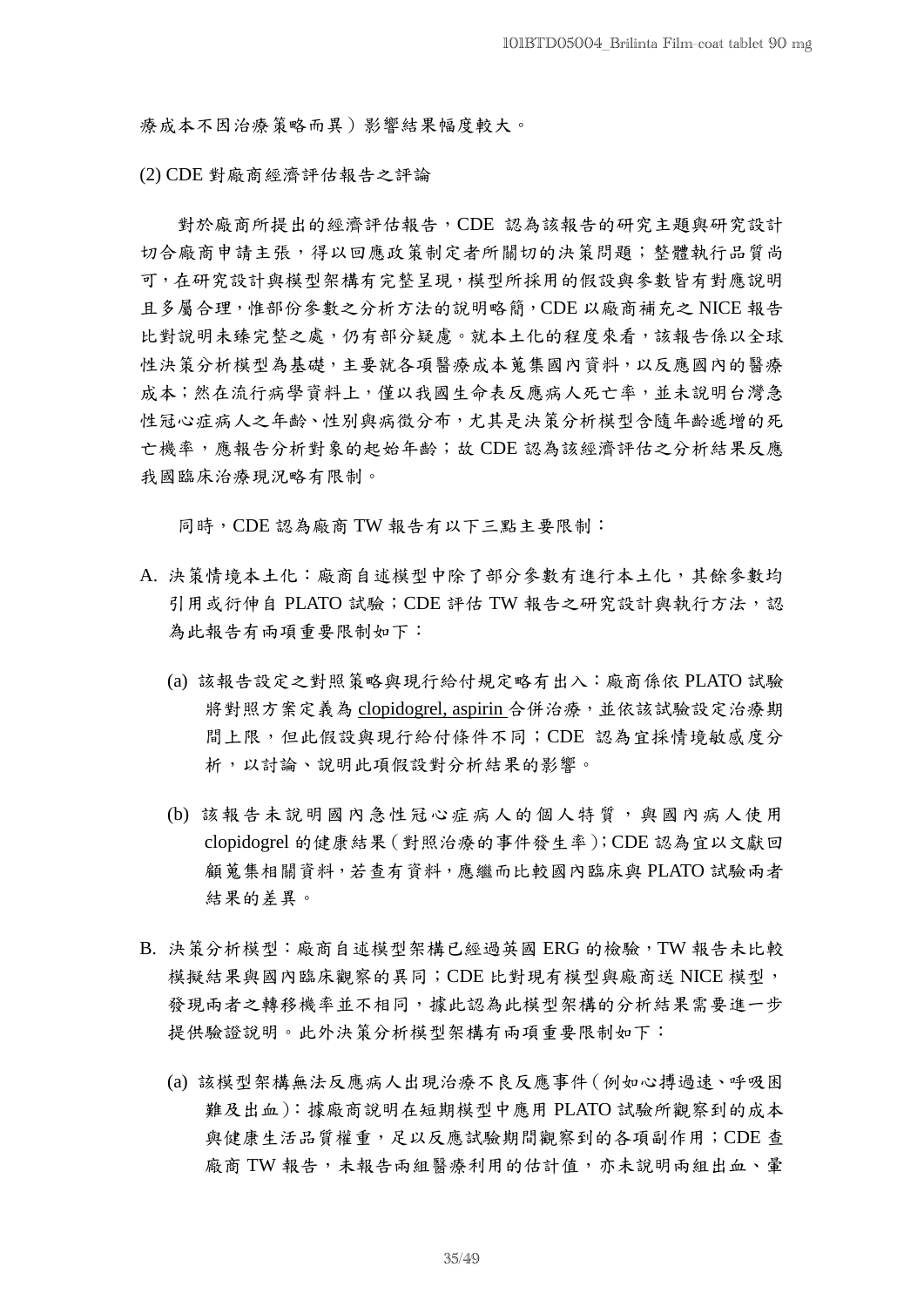療成本不因治療策略而異)影響結果幅度較大。

(2) CDE 對廠商經濟評估報告之評論

對於廠商所提出的經濟評估報告,CDE 認為該報告的研究主題與研究設計 切合廠商申請主張,得以回應政策制定者所關切的決策問題;整體執行品質尚 可,在研究設計與模型架構有完整呈現,模型所採用的假設與參數皆有對應說明 且多屬合理,惟部份參數之分析方法的說明略簡,CDE 以廠商補充之 NICE 報告 比對說明未臻完整之處,仍有部分疑慮。就本土化的程度來看,該報告係以全球 性決策分析模型為基礎,主要就各項醫療成本蒐集國內資料,以反應國內的醫療 成本;然在流行病學資料上,僅以我國生命表反應病人死亡率,並未說明台灣急 性冠心症病人之年齡、性別與病徵分布,尤其是決策分析模型含隨年齡遞增的死 亡機率,應報告分析對象的起始年齡;故 CDE 認為該經濟評估之分析結果反應 我國臨床治療現況略有限制。

同時, CDE認為廠商 TW報告有以下三點主要限制:

- A. 決策情境本土化:廠商自述模型中除了部分參數有進行本土化,其餘參數均 引用或衍伸自 PLATO 試驗; CDE 評估 TW 報告之研究設計與執行方法,認 為此報告有兩項重要限制如下:
	- (a) 該報告設定之對照策略與現行給付規定略有出入:廠商係依 PLATO 試驗 將對照方案定義為 clopidogrel, aspirin 合併治療,並依該試驗設定治療期 間上限,但此假設與現行給付條件不同;CDE 認為宜採情境敏感度分 析,以討論、說明此項假設對分析結果的影響。
	- (b) 該報告未說明國內急性冠心症病人的個人特質,與國內病人使用 clopidogrel 的健康結果(對照治療的事件發生率);CDE 認為宜以文獻回 顧蒐集相關資料,若查有資料,應繼而比較國內臨床與 PLATO 試驗兩者 結果的差異。
- B. 決策分析模型:廠商自述模型架構已經過英國 ERG 的檢驗,TW 報告未比較 模擬結果與國內臨床觀察的異同;CDE 比對現有模型與廠商送 NICE 模型, 發現兩者之轉移機率並不相同,據此認為此模型架構的分析結果需要進一步 提供驗證說明。此外決策分析模型架構有兩項重要限制如下:
	- (a) 該模型架構無法反應病人出現治療不良反應事件(例如心搏過速、呼吸困 難及出血):據廠商說明在短期模型中應用 PLATO 試驗所觀察到的成本 與健康生活品質權重,足以反應試驗期間觀察到的各項副作用;CDE 查 廠商 TW 報告,未報告兩組醫療利用的估計值,亦未說明兩組出血、暈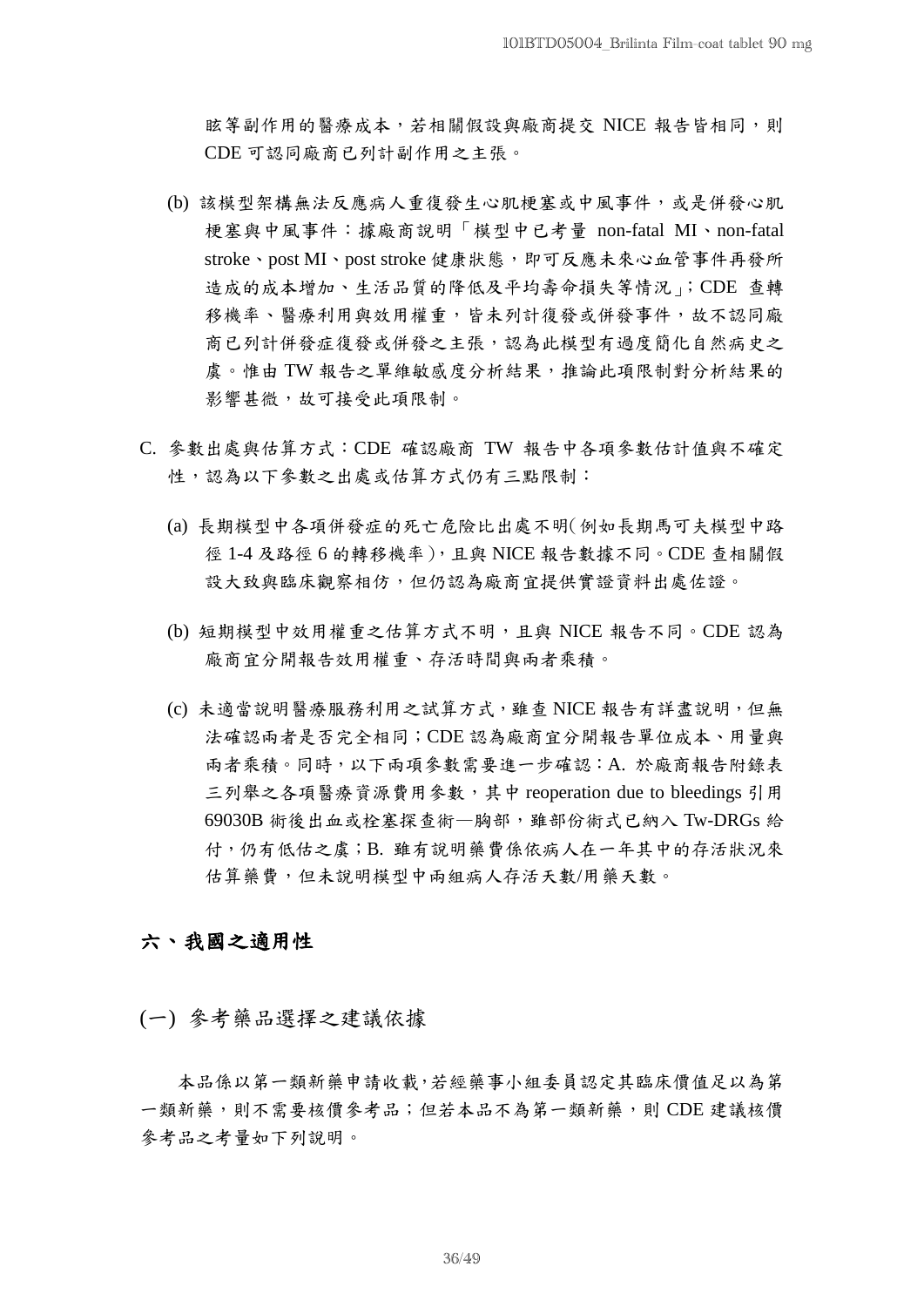眩等副作用的醫療成本,若相關假設與廠商提交 NICE 報告皆相同,則 CDE 可認同廠商已列計副作用之主張。

- (b) 該模型架構無法反應病人重復發生心肌梗塞或中風事件,或是併發心肌 梗塞與中風事件:據廠商說明「模型中已考量 non-fatal MI、non-fatal stroke、post MI、post stroke 健康狀態,即可反應未來心血管事件再發所 造成的成本增加、生活品質的降低及平均壽命損失等情況」;CDE 查轉 移機率、醫療利用與效用權重,皆未列計復發或併發事件,故不認同廠 商已列計併發症復發或併發之主張,認為此模型有過度簡化自然病史之 虞。惟由 TW 報告之單維敏感度分析結果,推論此項限制對分析結果的 影響甚微,故可接受此項限制。
- C. 參數出處與估算方式:CDE 確認廠商 TW 報告中各項參數估計值與不確定 性,認為以下參數之出處或估算方式仍有三點限制:
	- (a) 長期模型中各項併發症的死亡危險比出處不明(例如長期馬可夫模型中路 徑 1-4 及路徑 6 的轉移機率),且與 NICE 報告數據不同。CDE 查相關假 設大致與臨床觀察相仿,但仍認為廠商宜提供實證資料出處佐證。
	- (b) 短期模型中效用權重之估算方式不明,且與 NICE 報告不同。CDE 認為 廠商宜分開報告效用權重、存活時間與兩者乘積。
	- (c) 未適當說明醫療服務利用之試算方式,雖查 NICE 報告有詳盡說明,但無 法確認兩者是否完全相同;CDE 認為廠商宜分開報告單位成本、用量與 兩者乘積。同時,以下兩項參數需要進一步確認:A. 於廠商報告附錄表 三列舉之各項醫療資源費用參數,其中 reoperation due to bleedings 引用 69030B 術後出血或栓塞探查術—胸部,雖部份術式已納入 Tw-DRGs 給 付,仍有低估之虞;B. 雖有說明藥費係依病人在一年其中的存活狀況來 估算藥費,但未說明模型中兩組病人存活天數/用藥天數。

## 六、我國之適用性

(一) 參考藥品選擇之建議依據

本品係以第一類新藥申請收載,若經藥事小組委員認定其臨床價值足以為第 一類新藥,則不需要核價參考品;但若本品不為第一類新藥,則 CDE 建議核價 參考品之考量如下列說明。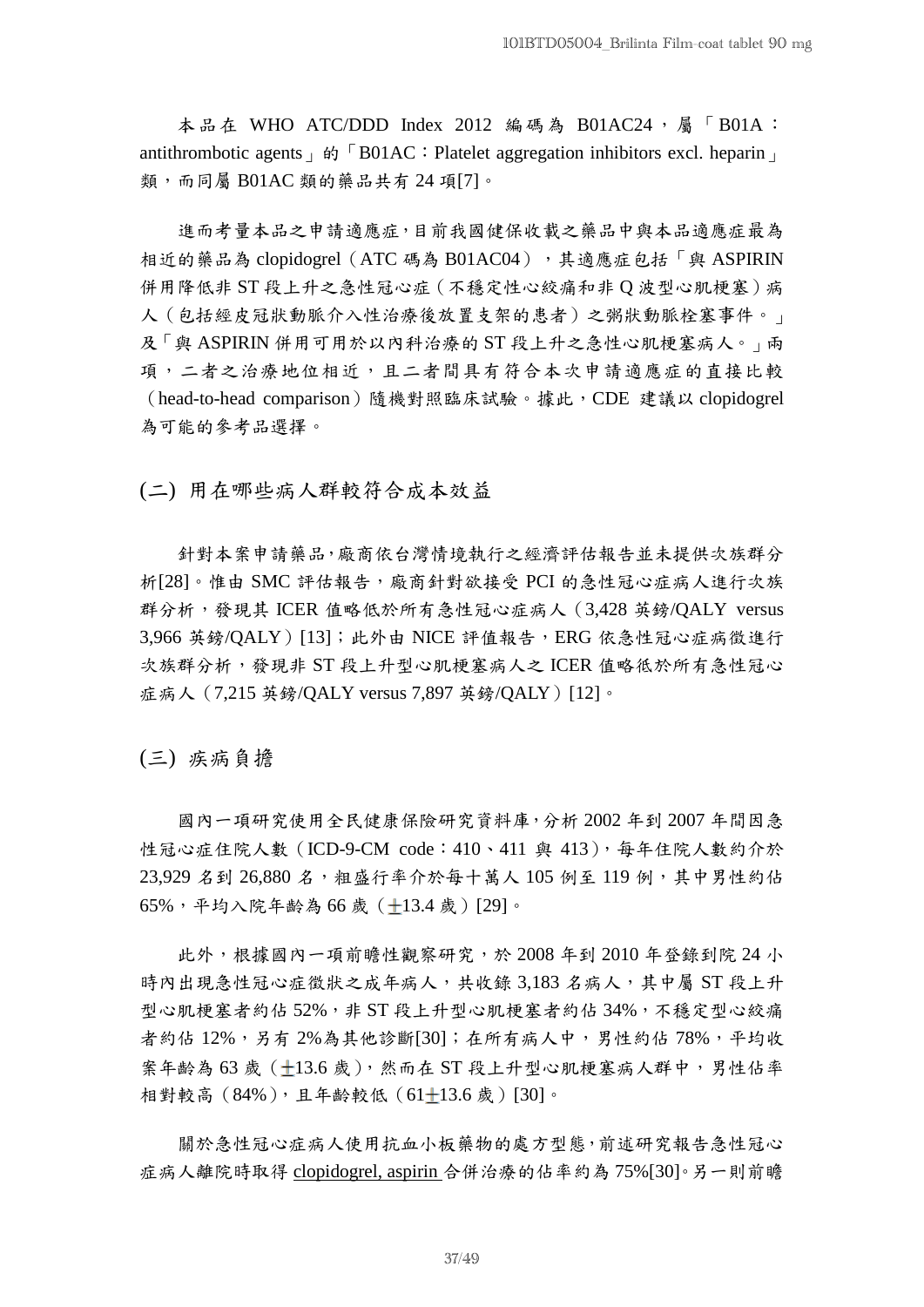本品在 WHO ATC/DDD Index 2012 編碼為 B01AC24,屬「B01A: antithrombotic agents  $\phi$  FB01AC: Platelet aggregation inhibitors excl. heparin 類,而同屬 B01AC 類的藥品共有 24 項[7]。

進而考量本品之申請適應症,目前我國健保收載之藥品中與本品適應症最為 相近的藥品為 clopidogrel (ATC 碼為 B01AC04),其適應症包括「與 ASPIRIN 併用降低非 ST 段上升之急性冠心症(不穩定性心絞痛和非 Q 波型心肌梗塞)病 人(包括經皮冠狀動脈介入性治療後放置支架的患者)之粥狀動脈栓塞事件。」 及「與 ASPIRIN 併用可用於以內科治療的 ST 段上升之急性心肌梗塞病人。」兩 項,二者之治療地位相近,且二者間具有符合本次申請適應症的直接比較 (head-to-head comparison)隨機對照臨床試驗。據此,CDE 建議以 clopidogrel 為可能的參考品選擇。

(二) 用在哪些病人群較符合成本效益

針對本案申請藥品,廠商依台灣情境執行之經濟評估報告並未提供次族群分 析[28]。惟由 SMC 評估報告,廠商針對欲接受 PCI 的急性冠心症病人進行次族 群分析,發現其 ICER 值略低於所有急性冠心症病人(3,428 英鎊/QALY versus  $3.966$ 英鎊/ $OALY)$ [13]; 此外由 NICE 評值報告, ERG 依急性冠心症病徵進行 次族群分析,發現非 ST 段上升型心肌梗塞病人之 ICER 值略彽於所有急性冠心 症病人(7,215 英鎊/QALY versus 7,897 英鎊/QALY)[12]。

(三) 疾病負擔

國內一項研究使用全民健康保險研究資料庫,分析 2002 年到 2007 年間因急 性冠心症住院人數 (ICD-9-CM code: 410、411 與 413), 每年住院人數約介於 23,929 名到 26,880 名,粗盛行率介於每十萬人 105 例至 119 例,其中男性約佔 65%,平均入院年齡為 66 歲( 13.4 歲)[29]。

此外,根據國內一項前瞻性觀察研究,於 2008 年到 2010 年登錄到院 24 小 時內出現急性冠心症徵狀之成年病人,共收錄 3,183 名病人,其中屬 ST 段上升 型心肌梗塞者約佔 52%,非 ST 段上升型心肌梗塞者約佔 34%,不穩定型心絞痛 者約佔 12%,另有 2%為其他診斷[30];在所有病人中,男性約佔 78%,平均收 案年齡為 63歲 (+13.6歲),然而在 ST 段上升型心肌梗塞病人群中,男性佔率 相對較高 (84%), 且年齡較低 (61+13.6 歳) [30]。

關於急性冠心症病人使用抗血小板藥物的處方型態,前述研究報告急性冠心 症病人離院時取得 clopidogrel, aspirin 合併治療的佔率約為 75%[30]。另一則前瞻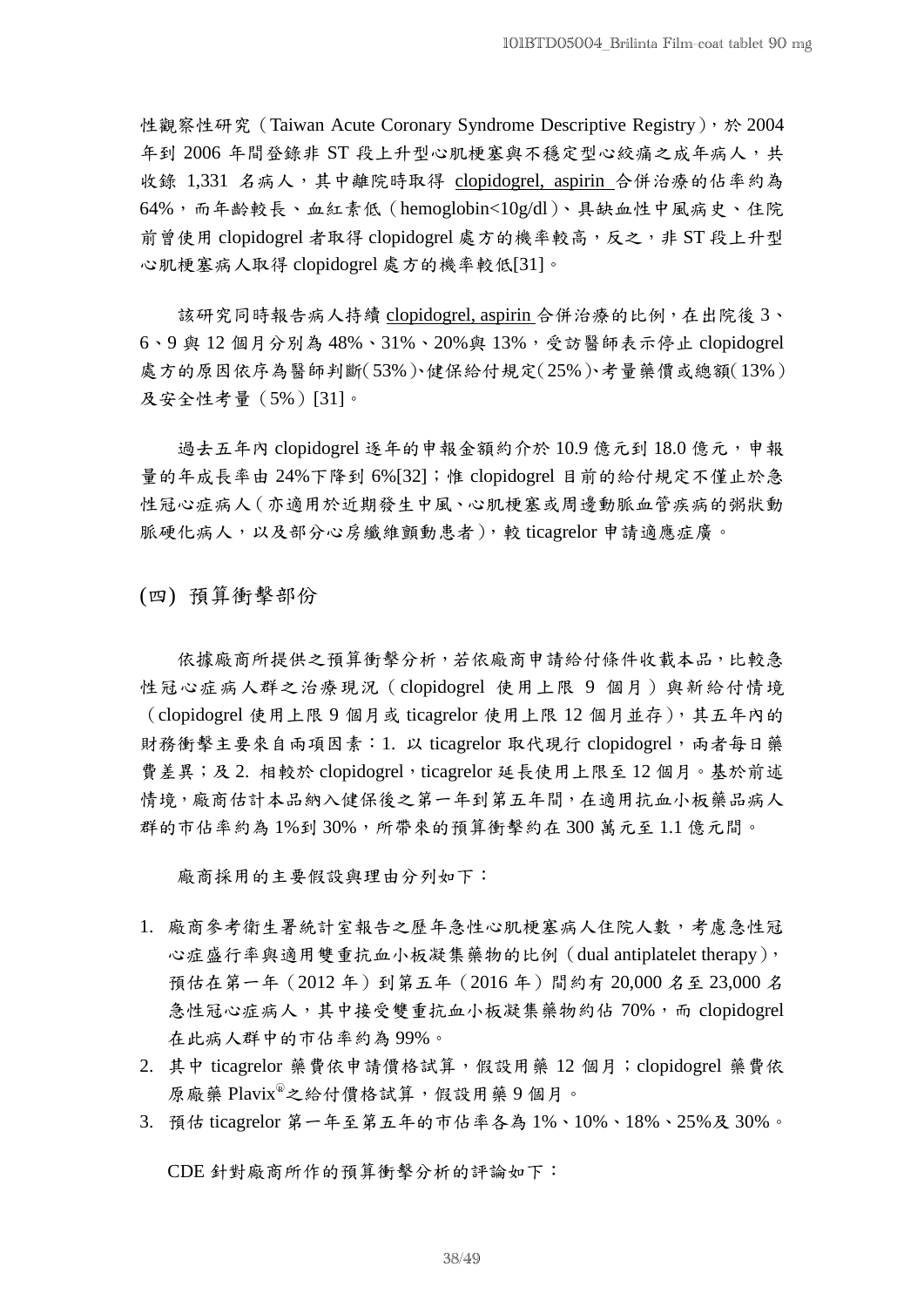性觀察性研究 (Taiwan Acute Coronary Syndrome Descriptive Registry), 於 2004 年到 2006年間登錄非 ST 段上升型心肌梗塞與不穩定型心絞痛之成年病人,共 收錄 1,331 名病人,其中離院時取得 clopidogrel, aspirin 合併治療的佔率約為 64%,而年齡較長、血紅素低(hemoglobin<10g/dl)、具缺血性中風病史、住院 前曾使用 clopidogrel 者取得 clopidogrel 處方的機率較高,反之,非 ST 段上升型 心肌梗塞病人取得 clopidogrel 處方的機率較低[31]。

該研究同時報告病人持續 clopidogrel, aspirin 合併治療的比例,在出院後 3、 6、9 與 12 個月分別為 48%、31%、20%與 13%,受訪醫師表示停止 clopidogrel 處方的原因依序為醫師判斷(53%)、健保給付規定(25%)、考量藥價或總額(13%) 及安全性考量(5%)[31]。

過去五年內 clopidogrel 逐年的申報金額約介於 10.9 億元到 18.0 億元,申報 量的年成長率由 24%下降到 6%[32];惟 clopidogrel 目前的給付規定不僅止於急 性冠心症病人(亦適用於近期發生中風、心肌梗塞或周邊動脈血管疾病的粥狀動 脈硬化病人,以及部分心房纖維顫動患者),較 ticagrelor 申請適應症廣。

(四) 預算衝擊部份

依據廠商所提供之預算衝擊分析,若依廠商申請給付條件收載本品,比較急 性冠心症病人群之治療現況(clopidogrel 使用上限 9 個月)與新給付情境 (clopidogrel 使用上限 9 個月或 ticagrelor 使用上限 12 個月並存), 其五年內的 財務衝擊主要來自兩項因素: 1. 以 ticagrelor 取代現行 clopidogrel, 兩者每日藥 費差異;及 2. 相較於 clopidogrel, ticagrelor 延長使用上限至 12 個月。基於前述 情境,廠商估計本品納入健保後之第一年到第五年間,在適用抗血小板藥品病人 群的市佔率約為 1%到 30%,所帶來的預算衝擊約在 300 萬元至 1.1 億元間。

廠商採用的主要假設與理由分列如下:

- 1. 廠商參考衛生署統計室報告之歷年急性心肌梗塞病人住院人數,考慮急性冠 心症盛行率與適用雙重抗血小板凝集藥物的比例(dual antiplatelet therapy), 預估在第一年(2012 年)到第五年(2016 年)間約有 20,000 名至 23,000 名 急性冠心症病人,其中接受雙重抗血小板凝集藥物約佔 70%,而 clopidogrel 在此病人群中的市佔率約為 99%。
- 2. 其中 ticagrelor 藥費依申請價格試算,假設用藥 12 個月;clopidogrel 藥費依 原麻藥 Plavix®之給付價格試算,假設用藥9個月。
- 3. 預估 ticagrelor 第一年至第五年的市佔率各為 1%、10%、18%、25%及 30%。

CDE 針對廠商所作的預算衝擊分析的評論如下: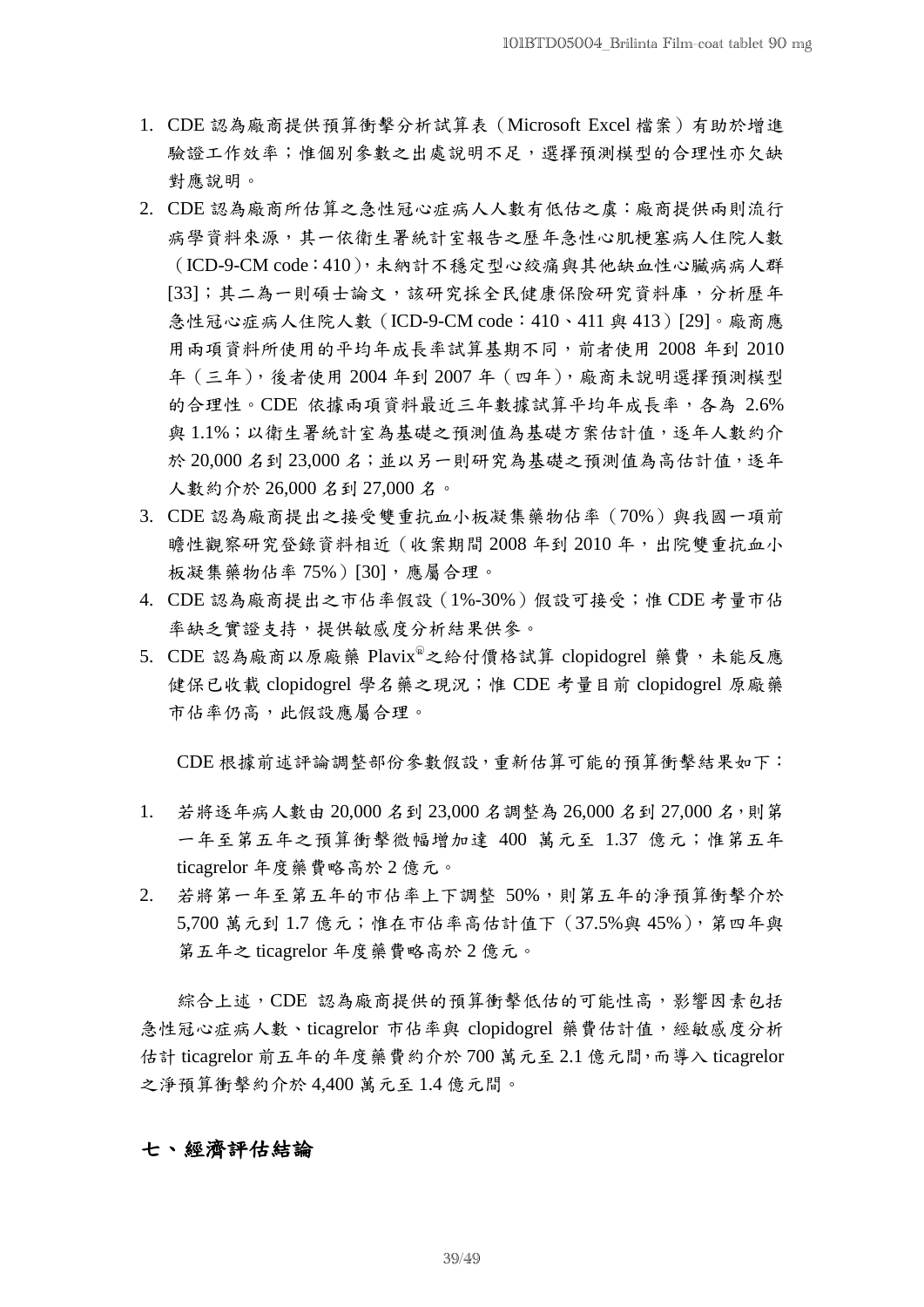- 1. CDE 認為廠商提供預算衝擊分析試算表(Microsoft Excel 檔案)有助於增進 驗證工作效率;惟個別參數之出處說明不足,選擇預測模型的合理性亦欠缺 對應說明。
- 2. CDE 認為廠商所估算之急性冠心症病人人數有低估之虞:廠商提供兩則流行 病學資料來源,其一依衛生署統計室報告之歷年急性心肌梗塞病人住院人數 (ICD-9-CM code:410),未納計不穩定型心絞痛與其他缺血性心臟病病人群 [33];其二為一則碩士論文,該研究採全民健康保險研究資料庫,分析歷年 急性冠心症病人住院人數(ICD-9-CM code:410、411 與 413)[29]。廠商應 用兩項資料所使用的平均年成長率試算基期不同,前者使用 2008 年到 2010 年(三年),後者使用 2004 年到 2007 年(四年),廠商未說明選擇預測模型 的合理性。CDE 依據兩項資料最近三年數據試算平均年成長率,各為 2.6% 與1.1%;以衛生署統計室為基礎之預測值為基礎方案估計值,逐年人數約介 於 20,000名到 23,000名;並以另一則研究為基礎之預測值為高估計值,逐年 人數約介於 26,000 名到 27,000 名。
- 3. CDE 認為廠商提出之接受雙重抗血小板凝集藥物佔率(70%)與我國一項前 瞻性觀察研究登錄資料相近(收案期間 2008 年到 2010 年,出院雙重抗血小 板凝集藥物佔率 75%)[30],應屬合理。
- 4. CDE 認為廠商提出之市佔率假設(1%-30%)假設可接受;惟 CDE 考量市佔 率缺乏實證支持,提供敏感度分析結果供參。
- 5. CDE 認為廠商以原廠藥 Plavix®之給付價格試算 clopidogrel 藥費,未能反應 健保已收載 clopidogrel 學名藥之現況;惟 CDE 考量目前 clopidogrel 原廠藥 市佔率仍高,此假設應屬合理。

CDE 根據前述評論調整部份參數假設,重新估算可能的預算衝擊結果如下:

- 1. 若將逐年病人數由 20,000 名到 23,000 名調整為 26,000 名到 27,000 名,則第 一年至第五年之預算衝擊微幅增加達 400 萬元至 1.37 億元;惟第五年 ticagrelor 年度藥費略高於 2 億元。
- 2. 若將第一年至第五年的市佔率上下調整 50%,則第五年的淨預算衝擊介於 5,700 萬元到 1.7 億元;惟在市佔率高估計值下(37.5%與 45%),第四年與 第五年之 ticagrelor 年度藥費略高於 2 億元。

綜合上述, CDE 認為廠商提供的預算衝擊低估的可能性高,影響因素包括 急性冠心症病人數、ticagrelor 市佔率與 clopidogrel 藥費估計值,經敏感度分析 估計 ticagrelor 前五年的年度藥費約介於 700 萬元至 2.1 億元間,而導入 ticagrelor 之淨預算衝擊約介於 4,400 萬元至 1.4 億元間。

## 七、經濟評估結論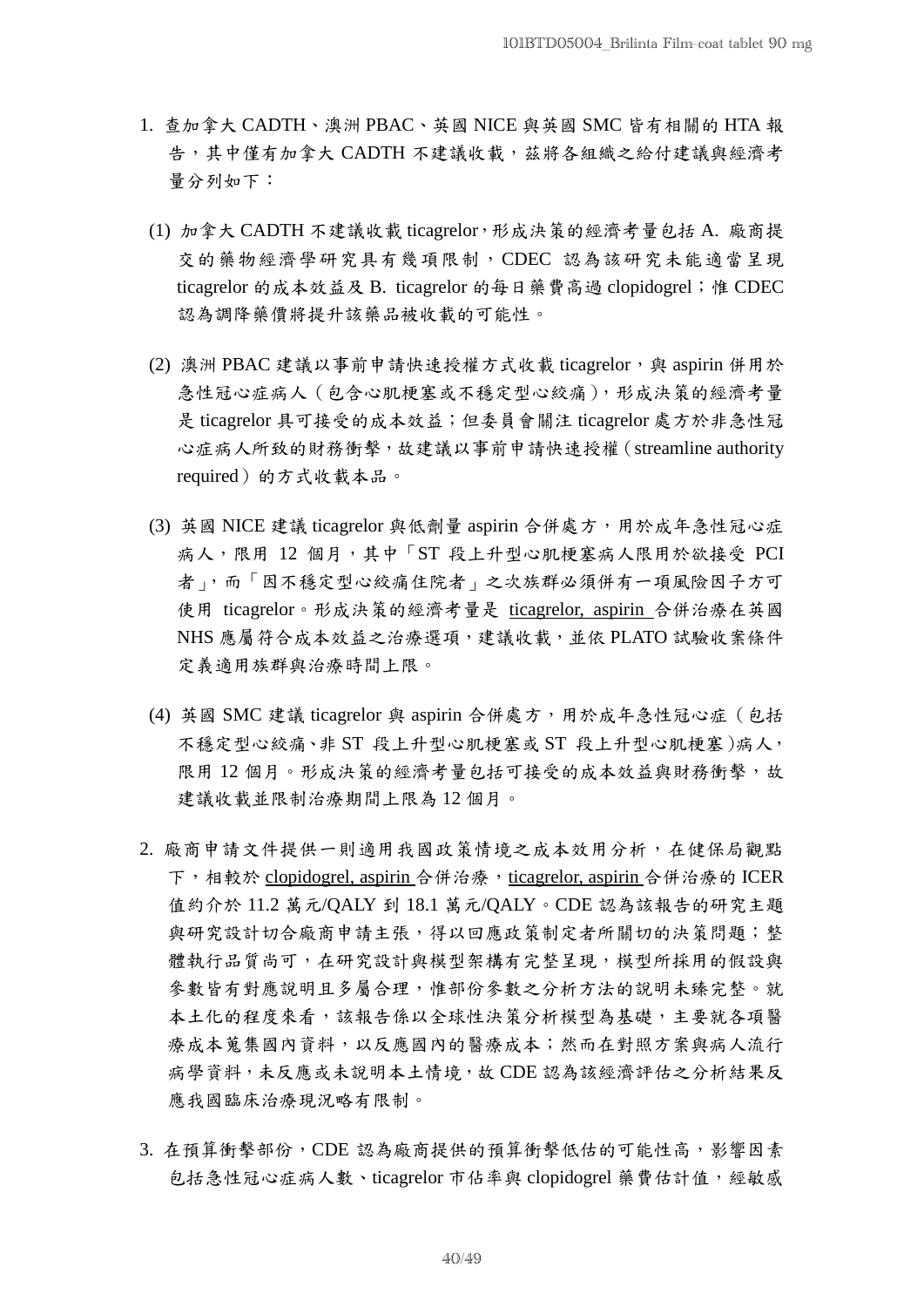- 1. 查加拿大 CADTH、澳洲 PBAC、英國 NICE 與英國 SMC 皆有相關的 HTA 報 告,其中僅有加拿大 CADTH 不建議收載,茲將各組織之給付建議與經濟考 量分列如下:
- (1) 加拿大 CADTH 不建議收載 ticagrelor,形成決策的經濟考量包括 A. 廠商提 交的藥物經濟學研究具有幾項限制,CDEC 認為該研究未能適當呈現 ticagrelor 的成本效益及 B. ticagrelor 的每日藥費高過 clopidogrel; 惟 CDEC 認為調降藥價將提升該藥品被收載的可能性。
- (2) 澳洲 PBAC 建議以事前申請快速授權方式收載 ticagrelor,與 aspirin 併用於 急性冠心症病人(包含心肌梗塞或不穩定型心絞痛),形成決策的經濟考量 是 ticagrelor 具可接受的成本效益;但委員會關注 ticagrelor 處方於非急性冠 心症病人所致的財務衝擊,故建議以事前申請快速授權(streamline authority required)的方式收載本品。
- (3) 英國 NICE 建議 ticagrelor 與低劑量 aspirin 合併處方,用於成年急性冠心症 病人,限用 12 個月,其中「ST 段上升型心肌梗塞病人限用於欲接受 PCI 者」,而「因不穩定型心絞痛住院者」之次族群必須併有一項風險因子方可 使用 ticagrelor。形成決策的經濟考量是 ticagrelor, aspirin 合併治療在英國 NHS 應屬符合成本效益之治療選項,建議收載,並依 PLATO 試驗收案條件 定義適用族群與治療時間上限。
- (4) 英國 SMC 建議 ticagrelor 與 aspirin 合併處方,用於成年急性冠心症 (包括 不穩定型心絞痛、非 ST 段上升型心肌梗塞或 ST 段上升型心肌梗塞)病人, 限用12個月。形成決策的經濟考量包括可接受的成本效益與財務衝擊,故 建議收載並限制治療期間上限為 12 個月。
- 2. 廠商申請文件提供一則適用我國政策情境之成本效用分析,在健保局觀點 下,相較於 clopidogrel, aspirin 合併治療, ticagrelor, aspirin 合併治療的 ICER 值約介於 11.2 萬元/QALY 到 18.1 萬元/QALY。CDE 認為該報告的研究主題 與研究設計切合廠商申請主張,得以回應政策制定者所關切的決策問題;整 體執行品質尚可,在研究設計與模型架構有完整呈現,模型所採用的假設與 參數皆有對應說明且多屬合理,惟部份參數之分析方法的說明未臻完整。就 本土化的程度來看,該報告係以全球性決策分析模型為基礎,主要就各項醫 療成本蒐集國內資料,以反應國內的醫療成本;然而在對照方案與病人流行 病學資料,未反應或未說明本土情境,故 CDE 認為該經濟評估之分析結果反 應我國臨床治療現況略有限制。
- 3. 在預算衝擊部份,CDE 認為廠商提供的預算衝擊低估的可能性高,影響因素 包括急性冠心症病人數、ticagrelor 市佔率與 clopidogrel 藥費估計值,經敏感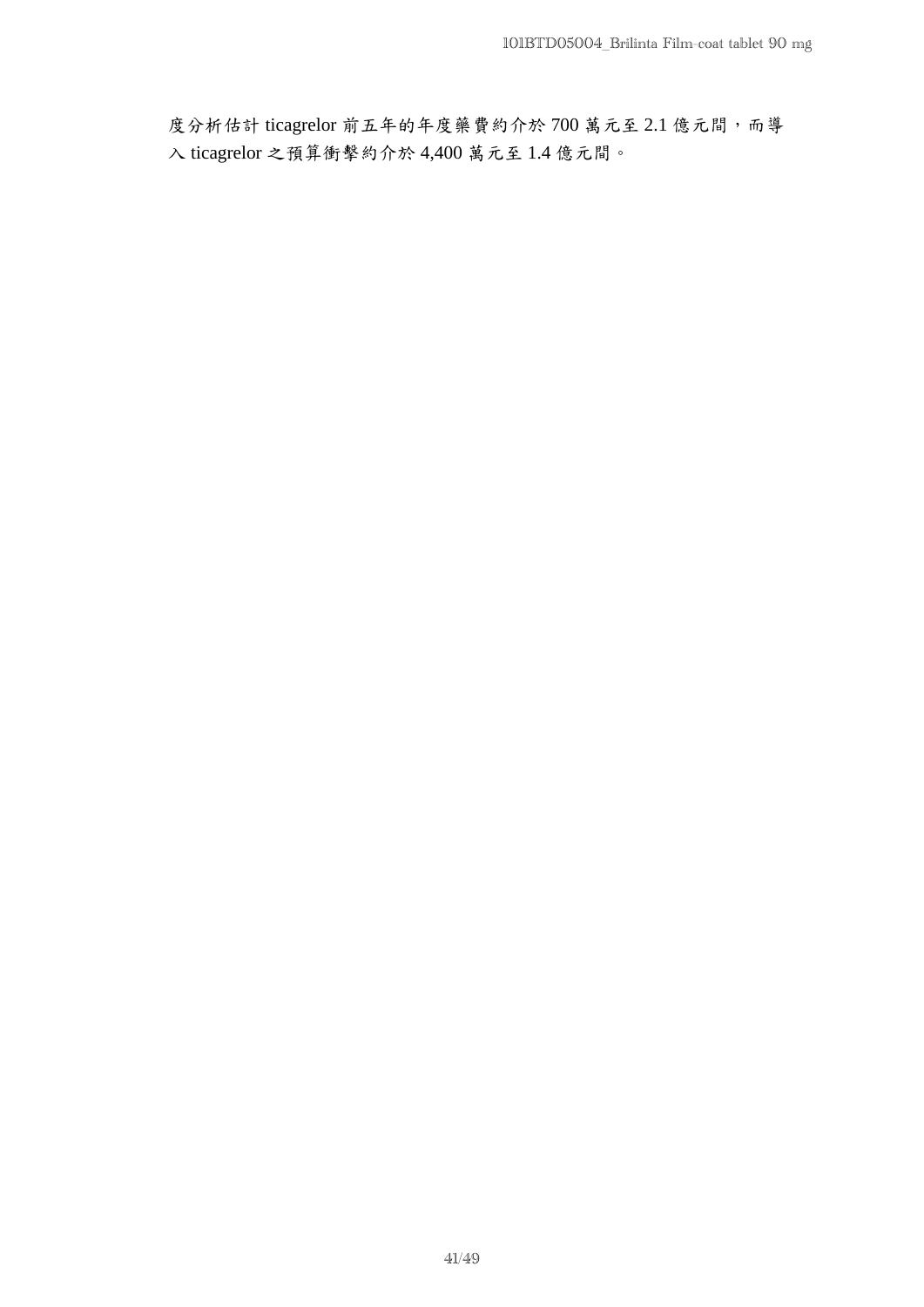度分析估計 ticagrelor 前五年的年度藥費約介於 700 萬元至 2.1 億元間,而導 入 ticagrelor 之預算衝擊約介於 4,400 萬元至 1.4 億元間。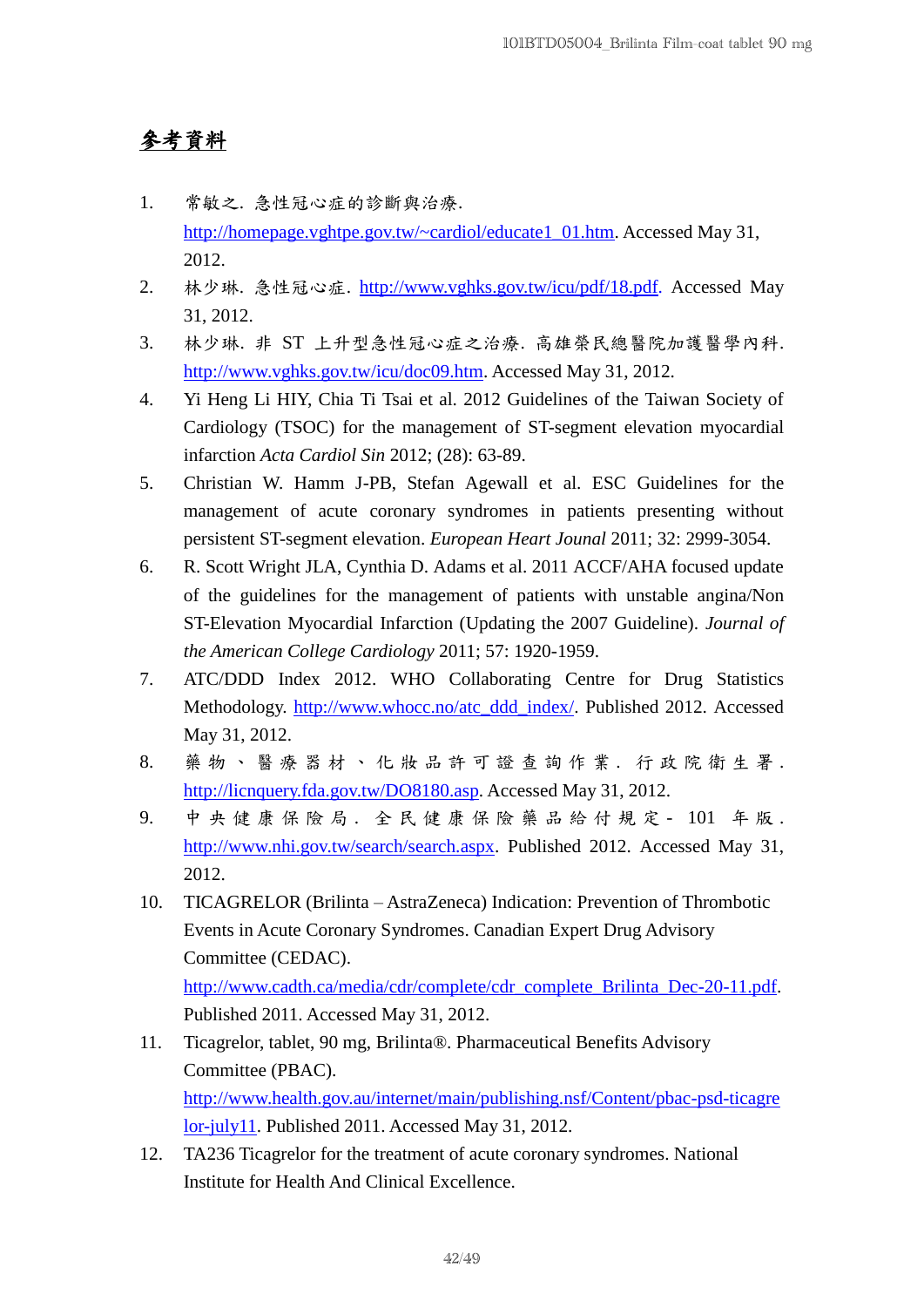## 參考資料

- 1. 常敏之. 急性冠心症的診斷與治療. [http://homepage.vghtpe.gov.tw/~cardiol/educate1\\_01.htm.](http://homepage.vghtpe.gov.tw/~cardiol/educate1_01.htm) Accessed May 31, 2012.
- 2. 林少琳. 急性冠心症. http://www.vghks.gov.tw/icu/pdf/18.pdf. Accessed May 31, 2012.
- 3. 林少琳. 非 ST 上升型急性冠心症之治療. 高雄榮民總醫院加護醫學內科. [http://www.vghks.gov.tw/icu/doc09.htm.](http://www.vghks.gov.tw/icu/doc09.htm) Accessed May 31, 2012.
- 4. Yi Heng Li HIY, Chia Ti Tsai et al. 2012 Guidelines of the Taiwan Society of Cardiology (TSOC) for the management of ST-segment elevation myocardial infarction *Acta Cardiol Sin* 2012; (28): 63-89.
- 5. Christian W. Hamm J-PB, Stefan Agewall et al. ESC Guidelines for the management of acute coronary syndromes in patients presenting without persistent ST-segment elevation. *European Heart Jounal* 2011; 32: 2999-3054.
- 6. R. Scott Wright JLA, Cynthia D. Adams et al. 2011 ACCF/AHA focused update of the guidelines for the management of patients with unstable angina/Non ST-Elevation Myocardial Infarction (Updating the 2007 Guideline). *Journal of the American College Cardiology* 2011; 57: 1920-1959.
- 7. ATC/DDD Index 2012. WHO Collaborating Centre for Drug Statistics Methodology. [http://www.whocc.no/atc\\_ddd\\_index/.](http://www.whocc.no/atc_ddd_index/) Published 2012. Accessed May 31, 2012.
- 8. 藥物、醫療器材、化妝品許可證查詢作業. 行政院衛生署. [http://licnquery.fda.gov.tw/DO8180.asp.](http://licnquery.fda.gov.tw/DO8180.asp) Accessed May 31, 2012.
- 9. 中央健康保險局 . 全 民 健 康 保 險 藥 品 給 付 規 定 101 年 版 . [http://www.nhi.gov.tw/search/search.aspx.](http://www.nhi.gov.tw/search/search.aspx) Published 2012. Accessed May 31, 2012.
- 10. TICAGRELOR (Brilinta AstraZeneca) Indication: Prevention of Thrombotic Events in Acute Coronary Syndromes. Canadian Expert Drug Advisory Committee (CEDAC). [http://www.cadth.ca/media/cdr/complete/cdr\\_complete\\_Brilinta\\_Dec-20-11.pdf.](http://www.cadth.ca/media/cdr/complete/cdr_complete_Brilinta_Dec-20-11.pdf)

Published 2011. Accessed May 31, 2012.

- 11. Ticagrelor, tablet, 90 mg, Brilinta® . Pharmaceutical Benefits Advisory Committee (PBAC). [http://www.health.gov.au/internet/main/publishing.nsf/Content/pbac-psd-ticagre](http://www.health.gov.au/internet/main/publishing.nsf/Content/pbac-psd-ticagrelor-july11) [lor-july11.](http://www.health.gov.au/internet/main/publishing.nsf/Content/pbac-psd-ticagrelor-july11) Published 2011. Accessed May 31, 2012.
- 12. TA236 Ticagrelor for the treatment of acute coronary syndromes. National Institute for Health And Clinical Excellence.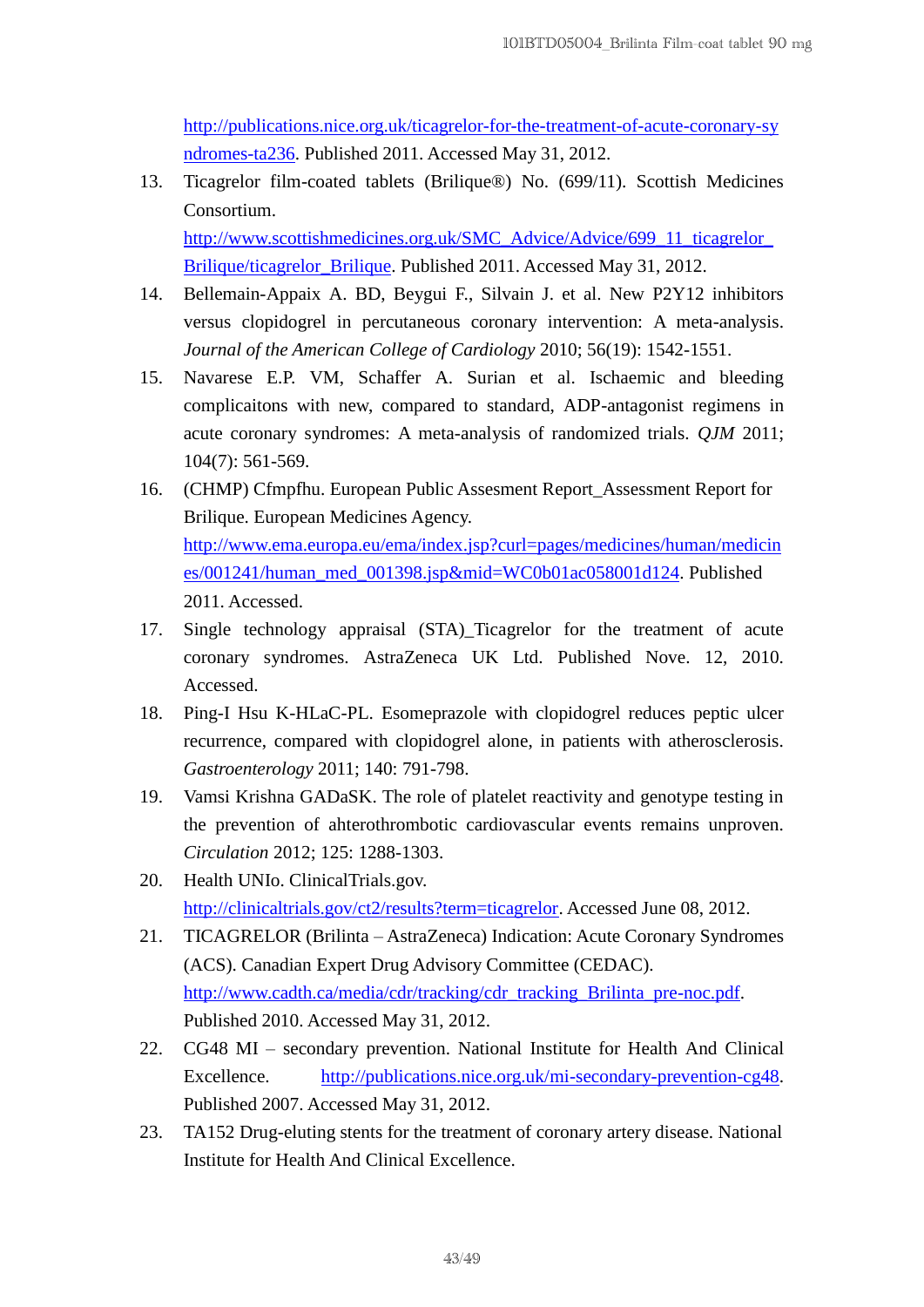[http://publications.nice.org.uk/ticagrelor-for-the-treatment-of-acute-coronary-sy](http://publications.nice.org.uk/ticagrelor-for-the-treatment-of-acute-coronary-syndromes-ta236) [ndromes-ta236.](http://publications.nice.org.uk/ticagrelor-for-the-treatment-of-acute-coronary-syndromes-ta236) Published 2011. Accessed May 31, 2012.

- 13. Ticagrelor film-coated tablets (Brilique® ) No. (699/11). Scottish Medicines Consortium. http://www.scottishmedicines.org.uk/SMC\_Advice/Advice/699\_11\_ticagrelor [Brilique/ticagrelor\\_Brilique.](http://www.scottishmedicines.org.uk/SMC_Advice/Advice/699_11_ticagrelor_Brilique/ticagrelor_Brilique) Published 2011. Accessed May 31, 2012.
- 14. Bellemain-Appaix A. BD, Beygui F., Silvain J. et al. New P2Y12 inhibitors versus clopidogrel in percutaneous coronary intervention: A meta-analysis. *Journal of the American College of Cardiology* 2010; 56(19): 1542-1551.
- 15. Navarese E.P. VM, Schaffer A. Surian et al. Ischaemic and bleeding complicaitons with new, compared to standard, ADP-antagonist regimens in acute coronary syndromes: A meta-analysis of randomized trials. *QJM* 2011; 104(7): 561-569.
- 16. (CHMP) Cfmpfhu. European Public Assesment Report\_Assessment Report for Brilique. European Medicines Agency. [http://www.ema.europa.eu/ema/index.jsp?curl=pages/medicines/human/medicin](http://www.ema.europa.eu/ema/index.jsp?curl=pages/medicines/human/medicines/001241/human_med_001398.jsp&mid=WC0b01ac058001d124) [es/001241/human\\_med\\_001398.jsp&mid=WC0b01ac058001d124.](http://www.ema.europa.eu/ema/index.jsp?curl=pages/medicines/human/medicines/001241/human_med_001398.jsp&mid=WC0b01ac058001d124) Published 2011. Accessed.
- 17. Single technology appraisal (STA)\_Ticagrelor for the treatment of acute coronary syndromes. AstraZeneca UK Ltd. Published Nove. 12, 2010. Accessed.
- 18. Ping-I Hsu K-HLaC-PL. Esomeprazole with clopidogrel reduces peptic ulcer recurrence, compared with clopidogrel alone, in patients with atherosclerosis. *Gastroenterology* 2011; 140: 791-798.
- 19. Vamsi Krishna GADaSK. The role of platelet reactivity and genotype testing in the prevention of ahterothrombotic cardiovascular events remains unproven. *Circulation* 2012; 125: 1288-1303.
- 20. Health UNIo. ClinicalTrials.gov. [http://clinicaltrials.gov/ct2/results?term=ticagrelor.](http://clinicaltrials.gov/ct2/results?term=ticagrelor) Accessed June 08, 2012.
- 21. TICAGRELOR (Brilinta AstraZeneca) Indication: Acute Coronary Syndromes (ACS). Canadian Expert Drug Advisory Committee (CEDAC). [http://www.cadth.ca/media/cdr/tracking/cdr\\_tracking\\_Brilinta\\_pre-noc.pdf.](http://www.cadth.ca/media/cdr/tracking/cdr_tracking_Brilinta_pre-noc.pdf) Published 2010. Accessed May 31, 2012.
- 22. CG48 MI secondary prevention. National Institute for Health And Clinical Excellence. [http://publications.nice.org.uk/mi-secondary-prevention-cg48.](http://publications.nice.org.uk/mi-secondary-prevention-cg48) Published 2007. Accessed May 31, 2012.
- 23. TA152 Drug-eluting stents for the treatment of coronary artery disease. National Institute for Health And Clinical Excellence.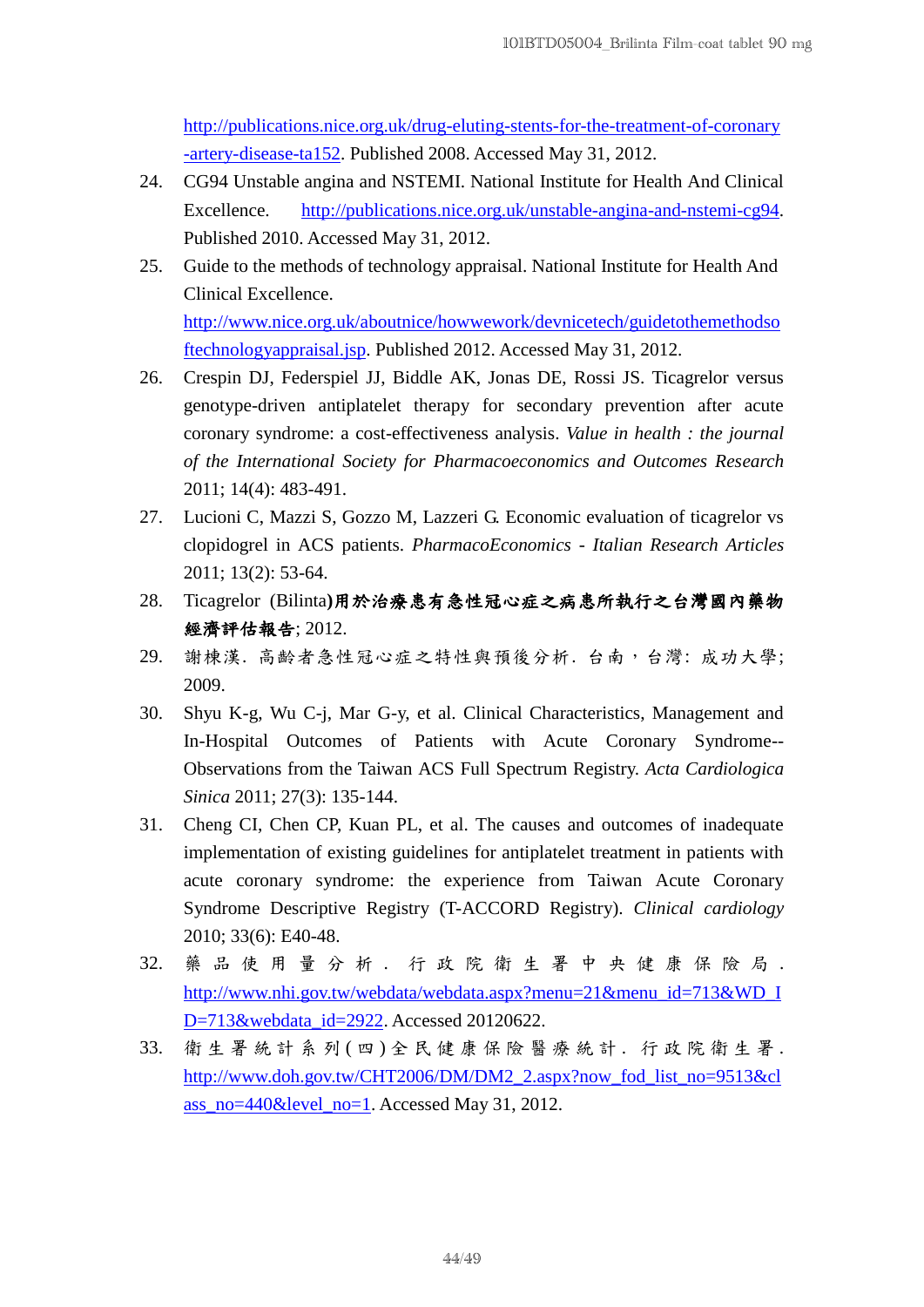[http://publications.nice.org.uk/drug-eluting-stents-for-the-treatment-of-coronary](http://publications.nice.org.uk/drug-eluting-stents-for-the-treatment-of-coronary-artery-disease-ta152) [-artery-disease-ta152.](http://publications.nice.org.uk/drug-eluting-stents-for-the-treatment-of-coronary-artery-disease-ta152) Published 2008. Accessed May 31, 2012.

- 24. CG94 Unstable angina and NSTEMI. National Institute for Health And Clinical Excellence. [http://publications.nice.org.uk/unstable-angina-and-nstemi-cg94.](http://publications.nice.org.uk/unstable-angina-and-nstemi-cg94) Published 2010. Accessed May 31, 2012.
- 25. Guide to the methods of technology appraisal. National Institute for Health And Clinical Excellence. [http://www.nice.org.uk/aboutnice/howwework/devnicetech/guidetothemethodso](http://www.nice.org.uk/aboutnice/howwework/devnicetech/guidetothemethodsoftechnologyappraisal.jsp) [ftechnologyappraisal.jsp.](http://www.nice.org.uk/aboutnice/howwework/devnicetech/guidetothemethodsoftechnologyappraisal.jsp) Published 2012. Accessed May 31, 2012.
- 26. Crespin DJ, Federspiel JJ, Biddle AK, Jonas DE, Rossi JS. Ticagrelor versus genotype-driven antiplatelet therapy for secondary prevention after acute coronary syndrome: a cost-effectiveness analysis. *Value in health : the journal of the International Society for Pharmacoeconomics and Outcomes Research* 2011; 14(4): 483-491.
- 27. Lucioni C, Mazzi S, Gozzo M, Lazzeri G. Economic evaluation of ticagrelor vs clopidogrel in ACS patients. *PharmacoEconomics - Italian Research Articles* 2011; 13(2): 53-64.
- 28. Ticagrelor (Bilinta**)**用於治療患有急性冠心症之病患所執行之台灣國內藥物 經濟評估報告; 2012.
- 29. 謝棟漢. 高齡者急性冠心症之特性與預後分析. 台南,台灣: 成功大學; 2009.
- 30. Shyu K-g, Wu C-j, Mar G-y, et al. Clinical Characteristics, Management and In-Hospital Outcomes of Patients with Acute Coronary Syndrome-- Observations from the Taiwan ACS Full Spectrum Registry. *Acta Cardiologica Sinica* 2011; 27(3): 135-144.
- 31. Cheng CI, Chen CP, Kuan PL, et al. The causes and outcomes of inadequate implementation of existing guidelines for antiplatelet treatment in patients with acute coronary syndrome: the experience from Taiwan Acute Coronary Syndrome Descriptive Registry (T-ACCORD Registry). *Clinical cardiology* 2010; 33(6): E40-48.
- 32. 藥品使用量分析. 行政院衛生署中央健康保險局. [http://www.nhi.gov.tw/webdata/webdata.aspx?menu=21&menu\\_id=713&WD\\_I](http://www.nhi.gov.tw/webdata/webdata.aspx?menu=21&menu_id=713&WD_ID=713&webdata_id=2922) [D=713&webdata\\_id=2922.](http://www.nhi.gov.tw/webdata/webdata.aspx?menu=21&menu_id=713&WD_ID=713&webdata_id=2922) Accessed 20120622.
- 33. 衛 生 署 統 計 系 列 ( 四 ) 全 民 健 康 保 險 醫 療 統 計 . 行 政 院 衛 生 署 . [http://www.doh.gov.tw/CHT2006/DM/DM2\\_2.aspx?now\\_fod\\_list\\_no=9513&cl](http://www.doh.gov.tw/CHT2006/DM/DM2_2.aspx?now_fod_list_no=9513&class_no=440&level_no=1) [ass\\_no=440&level\\_no=1.](http://www.doh.gov.tw/CHT2006/DM/DM2_2.aspx?now_fod_list_no=9513&class_no=440&level_no=1) Accessed May 31, 2012.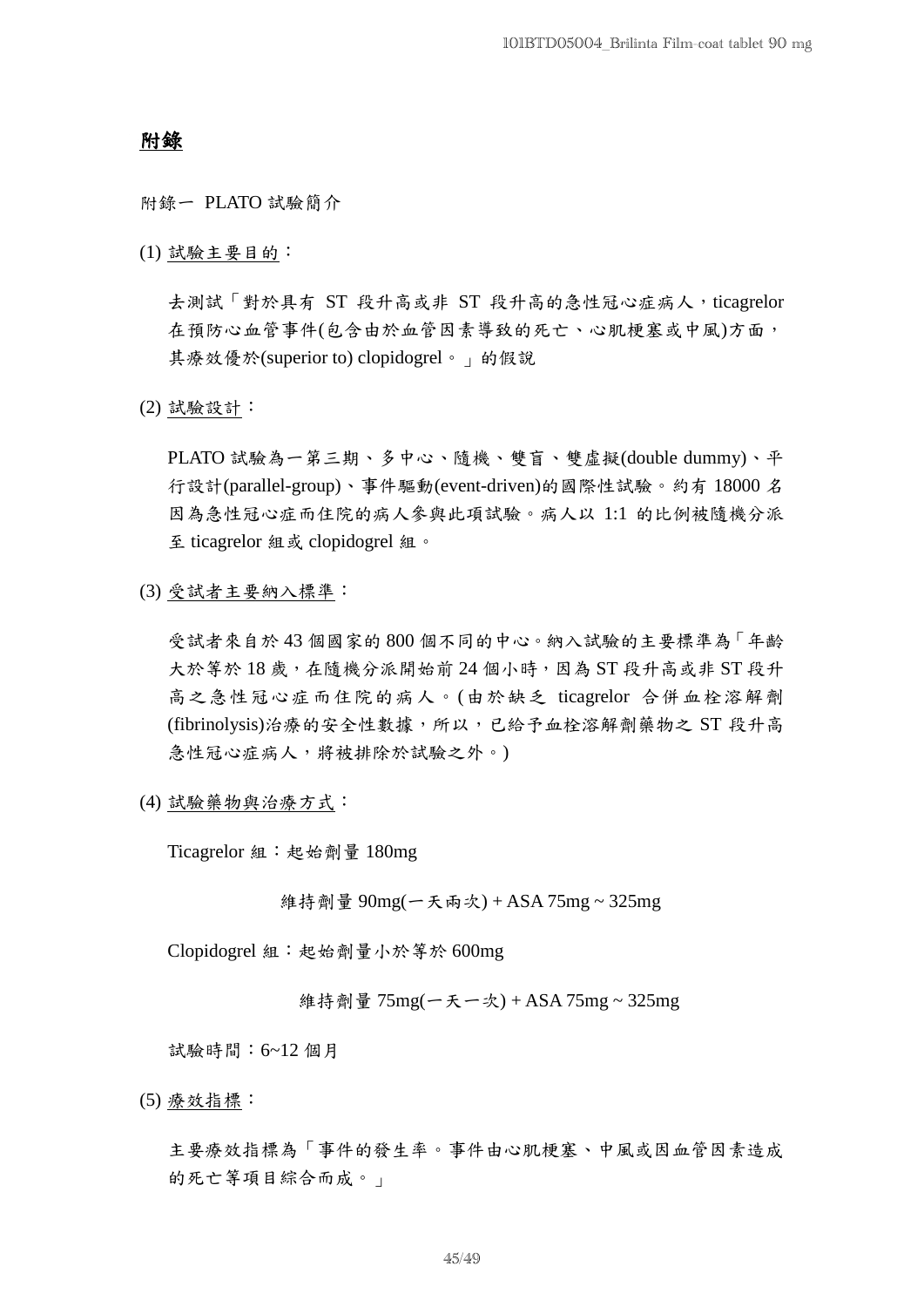## 附錄

附錄一 PLATO 試驗簡介

(1) 試驗主要目的:

去測試「對於具有 ST 段升高或非 ST 段升高的急性冠心症病人,ticagrelor 在預防心血管事件(包含由於血管因素導致的死亡、心肌梗塞或中風)方面, 其療效優於(superior to) clopidogrel。」的假說

(2) 試驗設計:

PLATO 試驗為一第三期、多中心、隨機、雙盲、雙虛擬(double dummy)、平 行設計(parallel-group)、事件驅動(event-driven)的國際性試驗。約有 18000 名 因為急性冠心症而住院的病人參與此項試驗。病人以 1:1 的比例被隨機分派 至 ticagrelor 組或 clopidogrel 組。

(3) 受試者主要納入標準:

受試者來自於 43 個國家的 800 個不同的中心。納入試驗的主要標準為「年齡 大於等於 18 歲, 在隨機分派開始前 24 個小時, 因為 ST 段升高或非 ST 段升 高之急性冠心症而住院的病人。(由於缺乏 ticagrelor 合併血栓溶解劑 (fibrinolysis)治療的安全性數據,所以,已給予血栓溶解劑藥物之 ST 段升高 急性冠心症病人,將被排除於試驗之外。)

(4) 試驗藥物與治療方式:

Ticagrelor 組:起始劑量 180mg

維持劑量 90mg(一天兩次) + ASA 75mg ~ 325mg

Clopidogrel 組:起始劑量小於等於 600mg

維持劑量 75mg(一天一次) + ASA 75mg ~ 325mg

試驗時間:6~12 個月

(5) 療效指標:

主要療效指標為「事件的發生率。事件由心肌梗塞、中風或因血管因素造成 的死亡等項目綜合而成。」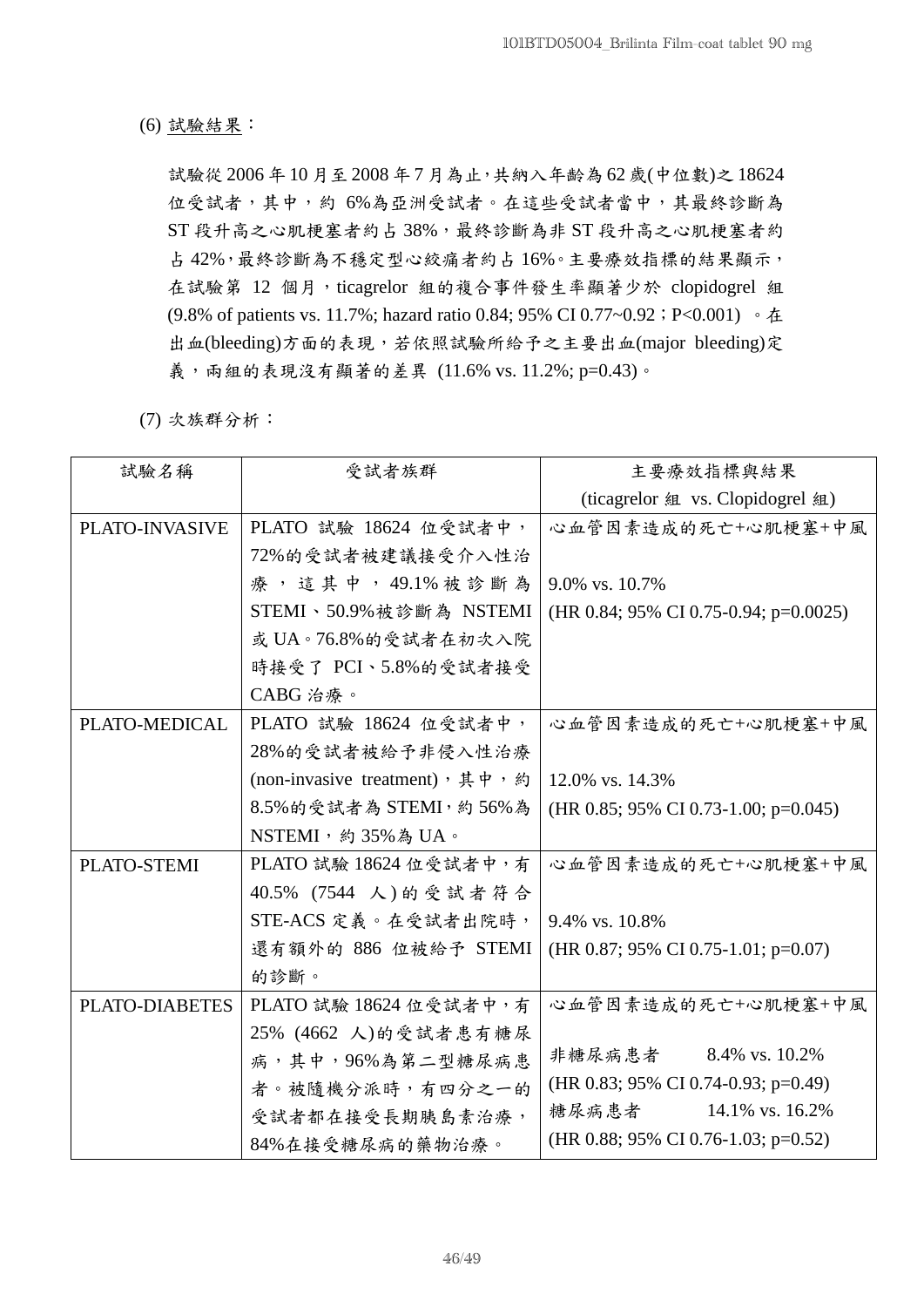(6) 試驗結果:

試驗從 2006 年 10 月至 2008 年 7 月為止,共納入年齡為 62 歲(中位數)之 18624 位受試者,其中,約 6%為亞洲受試者。在這些受試者當中,其最終診斷為 ST 段升高之心肌梗塞者約占 38%,最終診斷為非 ST 段升高之心肌梗塞者約 占 42%,最終診斷為不穩定型心絞痛者約占 16%。主要療效指標的結果顯示, 在試驗第 12 個月, ticagrelor 組的複合事件發生率顯著少於 clopidogrel 組 (9.8% of patients vs. 11.7%; hazard ratio 0.84; 95% CI 0.77~0.92;P<0.001) 。在 出血(bleeding)方面的表現,若依照試驗所給予之主要出血(major bleeding)定 義,而組的表現沒有顯著的差異 (11.6% vs. 11.2%; p=0.43)。

(7) 次族群分析:

| 試驗名稱           | 受試者族群                           | 主要療效指標與結果                             |  |  |
|----------------|---------------------------------|---------------------------------------|--|--|
|                |                                 | (ticagrelor 組 vs. Clopidogrel 組)      |  |  |
| PLATO-INVASIVE | PLATO 試驗 18624 位受試者中,           | 心血管因素造成的死亡+心肌梗塞+中風                    |  |  |
|                | 72%的受試者被建議接受介入性治                |                                       |  |  |
|                | 療,這其中,49.1%被診斷為                 | 9.0% vs. 10.7%                        |  |  |
|                | STEMI、50.9%被診斷為 NSTEMI          | (HR 0.84; 95% CI 0.75-0.94; p=0.0025) |  |  |
|                | 或 UA。76.8%的受試者在初次入院             |                                       |  |  |
|                | 時接受了 PCI、5.8%的受試者接受             |                                       |  |  |
|                | CABG 治療。                        |                                       |  |  |
| PLATO-MEDICAL  | PLATO 試驗 18624 位受試者中,           | 心血管因素造成的死亡+心肌梗塞+中風                    |  |  |
|                | 28%的受試者被給予非侵入性治療                |                                       |  |  |
|                | (non-invasive treatment), 其中, 約 | 12.0% vs. 14.3%                       |  |  |
|                | 8.5%的受試者為 STEMI, 約 56%為         | (HR 0.85; 95% CI 0.73-1.00; p=0.045)  |  |  |
|                | NSTEMI, 約35%為UA。                |                                       |  |  |
| PLATO-STEMI    | PLATO 試驗 18624 位受試者中,有          | 心血管因素造成的死亡+心肌梗塞+中風                    |  |  |
|                | 40.5% (7544 人)的受試者符合            |                                       |  |  |
|                | STE-ACS 定義。在受試者出院時,             | 9.4% vs. 10.8%                        |  |  |
|                | 還有額外的 886 位被給予 STEMI            | (HR 0.87; 95% CI 0.75-1.01; p=0.07)   |  |  |
|                | 的診斷。                            |                                       |  |  |
| PLATO-DIABETES | PLATO 試驗 18624 位受試者中, 有         | 心血管因素造成的死亡+心肌梗塞+中風                    |  |  |
|                | 25% (4662 人)的受試者患有糖尿            |                                       |  |  |
|                | 病,其中,96%為第二型糖尿病患                | 非糖尿病患者 8.4% vs. 10.2%                 |  |  |
|                | 者。被隨機分派時,有四分之一的                 | (HR 0.83; 95% CI 0.74-0.93; p=0.49)   |  |  |
|                | 受試者都在接受長期胰島素治療,                 | 14.1% vs. 16.2%<br>糖尿病患者              |  |  |
|                | 84%在接受糖尿病的藥物治療。                 | (HR 0.88; 95% CI 0.76-1.03; p=0.52)   |  |  |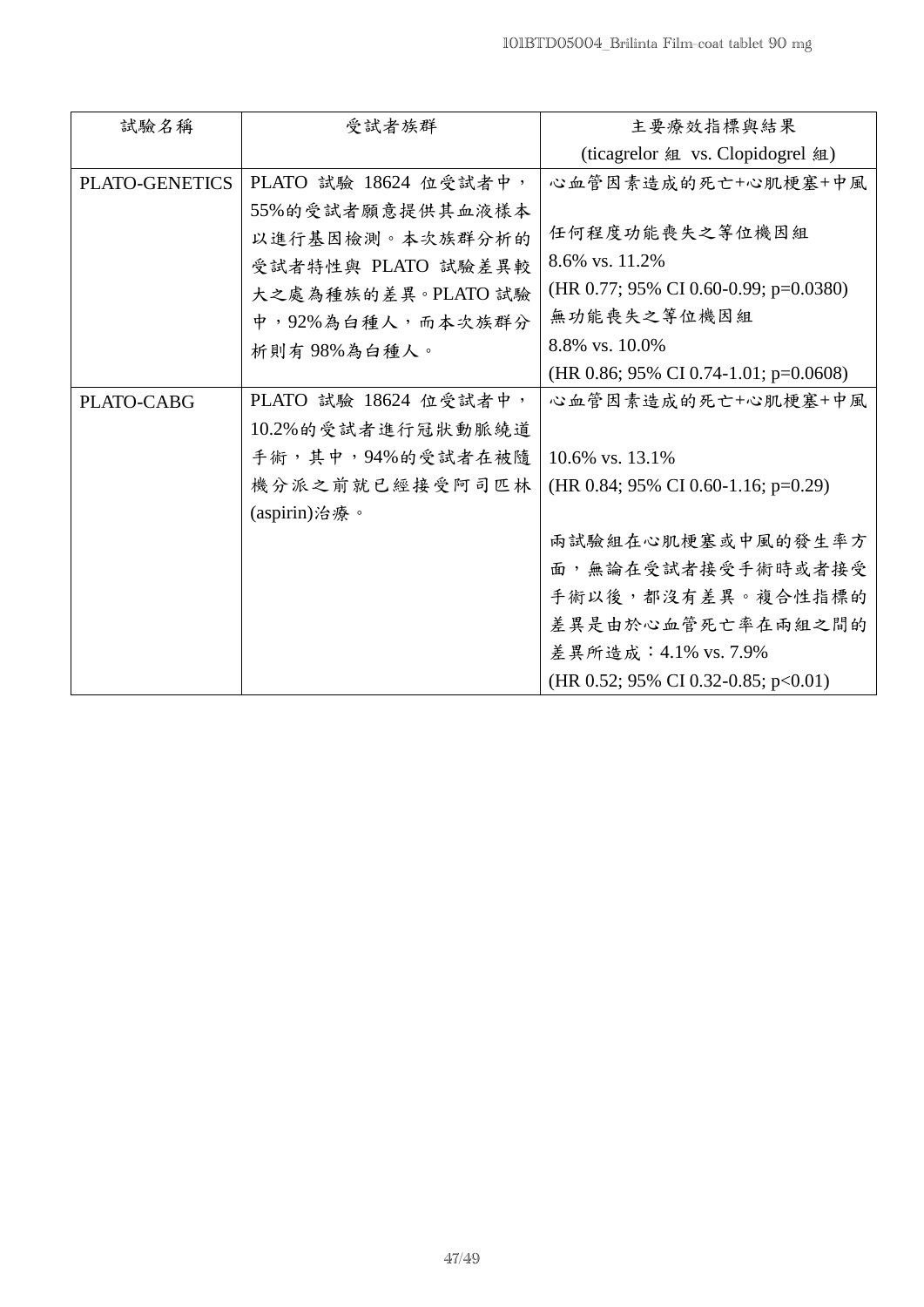| 試驗名稱           | 受試者族群                 | 主要療效指標與結果                             |
|----------------|-----------------------|---------------------------------------|
|                |                       | (ticagrelor 組 vs. Clopidogrel 組)      |
| PLATO-GENETICS | PLATO 試驗 18624 位受試者中, | 心血管因素造成的死亡+心肌梗塞+中風                    |
|                | 55%的受試者願意提供其血液樣本      |                                       |
|                | 以進行基因檢測。本次族群分析的       | 任何程度功能喪失之等位機因組                        |
|                | 受試者特性與 PLATO 試驗差異較    | 8.6% vs. 11.2%                        |
|                | 大之處為種族的差異。PLATO 試驗    | (HR 0.77; 95% CI 0.60-0.99; p=0.0380) |
|                | 中,92%為白種人,而本次族群分      | 無功能喪失之等位機因組                           |
|                | 析則有98%為白種人。           | 8.8% vs. 10.0%                        |
|                |                       | (HR 0.86; 95% CI 0.74-1.01; p=0.0608) |
| PLATO-CABG     | PLATO 試驗 18624 位受試者中, | 心血管因素造成的死亡+心肌梗塞+中風                    |
|                | 10.2%的受試者進行冠狀動脈繞道     |                                       |
|                | 手術,其中,94%的受試者在被隨      | 10.6% vs. 13.1%                       |
|                | 機分派之前就已經接受阿司匹林        | (HR 0.84; 95% CI 0.60-1.16; p=0.29)   |
|                | (aspirin)治療。          |                                       |
|                |                       | 兩試驗組在心肌梗塞或中風的發生率方                     |
|                |                       | 面,無論在受試者接受手術時或者接受                     |
|                |                       | 手術以後,都沒有差異。複合性指標的                     |
|                |                       | 差異是由於心血管死亡率在兩組之間的                     |
|                |                       | 差異所造成: 4.1% vs. 7.9%                  |
|                |                       | (HR 0.52; 95% CI 0.32-0.85; p<0.01)   |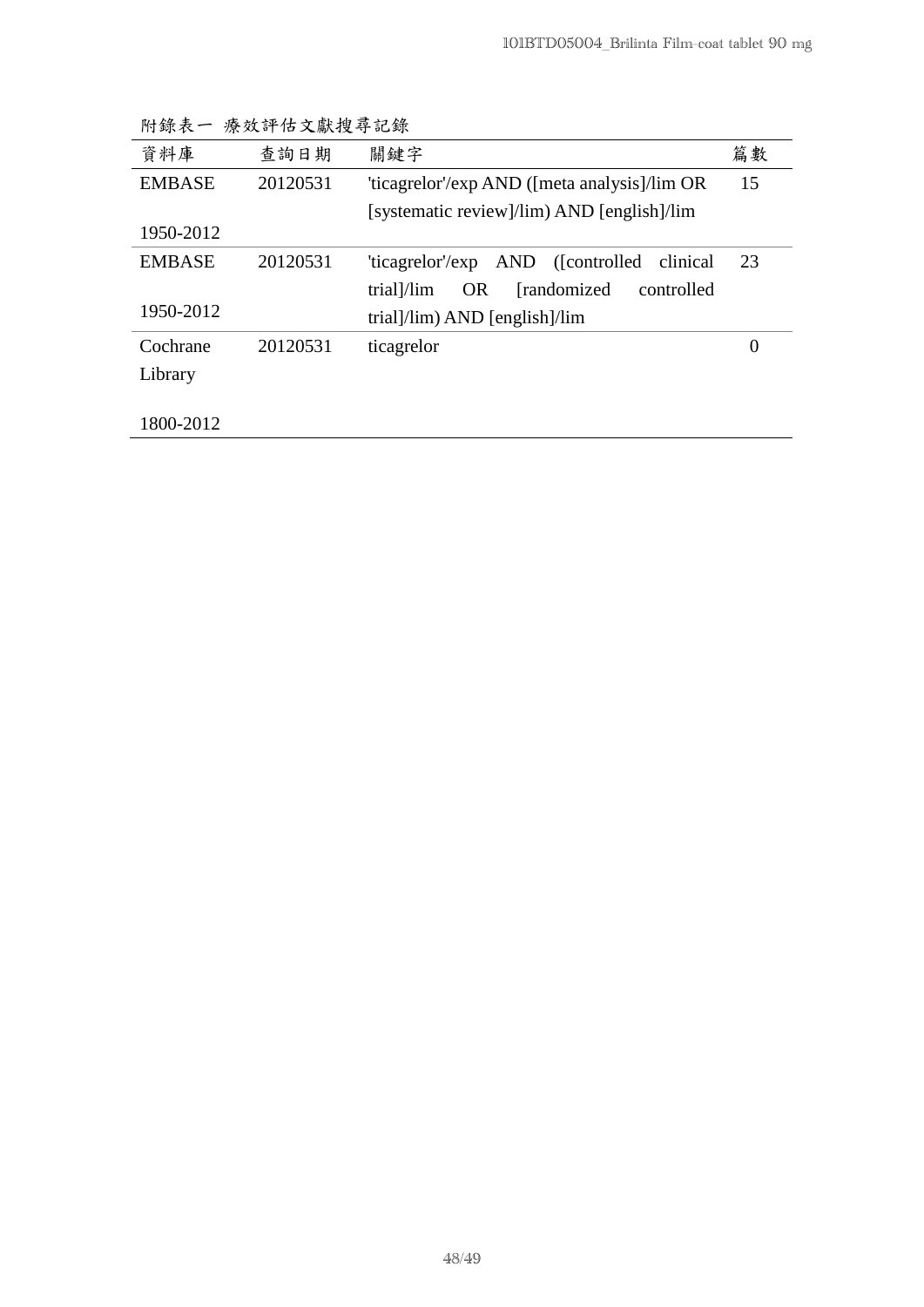| $111 - 211 - 201$ | 1/11/2   |                                                       |                  |
|-------------------|----------|-------------------------------------------------------|------------------|
| 資料庫               | 查詢日期     | 關鍵字                                                   | 篇數               |
| <b>EMBASE</b>     | 20120531 | 'ticagrelor'/exp AND ([meta analysis]/lim OR          | 15               |
|                   |          | [systematic review]/lim) AND [english]/lim            |                  |
| 1950-2012         |          |                                                       |                  |
| <b>EMBASE</b>     | 20120531 | AND ([controlled clinical<br>'ticagrelor'/exp         | 23               |
|                   |          | <b>OR</b><br>[randomized]<br>trial]/lim<br>controlled |                  |
| 1950-2012         |          | trial]/lim) AND [english]/lim                         |                  |
| Cochrane          | 20120531 | ticagrelor                                            | $\boldsymbol{0}$ |
| Library           |          |                                                       |                  |
|                   |          |                                                       |                  |
| 1800-2012         |          |                                                       |                  |

附錄表一 療效評估文獻搜尋記錄